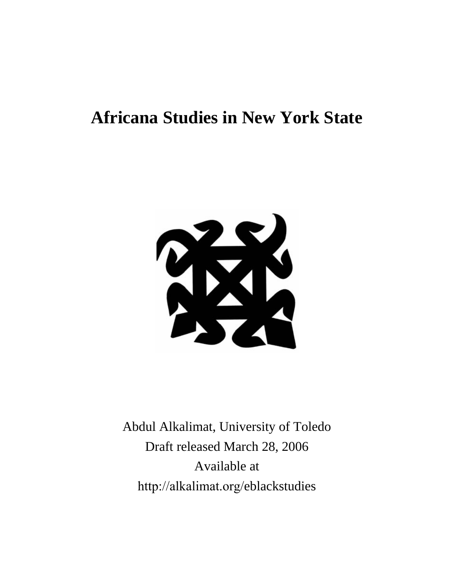# **Africana Studies in New York State**



Abdul Alkalimat, University of Toledo Draft released March 28, 2006 Available at http://alkalimat.org/eblackstudies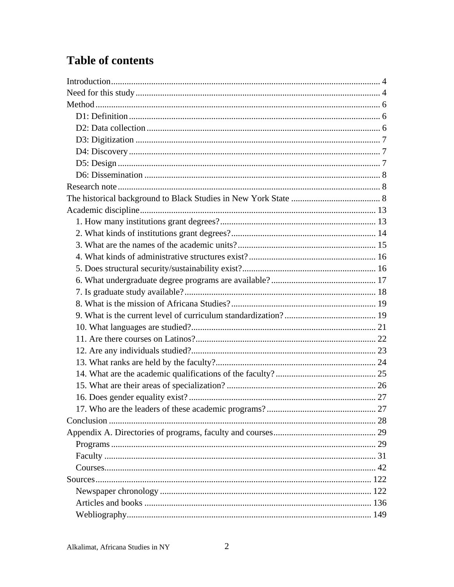# **Table of contents**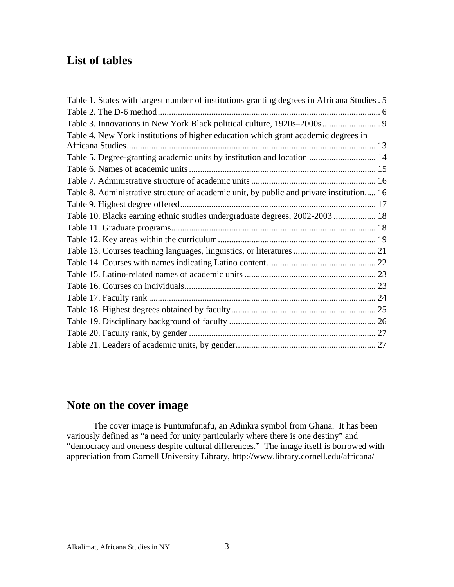## **List of tables**

| Table 1. States with largest number of institutions granting degrees in Africana Studies. 5 |  |
|---------------------------------------------------------------------------------------------|--|
|                                                                                             |  |
| Table 3. Innovations in New York Black political culture, 1920s-2000s  9                    |  |
| Table 4. New York institutions of higher education which grant academic degrees in          |  |
|                                                                                             |  |
| Table 5. Degree-granting academic units by institution and location  14                     |  |
|                                                                                             |  |
|                                                                                             |  |
| Table 8. Administrative structure of academic unit, by public and private institution 16    |  |
|                                                                                             |  |
| Table 10. Blacks earning ethnic studies undergraduate degrees, 2002-2003 18                 |  |
|                                                                                             |  |
|                                                                                             |  |
|                                                                                             |  |
|                                                                                             |  |
|                                                                                             |  |
|                                                                                             |  |
|                                                                                             |  |
|                                                                                             |  |
|                                                                                             |  |
|                                                                                             |  |
|                                                                                             |  |
|                                                                                             |  |

## **Note on the cover image**

The cover image is Funtumfunafu, an Adinkra symbol from Ghana. It has been variously defined as "a need for unity particularly where there is one destiny" and "democracy and oneness despite cultural differences." The image itself is borrowed with appreciation from Cornell University Library, http://www.library.cornell.edu/africana/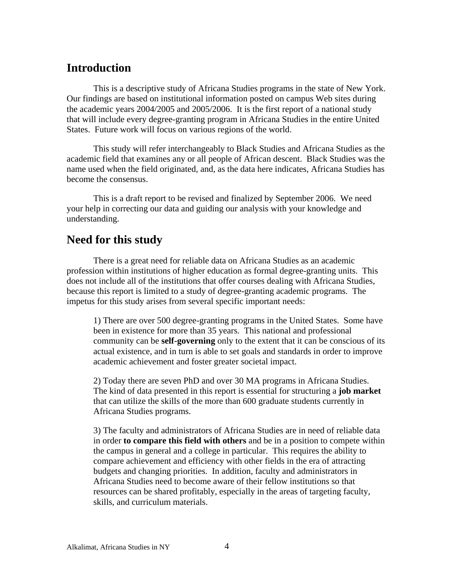## **Introduction**

This is a descriptive study of Africana Studies programs in the state of New York. Our findings are based on institutional information posted on campus Web sites during the academic years 2004/2005 and 2005/2006. It is the first report of a national study that will include every degree-granting program in Africana Studies in the entire United States. Future work will focus on various regions of the world.

This study will refer interchangeably to Black Studies and Africana Studies as the academic field that examines any or all people of African descent. Black Studies was the name used when the field originated, and, as the data here indicates, Africana Studies has become the consensus.

This is a draft report to be revised and finalized by September 2006. We need your help in correcting our data and guiding our analysis with your knowledge and understanding.

## **Need for this study**

There is a great need for reliable data on Africana Studies as an academic profession within institutions of higher education as formal degree-granting units. This does not include all of the institutions that offer courses dealing with Africana Studies, because this report is limited to a study of degree-granting academic programs. The impetus for this study arises from several specific important needs:

1) There are over 500 degree-granting programs in the United States. Some have been in existence for more than 35 years. This national and professional community can be **self-governing** only to the extent that it can be conscious of its actual existence, and in turn is able to set goals and standards in order to improve academic achievement and foster greater societal impact.

2) Today there are seven PhD and over 30 MA programs in Africana Studies. The kind of data presented in this report is essential for structuring a **job market** that can utilize the skills of the more than 600 graduate students currently in Africana Studies programs.

3) The faculty and administrators of Africana Studies are in need of reliable data in order **to compare this field with others** and be in a position to compete within the campus in general and a college in particular. This requires the ability to compare achievement and efficiency with other fields in the era of attracting budgets and changing priorities. In addition, faculty and administrators in Africana Studies need to become aware of their fellow institutions so that resources can be shared profitably, especially in the areas of targeting faculty, skills, and curriculum materials.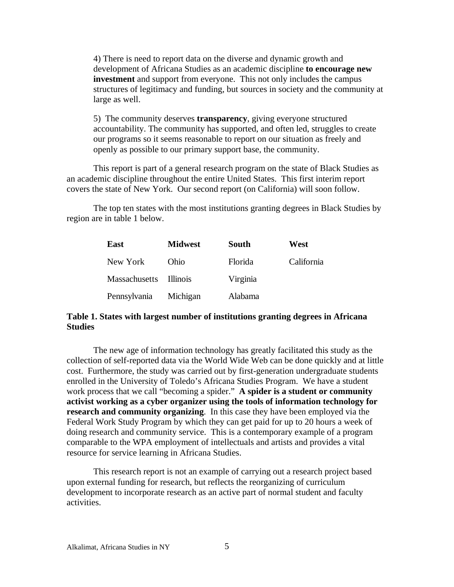4) There is need to report data on the diverse and dynamic growth and development of Africana Studies as an academic discipline **to encourage new investment** and support from everyone. This not only includes the campus structures of legitimacy and funding, but sources in society and the community at large as well.

5) The community deserves **transparency**, giving everyone structured accountability. The community has supported, and often led, struggles to create our programs so it seems reasonable to report on our situation as freely and openly as possible to our primary support base, the community.

This report is part of a general research program on the state of Black Studies as an academic discipline throughout the entire United States. This first interim report covers the state of New York. Our second report (on California) will soon follow.

The top ten states with the most institutions granting degrees in Black Studies by region are in table 1 below.

| East                   | <b>Midwest</b> | South    | West       |
|------------------------|----------------|----------|------------|
| New York               | Ohio           | Florida  | California |
| Massachusetts Illinois |                | Virginia |            |
| Pennsylvania Michigan  |                | Alabama  |            |

#### **Table 1. States with largest number of institutions granting degrees in Africana Studies**

The new age of information technology has greatly facilitated this study as the collection of self-reported data via the World Wide Web can be done quickly and at little cost. Furthermore, the study was carried out by first-generation undergraduate students enrolled in the University of Toledo's Africana Studies Program. We have a student work process that we call "becoming a spider." **A spider is a student or community activist working as a cyber organizer using the tools of information technology for research and community organizing**. In this case they have been employed via the Federal Work Study Program by which they can get paid for up to 20 hours a week of doing research and community service. This is a contemporary example of a program comparable to the WPA employment of intellectuals and artists and provides a vital resource for service learning in Africana Studies.

This research report is not an example of carrying out a research project based upon external funding for research, but reflects the reorganizing of curriculum development to incorporate research as an active part of normal student and faculty activities.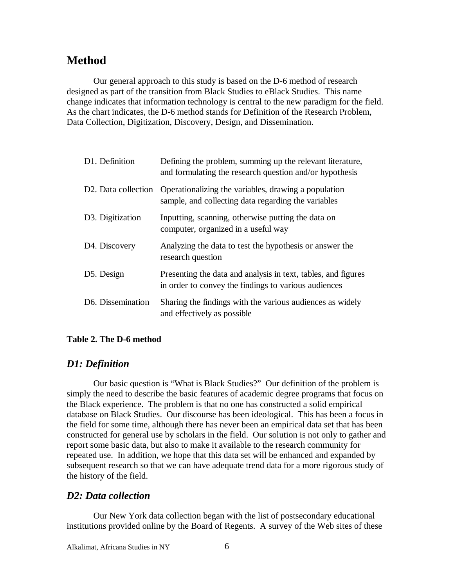## **Method**

Our general approach to this study is based on the D-6 method of research designed as part of the transition from Black Studies to eBlack Studies. This name change indicates that information technology is central to the new paradigm for the field. As the chart indicates, the D-6 method stands for Definition of the Research Problem, Data Collection, Digitization, Discovery, Design, and Dissemination.

| D1. Definition                   | Defining the problem, summing up the relevant literature,<br>and formulating the research question and/or hypothesis  |
|----------------------------------|-----------------------------------------------------------------------------------------------------------------------|
| D <sub>2</sub> . Data collection | Operationalizing the variables, drawing a population<br>sample, and collecting data regarding the variables           |
| D <sub>3</sub> . Digitization    | Inputting, scanning, otherwise putting the data on<br>computer, organized in a useful way                             |
| D <sub>4</sub> . Discovery       | Analyzing the data to test the hypothesis or answer the<br>research question                                          |
| D5. Design                       | Presenting the data and analysis in text, tables, and figures<br>in order to convey the findings to various audiences |
| D6. Dissemination                | Sharing the findings with the various audiences as widely<br>and effectively as possible.                             |

#### **Table 2. The D-6 method**

### *D1: Definition*

Our basic question is "What is Black Studies?" Our definition of the problem is simply the need to describe the basic features of academic degree programs that focus on the Black experience. The problem is that no one has constructed a solid empirical database on Black Studies. Our discourse has been ideological. This has been a focus in the field for some time, although there has never been an empirical data set that has been constructed for general use by scholars in the field. Our solution is not only to gather and report some basic data, but also to make it available to the research community for repeated use. In addition, we hope that this data set will be enhanced and expanded by subsequent research so that we can have adequate trend data for a more rigorous study of the history of the field.

#### *D2: Data collection*

Our New York data collection began with the list of postsecondary educational institutions provided online by the Board of Regents. A survey of the Web sites of these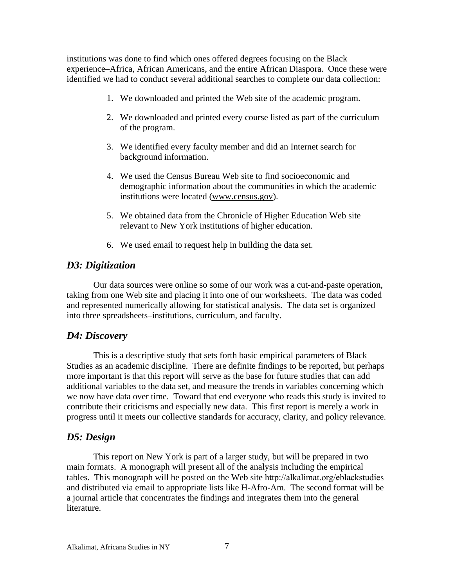institutions was done to find which ones offered degrees focusing on the Black experience–Africa, African Americans, and the entire African Diaspora. Once these were identified we had to conduct several additional searches to complete our data collection:

- 1. We downloaded and printed the Web site of the academic program.
- 2. We downloaded and printed every course listed as part of the curriculum of the program.
- 3. We identified every faculty member and did an Internet search for background information.
- 4. We used the Census Bureau Web site to find socioeconomic and demographic information about the communities in which the academic institutions were located (www.census.gov).
- 5. We obtained data from the Chronicle of Higher Education Web site relevant to New York institutions of higher education.
- 6. We used email to request help in building the data set.

### *D3: Digitization*

Our data sources were online so some of our work was a cut-and-paste operation, taking from one Web site and placing it into one of our worksheets. The data was coded and represented numerically allowing for statistical analysis. The data set is organized into three spreadsheets–institutions, curriculum, and faculty.

### *D4: Discovery*

This is a descriptive study that sets forth basic empirical parameters of Black Studies as an academic discipline. There are definite findings to be reported, but perhaps more important is that this report will serve as the base for future studies that can add additional variables to the data set, and measure the trends in variables concerning which we now have data over time. Toward that end everyone who reads this study is invited to contribute their criticisms and especially new data. This first report is merely a work in progress until it meets our collective standards for accuracy, clarity, and policy relevance.

#### *D5: Design*

This report on New York is part of a larger study, but will be prepared in two main formats. A monograph will present all of the analysis including the empirical tables. This monograph will be posted on the Web site http://alkalimat.org/eblackstudies and distributed via email to appropriate lists like H-Afro-Am. The second format will be a journal article that concentrates the findings and integrates them into the general literature.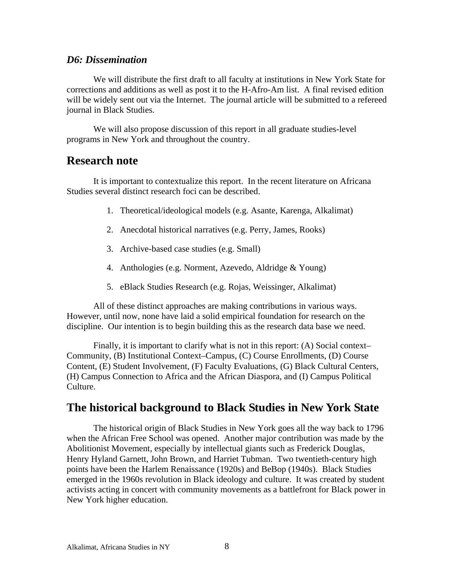#### *D6: Dissemination*

We will distribute the first draft to all faculty at institutions in New York State for corrections and additions as well as post it to the H-Afro-Am list. A final revised edition will be widely sent out via the Internet. The journal article will be submitted to a refereed journal in Black Studies.

We will also propose discussion of this report in all graduate studies-level programs in New York and throughout the country.

## **Research note**

It is important to contextualize this report. In the recent literature on Africana Studies several distinct research foci can be described.

- 1. Theoretical/ideological models (e.g. Asante, Karenga, Alkalimat)
- 2. Anecdotal historical narratives (e.g. Perry, James, Rooks)
- 3. Archive-based case studies (e.g. Small)
- 4. Anthologies (e.g. Norment, Azevedo, Aldridge & Young)
- 5. eBlack Studies Research (e.g. Rojas, Weissinger, Alkalimat)

All of these distinct approaches are making contributions in various ways. However, until now, none have laid a solid empirical foundation for research on the discipline. Our intention is to begin building this as the research data base we need.

Finally, it is important to clarify what is not in this report: (A) Social context– Community, (B) Institutional Context–Campus, (C) Course Enrollments, (D) Course Content, (E) Student Involvement, (F) Faculty Evaluations, (G) Black Cultural Centers, (H) Campus Connection to Africa and the African Diaspora, and (I) Campus Political Culture.

## **The historical background to Black Studies in New York State**

The historical origin of Black Studies in New York goes all the way back to 1796 when the African Free School was opened. Another major contribution was made by the Abolitionist Movement, especially by intellectual giants such as Frederick Douglas, Henry Hyland Garnett, John Brown, and Harriet Tubman. Two twentieth-century high points have been the Harlem Renaissance (1920s) and BeBop (1940s). Black Studies emerged in the 1960s revolution in Black ideology and culture. It was created by student activists acting in concert with community movements as a battlefront for Black power in New York higher education.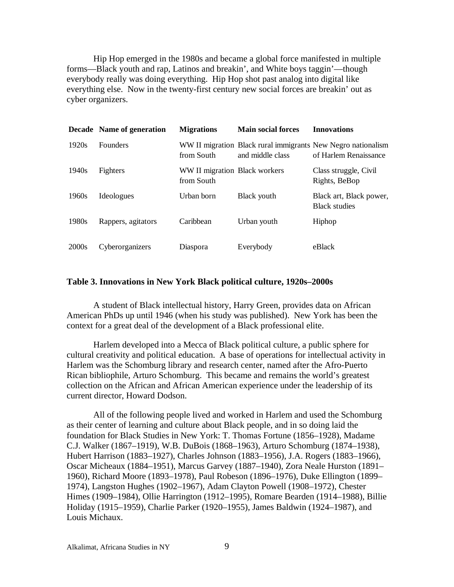Hip Hop emerged in the 1980s and became a global force manifested in multiple forms—Black youth and rap, Latinos and breakin', and White boys taggin'—though everybody really was doing everything. Hip Hop shot past analog into digital like everything else. Now in the twenty-first century new social forces are breakin' out as cyber organizers.

|       | Decade Name of generation | <b>Migrations</b>                           | <b>Main social forces</b> | <b>Innovations</b>                                                                    |
|-------|---------------------------|---------------------------------------------|---------------------------|---------------------------------------------------------------------------------------|
| 1920s | <b>Founders</b>           | from South                                  | and middle class          | WW II migration Black rural immigrants New Negro nationalism<br>of Harlem Renaissance |
| 1940s | Fighters                  | WW II migration Black workers<br>from South |                           | Class struggle, Civil<br>Rights, BeBop                                                |
| 1960s | Ideologues                | Urban born                                  | Black youth               | Black art, Black power,<br><b>Black studies</b>                                       |
| 1980s | Rappers, agitators        | Caribbean                                   | Urban youth               | Hiphop                                                                                |
| 2000s | Cyberorganizers           | Diaspora                                    | Everybody                 | eBlack                                                                                |

#### **Table 3. Innovations in New York Black political culture, 1920s–2000s**

A student of Black intellectual history, Harry Green, provides data on African American PhDs up until 1946 (when his study was published). New York has been the context for a great deal of the development of a Black professional elite.

Harlem developed into a Mecca of Black political culture, a public sphere for cultural creativity and political education. A base of operations for intellectual activity in Harlem was the Schomburg library and research center, named after the Afro-Puerto Rican bibliophile, Arturo Schomburg. This became and remains the world's greatest collection on the African and African American experience under the leadership of its current director, Howard Dodson.

All of the following people lived and worked in Harlem and used the Schomburg as their center of learning and culture about Black people, and in so doing laid the foundation for Black Studies in New York: T. Thomas Fortune (1856–1928), Madame C.J. Walker (1867–1919), W.B. DuBois (1868–1963), Arturo Schomburg (1874–1938), Hubert Harrison (1883–1927), Charles Johnson (1883–1956), J.A. Rogers (1883–1966), Oscar Micheaux (1884–1951), Marcus Garvey (1887–1940), Zora Neale Hurston (1891– 1960), Richard Moore (1893–1978), Paul Robeson (1896–1976), Duke Ellington (1899– 1974), Langston Hughes (1902–1967), Adam Clayton Powell (1908–1972), Chester Himes (1909–1984), Ollie Harrington (1912–1995), Romare Bearden (1914–1988), Billie Holiday (1915–1959), Charlie Parker (1920–1955), James Baldwin (1924–1987), and Louis Michaux.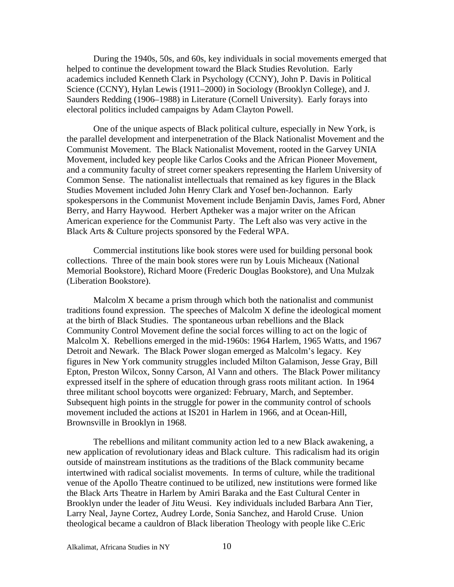During the 1940s, 50s, and 60s, key individuals in social movements emerged that helped to continue the development toward the Black Studies Revolution. Early academics included Kenneth Clark in Psychology (CCNY), John P. Davis in Political Science (CCNY), Hylan Lewis (1911–2000) in Sociology (Brooklyn College), and J. Saunders Redding (1906–1988) in Literature (Cornell University). Early forays into electoral politics included campaigns by Adam Clayton Powell.

One of the unique aspects of Black political culture, especially in New York, is the parallel development and interpenetration of the Black Nationalist Movement and the Communist Movement. The Black Nationalist Movement, rooted in the Garvey UNIA Movement, included key people like Carlos Cooks and the African Pioneer Movement, and a community faculty of street corner speakers representing the Harlem University of Common Sense. The nationalist intellectuals that remained as key figures in the Black Studies Movement included John Henry Clark and Yosef ben-Jochannon. Early spokespersons in the Communist Movement include Benjamin Davis, James Ford, Abner Berry, and Harry Haywood. Herbert Aptheker was a major writer on the African American experience for the Communist Party. The Left also was very active in the Black Arts & Culture projects sponsored by the Federal WPA.

 Commercial institutions like book stores were used for building personal book collections. Three of the main book stores were run by Louis Micheaux (National Memorial Bookstore), Richard Moore (Frederic Douglas Bookstore), and Una Mulzak (Liberation Bookstore).

Malcolm X became a prism through which both the nationalist and communist traditions found expression. The speeches of Malcolm X define the ideological moment at the birth of Black Studies. The spontaneous urban rebellions and the Black Community Control Movement define the social forces willing to act on the logic of Malcolm X. Rebellions emerged in the mid-1960s: 1964 Harlem, 1965 Watts, and 1967 Detroit and Newark. The Black Power slogan emerged as Malcolm's legacy. Key figures in New York community struggles included Milton Galamison, Jesse Gray, Bill Epton, Preston Wilcox, Sonny Carson, Al Vann and others. The Black Power militancy expressed itself in the sphere of education through grass roots militant action. In 1964 three militant school boycotts were organized: February, March, and September. Subsequent high points in the struggle for power in the community control of schools movement included the actions at IS201 in Harlem in 1966, and at Ocean-Hill, Brownsville in Brooklyn in 1968.

The rebellions and militant community action led to a new Black awakening, a new application of revolutionary ideas and Black culture. This radicalism had its origin outside of mainstream institutions as the traditions of the Black community became intertwined with radical socialist movements. In terms of culture, while the traditional venue of the Apollo Theatre continued to be utilized, new institutions were formed like the Black Arts Theatre in Harlem by Amiri Baraka and the East Cultural Center in Brooklyn under the leader of Jitu Weusi. Key individuals included Barbara Ann Tier, Larry Neal, Jayne Cortez, Audrey Lorde, Sonia Sanchez, and Harold Cruse. Union theological became a cauldron of Black liberation Theology with people like C.Eric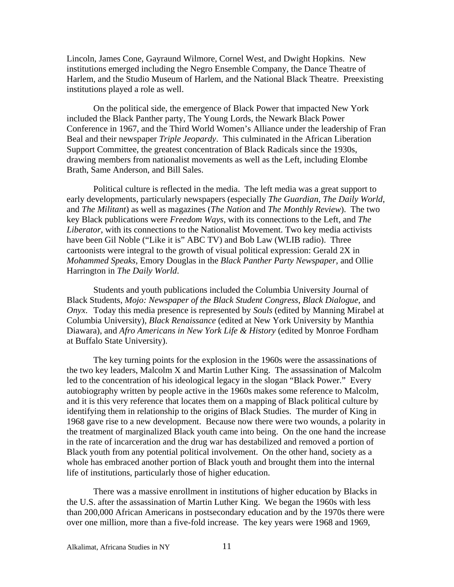Lincoln, James Cone, Gayraund Wilmore, Cornel West, and Dwight Hopkins. New institutions emerged including the Negro Ensemble Company, the Dance Theatre of Harlem, and the Studio Museum of Harlem, and the National Black Theatre. Preexisting institutions played a role as well.

On the political side, the emergence of Black Power that impacted New York included the Black Panther party, The Young Lords, the Newark Black Power Conference in 1967, and the Third World Women's Alliance under the leadership of Fran Beal and their newspaper *Triple Jeopardy*. This culminated in the African Liberation Support Committee, the greatest concentration of Black Radicals since the 1930s, drawing members from nationalist movements as well as the Left, including Elombe Brath, Same Anderson, and Bill Sales.

Political culture is reflected in the media. The left media was a great support to early developments, particularly newspapers (especially *The Guardian*, *The Daily World*, and *The Militant*) as well as magazines (*The Nation* and *The Monthly Review*). The two key Black publications were *Freedom Ways*, with its connections to the Left, and *The Liberator*, with its connections to the Nationalist Movement. Two key media activists have been Gil Noble ("Like it is" ABC TV) and Bob Law (WLIB radio). Three cartoonists were integral to the growth of visual political expression: Gerald 2X in *Mohammed Speaks*, Emory Douglas in the *Black Panther Party Newspaper*, and Ollie Harrington in *The Daily World*.

Students and youth publications included the Columbia University Journal of Black Students, *Mojo: Newspaper of the Black Student Congress*, *Black Dialogue*, and *Onyx*. Today this media presence is represented by *Souls* (edited by Manning Mirabel at Columbia University), *Black Renaissance* (edited at New York University by Manthia Diawara), and *Afro Americans in New York Life & History* (edited by Monroe Fordham at Buffalo State University).

The key turning points for the explosion in the 1960s were the assassinations of the two key leaders, Malcolm X and Martin Luther King. The assassination of Malcolm led to the concentration of his ideological legacy in the slogan "Black Power." Every autobiography written by people active in the 1960s makes some reference to Malcolm, and it is this very reference that locates them on a mapping of Black political culture by identifying them in relationship to the origins of Black Studies. The murder of King in 1968 gave rise to a new development. Because now there were two wounds, a polarity in the treatment of marginalized Black youth came into being. On the one hand the increase in the rate of incarceration and the drug war has destabilized and removed a portion of Black youth from any potential political involvement. On the other hand, society as a whole has embraced another portion of Black youth and brought them into the internal life of institutions, particularly those of higher education.

There was a massive enrollment in institutions of higher education by Blacks in the U.S. after the assassination of Martin Luther King. We began the 1960s with less than 200,000 African Americans in postsecondary education and by the 1970s there were over one million, more than a five-fold increase. The key years were 1968 and 1969,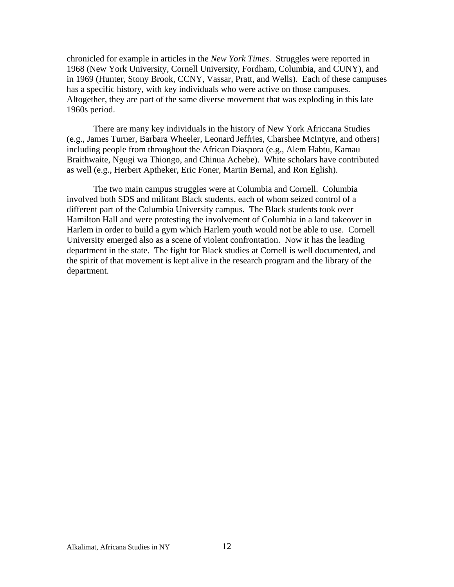chronicled for example in articles in the *New York Times*. Struggles were reported in 1968 (New York University, Cornell University, Fordham, Columbia, and CUNY), and in 1969 (Hunter, Stony Brook, CCNY, Vassar, Pratt, and Wells). Each of these campuses has a specific history, with key individuals who were active on those campuses. Altogether, they are part of the same diverse movement that was exploding in this late 1960s period.

There are many key individuals in the history of New York Africcana Studies (e.g., James Turner, Barbara Wheeler, Leonard Jeffries, Charshee McIntyre, and others) including people from throughout the African Diaspora (e.g., Alem Habtu, Kamau Braithwaite, Ngugi wa Thiongo, and Chinua Achebe). White scholars have contributed as well (e.g., Herbert Aptheker, Eric Foner, Martin Bernal, and Ron Eglish).

The two main campus struggles were at Columbia and Cornell. Columbia involved both SDS and militant Black students, each of whom seized control of a different part of the Columbia University campus. The Black students took over Hamilton Hall and were protesting the involvement of Columbia in a land takeover in Harlem in order to build a gym which Harlem youth would not be able to use. Cornell University emerged also as a scene of violent confrontation. Now it has the leading department in the state. The fight for Black studies at Cornell is well documented, and the spirit of that movement is kept alive in the research program and the library of the department.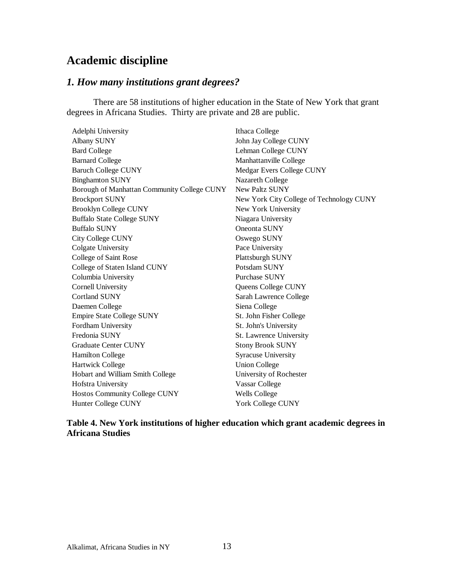## **Academic discipline**

## *1. How many institutions grant degrees?*

There are 58 institutions of higher education in the State of New York that grant degrees in Africana Studies. Thirty are private and 28 are public.

| Adelphi University                          | Ithaca College                           |
|---------------------------------------------|------------------------------------------|
| Albany SUNY                                 | John Jay College CUNY                    |
| <b>Bard College</b>                         | Lehman College CUNY                      |
| <b>Barnard College</b>                      | Manhattanville College                   |
| <b>Baruch College CUNY</b>                  | Medgar Evers College CUNY                |
| <b>Binghamton SUNY</b>                      | Nazareth College                         |
| Borough of Manhattan Community College CUNY | <b>New Paltz SUNY</b>                    |
| <b>Brockport SUNY</b>                       | New York City College of Technology CUNY |
| <b>Brooklyn College CUNY</b>                | New York University                      |
| <b>Buffalo State College SUNY</b>           | Niagara University                       |
| <b>Buffalo SUNY</b>                         | Oneonta SUNY                             |
| <b>City College CUNY</b>                    | Oswego SUNY                              |
| Colgate University                          | Pace University                          |
| College of Saint Rose                       | Plattsburgh SUNY                         |
| College of Staten Island CUNY               | Potsdam SUNY                             |
| Columbia University                         | Purchase SUNY                            |
| Cornell University                          | Queens College CUNY                      |
| <b>Cortland SUNY</b>                        | Sarah Lawrence College                   |
| Daemen College                              | Siena College                            |
| <b>Empire State College SUNY</b>            | St. John Fisher College                  |
| Fordham University                          | St. John's University                    |
| Fredonia SUNY                               | St. Lawrence University                  |
| <b>Graduate Center CUNY</b>                 | <b>Stony Brook SUNY</b>                  |
| <b>Hamilton College</b>                     | <b>Syracuse University</b>               |
| <b>Hartwick College</b>                     | <b>Union College</b>                     |
| Hobart and William Smith College            | University of Rochester                  |
| Hofstra University                          | Vassar College                           |
| Hostos Community College CUNY               | <b>Wells College</b>                     |
| Hunter College CUNY                         | <b>York College CUNY</b>                 |

### **Table 4. New York institutions of higher education which grant academic degrees in Africana Studies**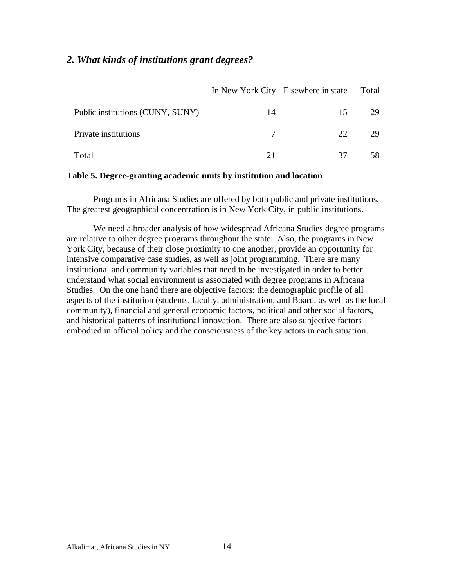## *2. What kinds of institutions grant degrees?*

|                                  |    | In New York City Elsewhere in state | Total |
|----------------------------------|----|-------------------------------------|-------|
| Public institutions (CUNY, SUNY) | 14 | 15                                  | 29    |
| Private institutions             |    | 22                                  | 29    |
| Total                            |    | 37                                  |       |

#### **Table 5. Degree-granting academic units by institution and location**

Programs in Africana Studies are offered by both public and private institutions. The greatest geographical concentration is in New York City, in public institutions.

We need a broader analysis of how widespread Africana Studies degree programs are relative to other degree programs throughout the state. Also, the programs in New York City, because of their close proximity to one another, provide an opportunity for intensive comparative case studies, as well as joint programming. There are many institutional and community variables that need to be investigated in order to better understand what social environment is associated with degree programs in Africana Studies. On the one hand there are objective factors: the demographic profile of all aspects of the institution (students, faculty, administration, and Board, as well as the local community), financial and general economic factors, political and other social factors, and historical patterns of institutional innovation. There are also subjective factors embodied in official policy and the consciousness of the key actors in each situation.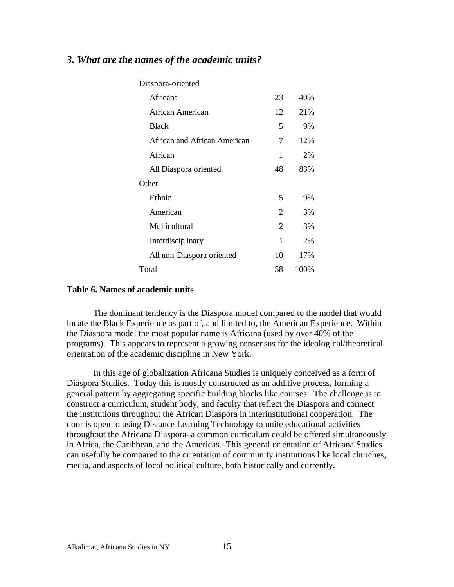## *3. What are the names of the academic units?*

| Diaspora-oriented            |                |      |
|------------------------------|----------------|------|
| Africana                     | 23             | 40%  |
| African American             | 12             | 21%  |
| <b>Black</b>                 | 5              | 9%   |
| African and African American | 7              | 12%  |
| African                      | 1              | 2%   |
| All Diaspora oriented        | 48             | 83%  |
| Other                        |                |      |
| Ethnic                       | 5              | 9%   |
| American                     | 2              | 3%   |
| Multicultural                | $\mathfrak{D}$ | 3%   |
| Interdisciplinary            | 1              | 2%   |
| All non-Diaspora oriented    | 10             | 17%  |
| Total                        | 58             | 100% |

#### **Table 6. Names of academic units**

The dominant tendency is the Diaspora model compared to the model that would locate the Black Experience as part of, and limited to, the American Experience. Within the Diaspora model the most popular name is Africana (used by over 40% of the programs). This appears to represent a growing consensus for the ideological/theoretical orientation of the academic discipline in New York.

In this age of globalization Africana Studies is uniquely conceived as a form of Diaspora Studies. Today this is mostly constructed as an additive process, forming a general pattern by aggregating specific building blocks like courses. The challenge is to construct a curriculum, student body, and faculty that reflect the Diaspora and connect the institutions throughout the African Diaspora in interinstitutional cooperation. The door is open to using Distance Learning Technology to unite educational activities throughout the Africana Diaspora–a common curriculum could be offered simultaneously in Africa, the Caribbean, and the Americas. This general orientation of Africana Studies can usefully be compared to the orientation of community institutions like local churches, media, and aspects of local political culture, both historically and currently.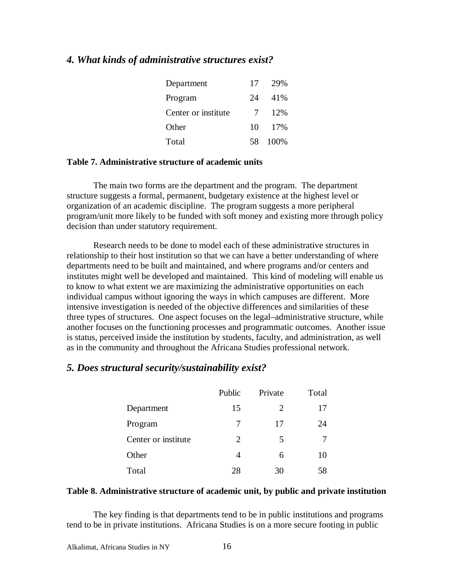#### *4. What kinds of administrative structures exist?*

| Department          | 17  | 29%   |
|---------------------|-----|-------|
| Program             | 24  | 41%   |
| Center or institute | 7   | 12%   |
| Other               | 10  | - 17% |
| Total               | 58. | 100%  |

#### **Table 7. Administrative structure of academic units**

The main two forms are the department and the program. The department structure suggests a formal, permanent, budgetary existence at the highest level or organization of an academic discipline. The program suggests a more peripheral program/unit more likely to be funded with soft money and existing more through policy decision than under statutory requirement.

Research needs to be done to model each of these administrative structures in relationship to their host institution so that we can have a better understanding of where departments need to be built and maintained, and where programs and/or centers and institutes might well be developed and maintained. This kind of modeling will enable us to know to what extent we are maximizing the administrative opportunities on each individual campus without ignoring the ways in which campuses are different. More intensive investigation is needed of the objective differences and similarities of these three types of structures. One aspect focuses on the legal–administrative structure, while another focuses on the functioning processes and programmatic outcomes. Another issue is status, perceived inside the institution by students, faculty, and administration, as well as in the community and throughout the Africana Studies professional network.

#### *5. Does structural security/sustainability exist?*

|                     | Public | Private | Total |
|---------------------|--------|---------|-------|
| Department          | 15     | 2       | 17    |
| Program             | 7      | 17      | 24    |
| Center or institute | 2      | 5       |       |
| Other               | 4      | 6       | 10    |
| Total               | 28     | 30      | 58    |

#### **Table 8. Administrative structure of academic unit, by public and private institution**

The key finding is that departments tend to be in public institutions and programs tend to be in private institutions. Africana Studies is on a more secure footing in public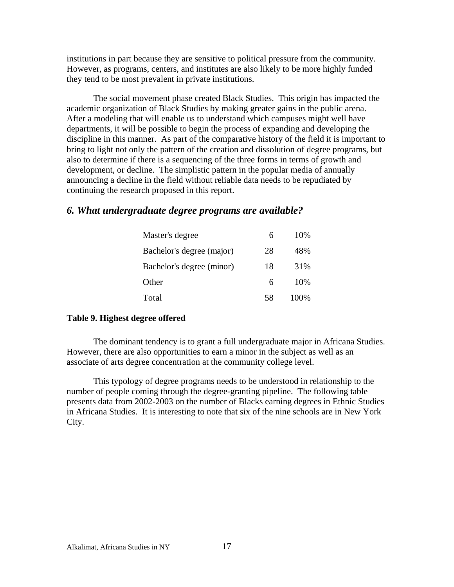institutions in part because they are sensitive to political pressure from the community. However, as programs, centers, and institutes are also likely to be more highly funded they tend to be most prevalent in private institutions.

The social movement phase created Black Studies. This origin has impacted the academic organization of Black Studies by making greater gains in the public arena. After a modeling that will enable us to understand which campuses might well have departments, it will be possible to begin the process of expanding and developing the discipline in this manner. As part of the comparative history of the field it is important to bring to light not only the pattern of the creation and dissolution of degree programs, but also to determine if there is a sequencing of the three forms in terms of growth and development, or decline. The simplistic pattern in the popular media of annually announcing a decline in the field without reliable data needs to be repudiated by continuing the research proposed in this report.

#### *6. What undergraduate degree programs are available?*

| Master's degree           |    | 10%  |
|---------------------------|----|------|
| Bachelor's degree (major) | 28 | 48%  |
| Bachelor's degree (minor) | 18 | 31%  |
| Other                     | 6  | 10%  |
| Total                     | 58 | 100% |

#### **Table 9. Highest degree offered**

The dominant tendency is to grant a full undergraduate major in Africana Studies. However, there are also opportunities to earn a minor in the subject as well as an associate of arts degree concentration at the community college level.

This typology of degree programs needs to be understood in relationship to the number of people coming through the degree-granting pipeline. The following table presents data from 2002-2003 on the number of Blacks earning degrees in Ethnic Studies in Africana Studies. It is interesting to note that six of the nine schools are in New York City.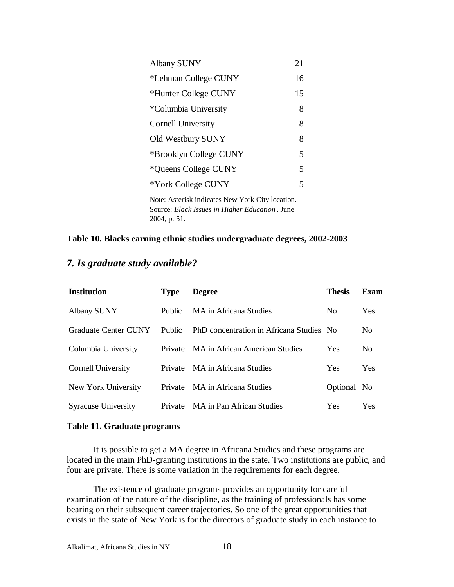| <b>Albany SUNY</b>     | 21 |
|------------------------|----|
| *Lehman College CUNY   | 16 |
| *Hunter College CUNY   | 15 |
| *Columbia University   | 8  |
| Cornell University     | 8  |
| Old Westbury SUNY      | 8  |
| *Brooklyn College CUNY | 5  |
| *Queens College CUNY   | 5  |
| *York College CUNY     | 5  |
|                        |    |

Note: Asterisk indicates New York City location. Source: *Black Issues in Higher Education* , June 2004, p. 51.

#### **Table 10. Blacks earning ethnic studies undergraduate degrees, 2002-2003**

## *7. Is graduate study available?*

| <b>Institution</b>         | <b>Type</b>    | <b>Degree</b>                            | <b>Thesis</b>  | Exam           |
|----------------------------|----------------|------------------------------------------|----------------|----------------|
| <b>Albany SUNY</b>         | <b>Public</b>  | MA in Africana Studies                   | N <sub>0</sub> | Yes            |
| Graduate Center CUNY       | Public         | PhD concentration in Africana Studies No |                | No.            |
| Columbia University        | <b>Private</b> | MA in African American Studies           | Yes            | N <sub>0</sub> |
| <b>Cornell University</b>  | <b>Private</b> | MA in Africana Studies                   | <b>Yes</b>     | Yes            |
| New York University        |                | Private MA in Africana Studies           | Optional No    |                |
| <b>Syracuse University</b> | <b>Private</b> | MA in Pan African Studies                | Yes            | Yes            |

#### **Table 11. Graduate programs**

It is possible to get a MA degree in Africana Studies and these programs are located in the main PhD-granting institutions in the state. Two institutions are public, and four are private. There is some variation in the requirements for each degree.

The existence of graduate programs provides an opportunity for careful examination of the nature of the discipline, as the training of professionals has some bearing on their subsequent career trajectories. So one of the great opportunities that exists in the state of New York is for the directors of graduate study in each instance to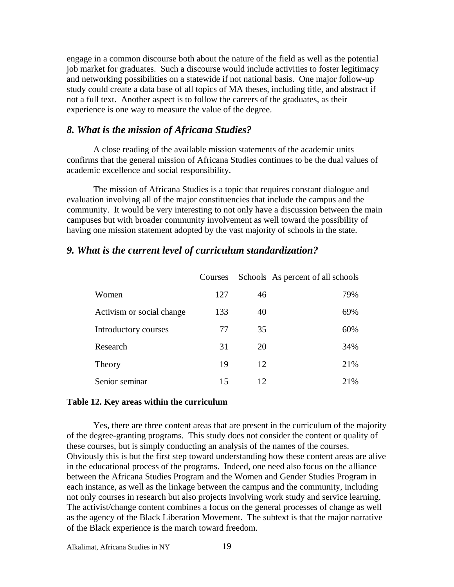engage in a common discourse both about the nature of the field as well as the potential job market for graduates. Such a discourse would include activities to foster legitimacy and networking possibilities on a statewide if not national basis. One major follow-up study could create a data base of all topics of MA theses, including title, and abstract if not a full text. Another aspect is to follow the careers of the graduates, as their experience is one way to measure the value of the degree.

#### *8. What is the mission of Africana Studies?*

A close reading of the available mission statements of the academic units confirms that the general mission of Africana Studies continues to be the dual values of academic excellence and social responsibility.

The mission of Africana Studies is a topic that requires constant dialogue and evaluation involving all of the major constituencies that include the campus and the community. It would be very interesting to not only have a discussion between the main campuses but with broader community involvement as well toward the possibility of having one mission statement adopted by the vast majority of schools in the state.

#### *9. What is the current level of curriculum standardization?*

|                           | Courses |    | Schools As percent of all schools |
|---------------------------|---------|----|-----------------------------------|
| Women                     | 127     | 46 | 79%                               |
| Activism or social change | 133     | 40 | 69%                               |
| Introductory courses      | 77      | 35 | 60%                               |
| Research                  | 31      | 20 | 34%                               |
| Theory                    | 19      | 12 | 21%                               |
| Senior seminar            | 15      | 12 | 21%                               |

#### **Table 12. Key areas within the curriculum**

Yes, there are three content areas that are present in the curriculum of the majority of the degree-granting programs. This study does not consider the content or quality of these courses, but is simply conducting an analysis of the names of the courses. Obviously this is but the first step toward understanding how these content areas are alive in the educational process of the programs. Indeed, one need also focus on the alliance between the Africana Studies Program and the Women and Gender Studies Program in each instance, as well as the linkage between the campus and the community, including not only courses in research but also projects involving work study and service learning. The activist/change content combines a focus on the general processes of change as well as the agency of the Black Liberation Movement. The subtext is that the major narrative of the Black experience is the march toward freedom.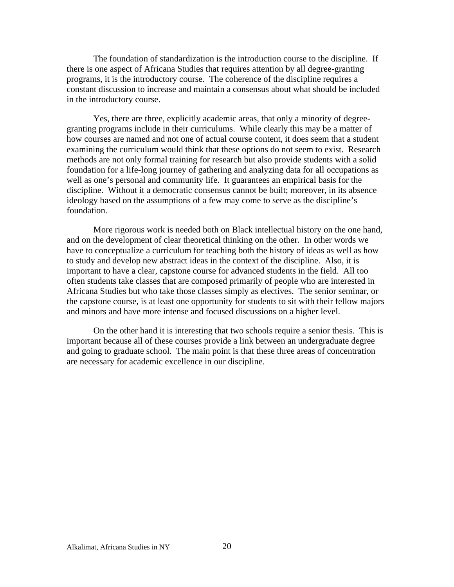The foundation of standardization is the introduction course to the discipline. If there is one aspect of Africana Studies that requires attention by all degree-granting programs, it is the introductory course. The coherence of the discipline requires a constant discussion to increase and maintain a consensus about what should be included in the introductory course.

Yes, there are three, explicitly academic areas, that only a minority of degreegranting programs include in their curriculums. While clearly this may be a matter of how courses are named and not one of actual course content, it does seem that a student examining the curriculum would think that these options do not seem to exist. Research methods are not only formal training for research but also provide students with a solid foundation for a life-long journey of gathering and analyzing data for all occupations as well as one's personal and community life. It guarantees an empirical basis for the discipline. Without it a democratic consensus cannot be built; moreover, in its absence ideology based on the assumptions of a few may come to serve as the discipline's foundation.

More rigorous work is needed both on Black intellectual history on the one hand, and on the development of clear theoretical thinking on the other. In other words we have to conceptualize a curriculum for teaching both the history of ideas as well as how to study and develop new abstract ideas in the context of the discipline. Also, it is important to have a clear, capstone course for advanced students in the field. All too often students take classes that are composed primarily of people who are interested in Africana Studies but who take those classes simply as electives. The senior seminar, or the capstone course, is at least one opportunity for students to sit with their fellow majors and minors and have more intense and focused discussions on a higher level.

On the other hand it is interesting that two schools require a senior thesis. This is important because all of these courses provide a link between an undergraduate degree and going to graduate school. The main point is that these three areas of concentration are necessary for academic excellence in our discipline.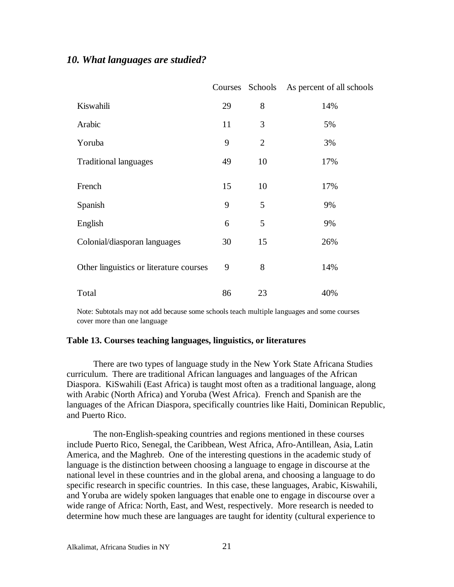### *10. What languages are studied?*

|                                         | Courses | Schools        | As percent of all schools |
|-----------------------------------------|---------|----------------|---------------------------|
| Kiswahili                               | 29      | 8              | 14%                       |
| Arabic                                  | 11      | 3              | 5%                        |
| Yoruba                                  | 9       | $\overline{2}$ | 3%                        |
| <b>Traditional languages</b>            | 49      | 10             | 17%                       |
| French                                  | 15      | 10             | 17%                       |
| Spanish                                 | 9       | 5              | 9%                        |
| English                                 | 6       | 5              | 9%                        |
| Colonial/diasporan languages            | 30      | 15             | 26%                       |
| Other linguistics or literature courses | 9       | 8              | 14%                       |
| Total                                   | 86      | 23             | 40%                       |

Note: Subtotals may not add because some schools teach multiple languages and some courses cover more than one language

#### **Table 13. Courses teaching languages, linguistics, or literatures**

There are two types of language study in the New York State Africana Studies curriculum. There are traditional African languages and languages of the African Diaspora. KiSwahili (East Africa) is taught most often as a traditional language, along with Arabic (North Africa) and Yoruba (West Africa). French and Spanish are the languages of the African Diaspora, specifically countries like Haiti, Dominican Republic, and Puerto Rico.

The non-English-speaking countries and regions mentioned in these courses include Puerto Rico, Senegal, the Caribbean, West Africa, Afro-Antillean, Asia, Latin America, and the Maghreb. One of the interesting questions in the academic study of language is the distinction between choosing a language to engage in discourse at the national level in these countries and in the global arena, and choosing a language to do specific research in specific countries. In this case, these languages, Arabic, Kiswahili, and Yoruba are widely spoken languages that enable one to engage in discourse over a wide range of Africa: North, East, and West, respectively. More research is needed to determine how much these are languages are taught for identity (cultural experience to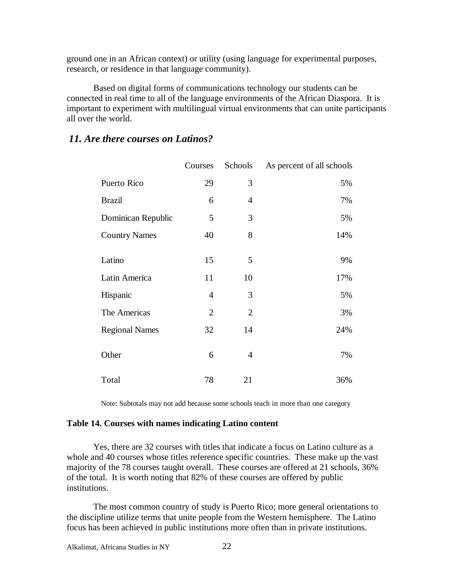ground one in an African context) or utility (using language for experimental purposes, research, or residence in that language community).

Based on digital forms of communications technology our students can be connected in real time to all of the language environments of the African Diaspora. It is important to experiment with multilingual virtual environments that can unite participants all over the world.

### *11. Are there courses on Latinos?*

|                       | Courses        | Schools        | As percent of all schools |
|-----------------------|----------------|----------------|---------------------------|
| Puerto Rico           | 29             | 3              | 5%                        |
| <b>Brazil</b>         | 6              | 4              | 7%                        |
| Dominican Republic    | 5              | 3              | 5%                        |
| <b>Country Names</b>  | 40             | 8              | 14%                       |
| Latino                | 15             | 5              | 9%                        |
| Latin America         | 11             | 10             | 17%                       |
| Hispanic              | $\overline{4}$ | 3              | 5%                        |
| The Americas          | $\overline{2}$ | $\overline{2}$ | 3%                        |
| <b>Regional Names</b> | 32             | 14             | 24%                       |
| Other                 | 6              | 4              | 7%                        |
| Total                 | 78             | 21             | 36%                       |

Note: Subtotals may not add because some schools teach in more than one category

#### **Table 14. Courses with names indicating Latino content**

Yes, there are 32 courses with titles that indicate a focus on Latino culture as a whole and 40 courses whose titles reference specific countries. These make up the vast majority of the 78 courses taught overall. These courses are offered at 21 schools, 36% of the total. It is worth noting that 82% of these courses are offered by public institutions.

The most common country of study is Puerto Rico; more general orientations to the discipline utilize terms that unite people from the Western hemisphere. The Latino focus has been achieved in public institutions more often than in private institutions.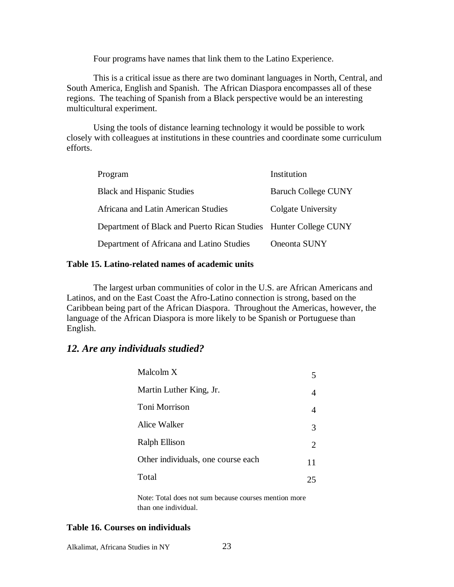Four programs have names that link them to the Latino Experience.

This is a critical issue as there are two dominant languages in North, Central, and South America, English and Spanish. The African Diaspora encompasses all of these regions. The teaching of Spanish from a Black perspective would be an interesting multicultural experiment.

Using the tools of distance learning technology it would be possible to work closely with colleagues at institutions in these countries and coordinate some curriculum efforts.

| Program                                                          | Institution                |
|------------------------------------------------------------------|----------------------------|
| <b>Black and Hispanic Studies</b>                                | <b>Baruch College CUNY</b> |
| Africana and Latin American Studies                              | Colgate University         |
| Department of Black and Puerto Rican Studies Hunter College CUNY |                            |
| Department of Africana and Latino Studies                        | Oneonta SUNY               |

#### **Table 15. Latino-related names of academic units**

The largest urban communities of color in the U.S. are African Americans and Latinos, and on the East Coast the Afro-Latino connection is strong, based on the Caribbean being part of the African Diaspora. Throughout the Americas, however, the language of the African Diaspora is more likely to be Spanish or Portuguese than English.

#### *12. Are any individuals studied?*

| Malcolm X                          |    |
|------------------------------------|----|
| Martin Luther King, Jr.            |    |
| Toni Morrison                      | 4  |
| Alice Walker                       | 3  |
| <b>Ralph Ellison</b>               | 2  |
| Other individuals, one course each | 11 |
| Total                              | 25 |

Note: Total does not sum because courses mention more than one individual.

### **Table 16. Courses on individuals**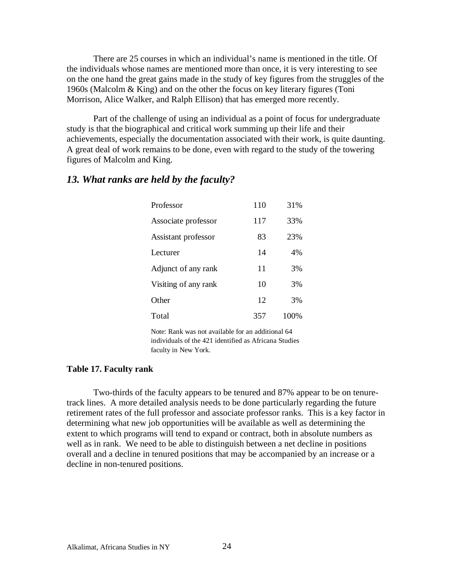There are 25 courses in which an individual's name is mentioned in the title. Of the individuals whose names are mentioned more than once, it is very interesting to see on the one hand the great gains made in the study of key figures from the struggles of the 1960s (Malcolm & King) and on the other the focus on key literary figures (Toni Morrison, Alice Walker, and Ralph Ellison) that has emerged more recently.

Part of the challenge of using an individual as a point of focus for undergraduate study is that the biographical and critical work summing up their life and their achievements, especially the documentation associated with their work, is quite daunting. A great deal of work remains to be done, even with regard to the study of the towering figures of Malcolm and King.

### *13. What ranks are held by the faculty?*

| Professor            | 110 | 31%  |
|----------------------|-----|------|
| Associate professor  | 117 | 33%  |
| Assistant professor  | 83  | 23%  |
| Lecturer             | 14  | 4%   |
| Adjunct of any rank  | 11  | 3%   |
| Visiting of any rank | 10  | 3%   |
| Other                | 12  | 3%   |
| Total                | 357 | 100% |

Note: Rank was not available for an additional 64 individuals of the 421 identified as Africana Studies faculty in New York.

#### **Table 17. Faculty rank**

Two-thirds of the faculty appears to be tenured and 87% appear to be on tenuretrack lines. A more detailed analysis needs to be done particularly regarding the future retirement rates of the full professor and associate professor ranks. This is a key factor in determining what new job opportunities will be available as well as determining the extent to which programs will tend to expand or contract, both in absolute numbers as well as in rank. We need to be able to distinguish between a net decline in positions overall and a decline in tenured positions that may be accompanied by an increase or a decline in non-tenured positions.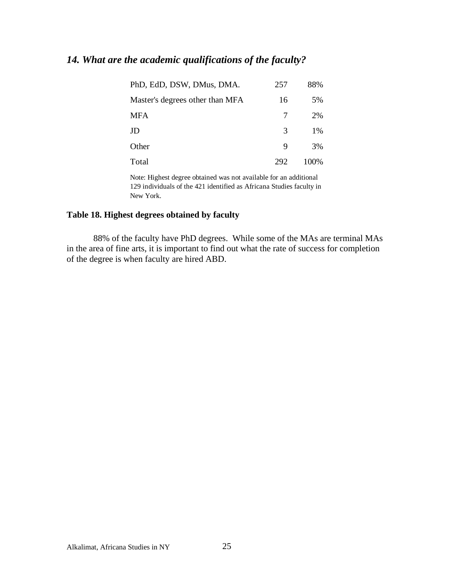## *14. What are the academic qualifications of the faculty?*

| PhD, EdD, DSW, DMus, DMA.       | 257 | 88%   |
|---------------------------------|-----|-------|
| Master's degrees other than MFA | 16  | 5%    |
| <b>MFA</b>                      |     | 2%    |
| JD                              | 3   | $1\%$ |
| Other                           | 9   | 3%    |
| Total                           | 292 | 100\% |

Note: Highest degree obtained was not available for an additional 129 individuals of the 421 identified as Africana Studies faculty in New York.

### **Table 18. Highest degrees obtained by faculty**

88% of the faculty have PhD degrees. While some of the MAs are terminal MAs in the area of fine arts, it is important to find out what the rate of success for completion of the degree is when faculty are hired ABD.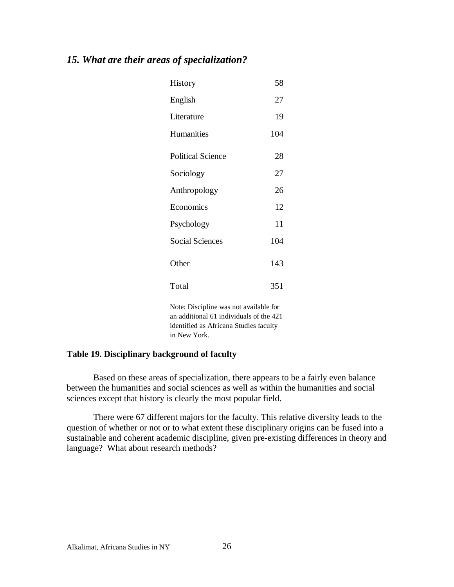## *15. What are their areas of specialization?*

| History                  | 58  |
|--------------------------|-----|
| English                  | 27  |
| Literature               | 19  |
| <b>Humanities</b>        | 104 |
| <b>Political Science</b> | 28  |
| Sociology                | 27  |
| Anthropology             | 26  |
| Economics                | 12  |
| Psychology               | 11  |
| <b>Social Sciences</b>   | 104 |
| Other                    | 143 |
| Total                    | 351 |

Note: Discipline was not available for an additional 61 individuals of the 421 identified as Africana Studies faculty in New York.

#### **Table 19. Disciplinary background of faculty**

Based on these areas of specialization, there appears to be a fairly even balance between the humanities and social sciences as well as within the humanities and social sciences except that history is clearly the most popular field.

There were 67 different majors for the faculty. This relative diversity leads to the question of whether or not or to what extent these disciplinary origins can be fused into a sustainable and coherent academic discipline, given pre-existing differences in theory and language? What about research methods?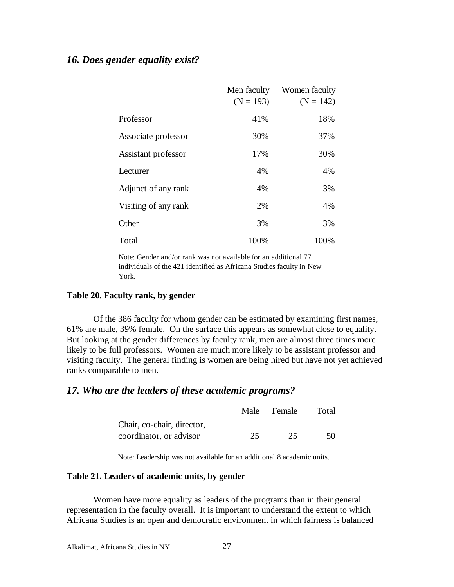## *16. Does gender equality exist?*

|                      | Men faculty<br>$(N = 193)$ | Women faculty<br>$(N = 142)$ |
|----------------------|----------------------------|------------------------------|
| Professor            | 41%                        | 18%                          |
| Associate professor  | 30%                        | 37%                          |
| Assistant professor  | 17%                        | 30%                          |
| Lecturer             | 4%                         | 4%                           |
| Adjunct of any rank  | 4%                         | 3%                           |
| Visiting of any rank | 2%                         | 4%                           |
| Other                | 3%                         | 3%                           |
| Total                | 100%                       | 100%                         |

Note: Gender and/or rank was not available for an additional 77 individuals of the 421 identified as Africana Studies faculty in New York.

#### **Table 20. Faculty rank, by gender**

Of the 386 faculty for whom gender can be estimated by examining first names, 61% are male, 39% female. On the surface this appears as somewhat close to equality. But looking at the gender differences by faculty rank, men are almost three times more likely to be full professors. Women are much more likely to be assistant professor and visiting faculty. The general finding is women are being hired but have not yet achieved ranks comparable to men.

### *17. Who are the leaders of these academic programs?*

|                            |    | Male Female | Total |
|----------------------------|----|-------------|-------|
| Chair, co-chair, director, |    |             |       |
| coordinator, or advisor    | 25 | 25          | 50.   |

Note: Leadership was not available for an additional 8 academic units.

#### **Table 21. Leaders of academic units, by gender**

Women have more equality as leaders of the programs than in their general representation in the faculty overall. It is important to understand the extent to which Africana Studies is an open and democratic environment in which fairness is balanced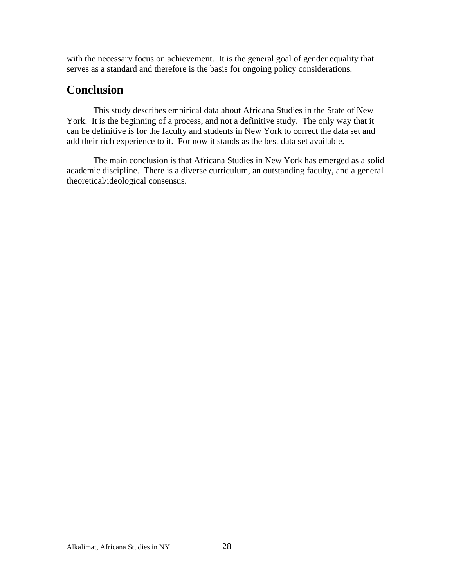with the necessary focus on achievement. It is the general goal of gender equality that serves as a standard and therefore is the basis for ongoing policy considerations.

## **Conclusion**

This study describes empirical data about Africana Studies in the State of New York. It is the beginning of a process, and not a definitive study. The only way that it can be definitive is for the faculty and students in New York to correct the data set and add their rich experience to it. For now it stands as the best data set available.

The main conclusion is that Africana Studies in New York has emerged as a solid academic discipline. There is a diverse curriculum, an outstanding faculty, and a general theoretical/ideological consensus.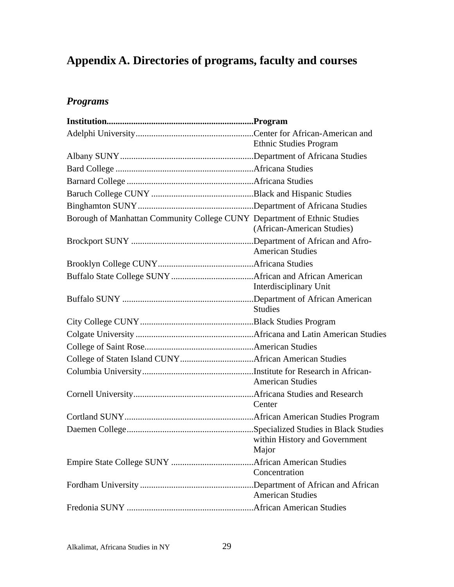# **Appendix A. Directories of programs, faculty and courses**

## *Programs*

|                                                                          | <b>Ethnic Studies Program</b>          |
|--------------------------------------------------------------------------|----------------------------------------|
|                                                                          |                                        |
|                                                                          |                                        |
|                                                                          |                                        |
|                                                                          |                                        |
|                                                                          |                                        |
| Borough of Manhattan Community College CUNY Department of Ethnic Studies | (African-American Studies)             |
|                                                                          | <b>American Studies</b>                |
|                                                                          |                                        |
|                                                                          | Interdisciplinary Unit                 |
|                                                                          | <b>Studies</b>                         |
|                                                                          |                                        |
|                                                                          |                                        |
|                                                                          |                                        |
|                                                                          |                                        |
|                                                                          | <b>American Studies</b>                |
|                                                                          | Center                                 |
|                                                                          |                                        |
|                                                                          | within History and Government<br>Major |
|                                                                          |                                        |
|                                                                          | Concentration                          |
|                                                                          | <b>American Studies</b>                |
|                                                                          |                                        |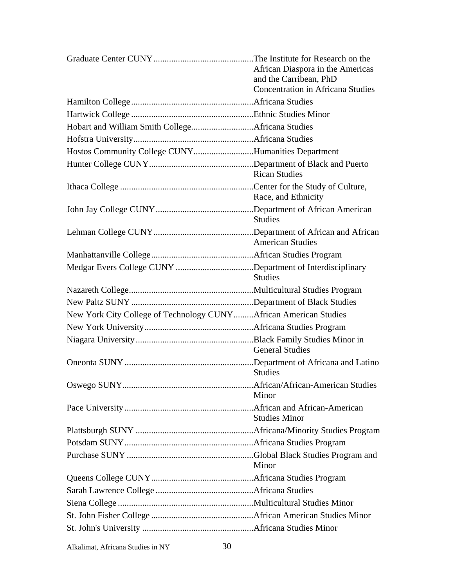|                                                                  | African Diaspora in the Americas<br>and the Carribean, PhD |
|------------------------------------------------------------------|------------------------------------------------------------|
|                                                                  | <b>Concentration in Africana Studies</b>                   |
|                                                                  |                                                            |
|                                                                  |                                                            |
|                                                                  |                                                            |
|                                                                  |                                                            |
| Hostos Community College CUNYHumanities Department               |                                                            |
|                                                                  | <b>Rican Studies</b>                                       |
|                                                                  | Race, and Ethnicity                                        |
|                                                                  | <b>Studies</b>                                             |
|                                                                  | <b>American Studies</b>                                    |
|                                                                  |                                                            |
| Medgar Evers College CUNY Department of Interdisciplinary        | <b>Studies</b>                                             |
|                                                                  |                                                            |
|                                                                  |                                                            |
| New York City College of Technology CUNYAfrican American Studies |                                                            |
|                                                                  |                                                            |
|                                                                  | <b>General Studies</b>                                     |
|                                                                  | <b>Studies</b>                                             |
|                                                                  | Minor                                                      |
|                                                                  | <b>Studies Minor</b>                                       |
|                                                                  |                                                            |
|                                                                  |                                                            |
|                                                                  | Minor                                                      |
|                                                                  |                                                            |
|                                                                  |                                                            |
|                                                                  |                                                            |
|                                                                  |                                                            |
|                                                                  |                                                            |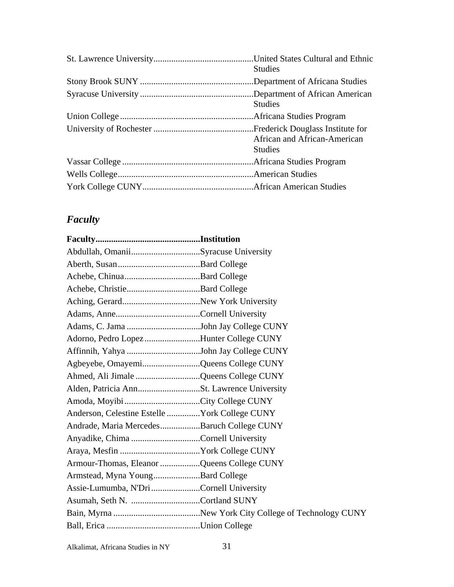| <b>Studies</b>                                 |
|------------------------------------------------|
|                                                |
|                                                |
| <b>Studies</b>                                 |
|                                                |
| African and African-American<br><b>Studies</b> |
|                                                |
|                                                |
|                                                |
|                                                |

## *Faculty*

| Abdullah, OmaniiSyracuse University           |  |
|-----------------------------------------------|--|
|                                               |  |
|                                               |  |
|                                               |  |
|                                               |  |
|                                               |  |
|                                               |  |
| Adorno, Pedro LopezHunter College CUNY        |  |
|                                               |  |
| Agbeyebe, OmayemiQueens College CUNY          |  |
| Ahmed, Ali Jimale Queens College CUNY         |  |
|                                               |  |
|                                               |  |
| Anderson, Celestine Estelle York College CUNY |  |
| Andrade, Maria MercedesBaruch College CUNY    |  |
| Anyadike, Chima Cornell University            |  |
|                                               |  |
| Armour-Thomas, Eleanor Queens College CUNY    |  |
| Armstead, Myna YoungBard College              |  |
| Assie-Lumumba, N'Dri Cornell University       |  |
|                                               |  |
|                                               |  |
|                                               |  |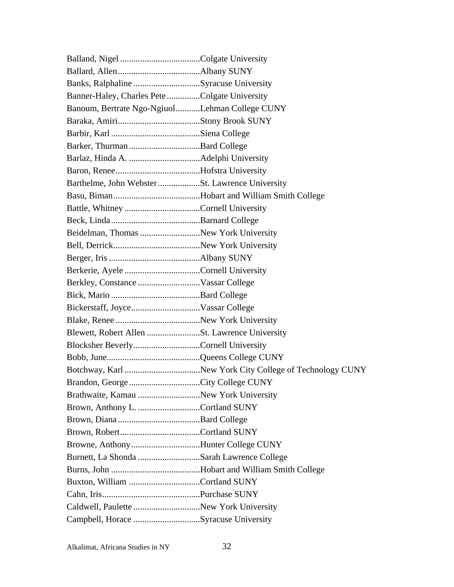| Banks, Ralphaline Syracuse University           |  |
|-------------------------------------------------|--|
| Banner-Haley, Charles PeteColgate University    |  |
| Banoum, Bertrate Ngo-NgiuolLehman College CUNY  |  |
|                                                 |  |
|                                                 |  |
|                                                 |  |
|                                                 |  |
|                                                 |  |
| Barthelme, John Webster St. Lawrence University |  |
|                                                 |  |
|                                                 |  |
|                                                 |  |
| Beidelman, Thomas New York University           |  |
|                                                 |  |
|                                                 |  |
|                                                 |  |
|                                                 |  |
|                                                 |  |
|                                                 |  |
|                                                 |  |
| Blewett, Robert Allen St. Lawrence University   |  |
| Blocksher BeverlyCornell University             |  |
|                                                 |  |
|                                                 |  |
|                                                 |  |
|                                                 |  |
| Brown, Anthony L. Cortland SUNY                 |  |
|                                                 |  |
|                                                 |  |
| Browne, AnthonyHunter College CUNY              |  |
| Burnett, La Shonda Sarah Lawrence College       |  |
|                                                 |  |
|                                                 |  |
|                                                 |  |
| Caldwell, Paulette New York University          |  |
| Campbell, Horace Syracuse University            |  |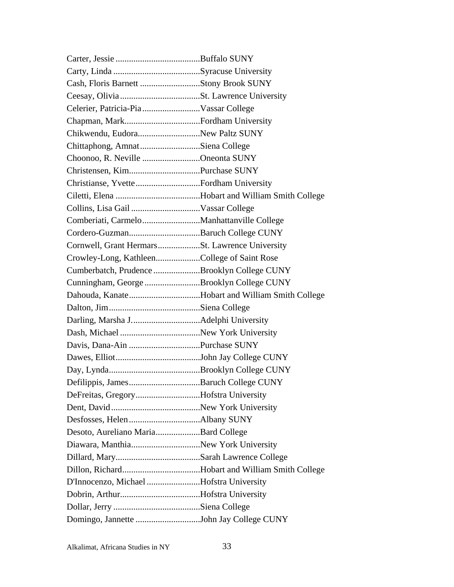| Chikwendu, EudoraNew Paltz SUNY             |  |
|---------------------------------------------|--|
| Chittaphong, AmnatSiena College             |  |
| Choonoo, R. Neville Oneonta SUNY            |  |
|                                             |  |
|                                             |  |
|                                             |  |
|                                             |  |
|                                             |  |
|                                             |  |
|                                             |  |
| Crowley-Long, KathleenCollege of Saint Rose |  |
| Cumberbatch, Prudence Brooklyn College CUNY |  |
| Cunningham, George Brooklyn College CUNY    |  |
|                                             |  |
|                                             |  |
|                                             |  |
|                                             |  |
|                                             |  |
|                                             |  |
|                                             |  |
|                                             |  |
| DeFreitas, GregoryHofstra University        |  |
|                                             |  |
|                                             |  |
| Desoto, Aureliano MariaBard College         |  |
| Diawara, ManthiaNew York University         |  |
|                                             |  |
|                                             |  |
| D'Innocenzo, Michael Hofstra University     |  |
|                                             |  |
|                                             |  |
|                                             |  |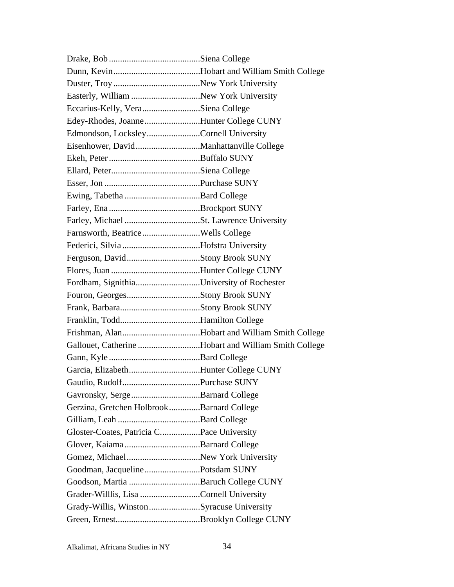| Easterly, William New York University                |  |
|------------------------------------------------------|--|
| Eccarius-Kelly, VeraSiena College                    |  |
| Edey-Rhodes, JoanneHunter College CUNY               |  |
| Edmondson, LocksleyCornell University                |  |
|                                                      |  |
|                                                      |  |
|                                                      |  |
|                                                      |  |
|                                                      |  |
|                                                      |  |
|                                                      |  |
|                                                      |  |
|                                                      |  |
|                                                      |  |
|                                                      |  |
| Fordham, SignithiaUniversity of Rochester            |  |
|                                                      |  |
|                                                      |  |
|                                                      |  |
|                                                      |  |
| Gallouet, Catherine Hobart and William Smith College |  |
|                                                      |  |
| Garcia, ElizabethHunter College CUNY                 |  |
|                                                      |  |
|                                                      |  |
| Gerzina, Gretchen HolbrookBarnard College            |  |
|                                                      |  |
| Gloster-Coates, Patricia CPace University            |  |
|                                                      |  |
| Gomez, MichaelNew York University                    |  |
| Goodman, JacquelinePotsdam SUNY                      |  |
| Goodson, Martia Baruch College CUNY                  |  |
| Grader-Willlis, Lisa Cornell University              |  |
| Grady-Willis, WinstonSyracuse University             |  |
|                                                      |  |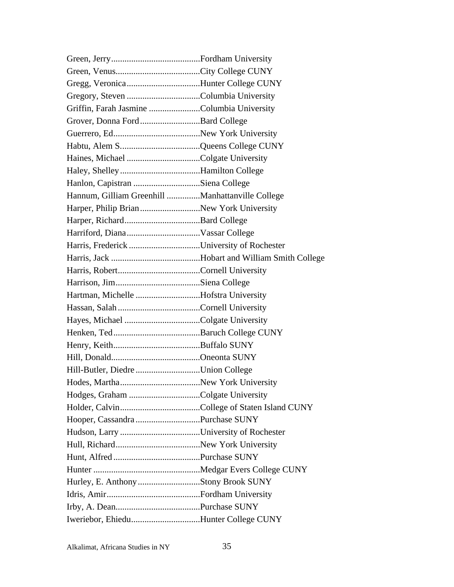| Gregg, VeronicaHunter College CUNY               |  |
|--------------------------------------------------|--|
|                                                  |  |
| Griffin, Farah Jasmine Columbia University       |  |
|                                                  |  |
|                                                  |  |
|                                                  |  |
|                                                  |  |
|                                                  |  |
| Hanlon, Capistran Siena College                  |  |
| Hannum, Gilliam Greenhill Manhattanville College |  |
| Harper, Philip BrianNew York University          |  |
|                                                  |  |
|                                                  |  |
| Harris, Frederick University of Rochester        |  |
|                                                  |  |
|                                                  |  |
|                                                  |  |
| Hartman, Michelle Hofstra University             |  |
|                                                  |  |
|                                                  |  |
|                                                  |  |
|                                                  |  |
|                                                  |  |
| Hill-Butler, Diedre Union College                |  |
|                                                  |  |
|                                                  |  |
|                                                  |  |
|                                                  |  |
|                                                  |  |
|                                                  |  |
|                                                  |  |
|                                                  |  |
| Hurley, E. Anthony Stony Brook SUNY              |  |
|                                                  |  |
|                                                  |  |
| Iweriebor, EhieduHunter College CUNY             |  |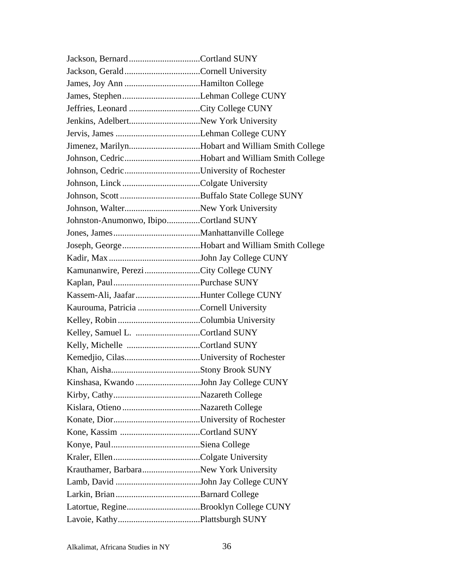| James, Joy Ann Hamilton College                  |  |
|--------------------------------------------------|--|
|                                                  |  |
| Jeffries, Leonard City College CUNY              |  |
| Jenkins, AdelbertNew York University             |  |
|                                                  |  |
| Jimenez, MarilynHobart and William Smith College |  |
|                                                  |  |
|                                                  |  |
|                                                  |  |
|                                                  |  |
|                                                  |  |
| Johnston-Anumonwo, IbipoCortland SUNY            |  |
|                                                  |  |
|                                                  |  |
|                                                  |  |
| Kamunanwire, PereziCity College CUNY             |  |
|                                                  |  |
| Kassem-Ali, Jaafar Hunter College CUNY           |  |
| Kaurouma, Patricia Cornell University            |  |
|                                                  |  |
|                                                  |  |
|                                                  |  |
|                                                  |  |
|                                                  |  |
| Kinshasa, Kwando John Jay College CUNY           |  |
|                                                  |  |
|                                                  |  |
|                                                  |  |
|                                                  |  |
|                                                  |  |
|                                                  |  |
| Krauthamer, BarbaraNew York University           |  |
|                                                  |  |
|                                                  |  |
|                                                  |  |
|                                                  |  |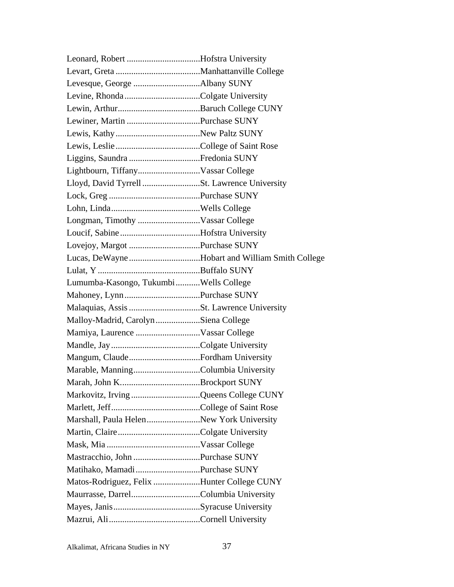| Lloyd, David Tyrrell St. Lawrence University |                                                |
|----------------------------------------------|------------------------------------------------|
|                                              |                                                |
|                                              |                                                |
|                                              |                                                |
|                                              |                                                |
|                                              |                                                |
|                                              | Lucas, DeWayneHobart and William Smith College |
|                                              |                                                |
| Lumumba-Kasongo, TukumbiWells College        |                                                |
|                                              |                                                |
|                                              |                                                |
| Malloy-Madrid, Carolyn Siena College         |                                                |
|                                              |                                                |
|                                              |                                                |
| Mangum, ClaudeFordham University             |                                                |
|                                              |                                                |
|                                              |                                                |
| Markovitz, Irving Queens College CUNY        |                                                |
|                                              |                                                |
| Marshall, Paula HelenNew York University     |                                                |
|                                              |                                                |
|                                              |                                                |
|                                              |                                                |
| Matihako, Mamadi Purchase SUNY               |                                                |
|                                              |                                                |
| Matos-Rodriguez, Felix Hunter College CUNY   |                                                |
|                                              |                                                |
|                                              |                                                |

Alkalimat, Africana Studies in NY 37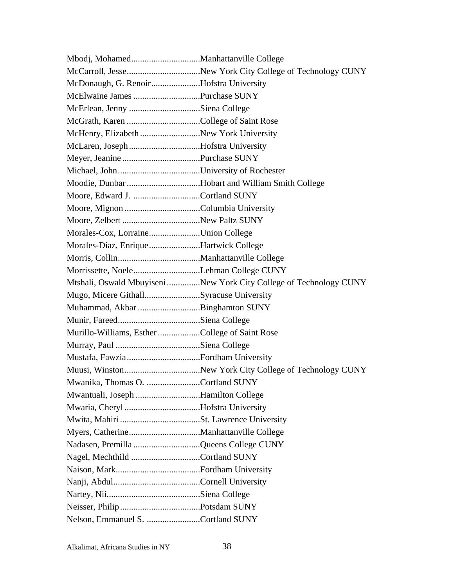| McDonaugh, G. RenoirHofstra University          |                                                                    |
|-------------------------------------------------|--------------------------------------------------------------------|
|                                                 |                                                                    |
|                                                 |                                                                    |
|                                                 |                                                                    |
| McHenry, Elizabeth New York University          |                                                                    |
| McLaren, JosephHofstra University               |                                                                    |
|                                                 |                                                                    |
|                                                 |                                                                    |
| Moodie, Dunbar Hobart and William Smith College |                                                                    |
|                                                 |                                                                    |
|                                                 |                                                                    |
|                                                 |                                                                    |
| Morales-Cox, LorraineUnion College              |                                                                    |
| Morales-Diaz, EnriqueHartwick College           |                                                                    |
|                                                 |                                                                    |
|                                                 |                                                                    |
|                                                 | Mtshali, Oswald Mbuyiseni New York City College of Technology CUNY |
| Mugo, Micere GithallSyracuse University         |                                                                    |
| Muhammad, Akbar Binghamton SUNY                 |                                                                    |
|                                                 |                                                                    |
| Murillo-Williams, EstherCollege of Saint Rose   |                                                                    |
|                                                 |                                                                    |
|                                                 |                                                                    |
|                                                 |                                                                    |
| Mwanika, Thomas O. Cortland SUNY                |                                                                    |
| Mwantuali, Joseph Hamilton College              |                                                                    |
|                                                 |                                                                    |
|                                                 |                                                                    |
|                                                 |                                                                    |
| Nadasen, Premilla Queens College CUNY           |                                                                    |
|                                                 |                                                                    |
|                                                 |                                                                    |
|                                                 |                                                                    |
|                                                 |                                                                    |
|                                                 |                                                                    |
| Nelson, Emmanuel S. Cortland SUNY               |                                                                    |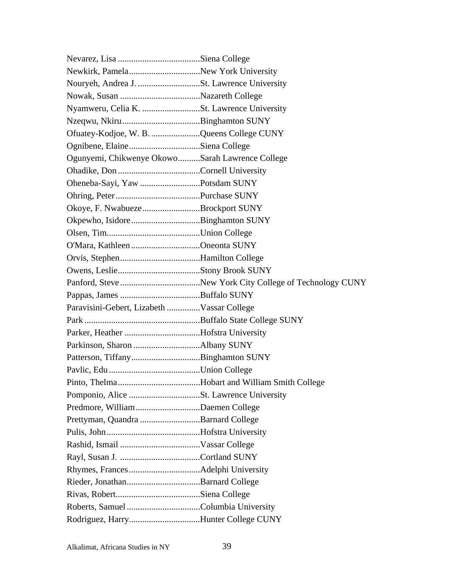| Nyamweru, Celia K. St. Lawrence University      |  |
|-------------------------------------------------|--|
|                                                 |  |
| Ofuatey-Kodjoe, W. B. Queens College CUNY       |  |
|                                                 |  |
| Ogunyemi, Chikwenye OkowoSarah Lawrence College |  |
|                                                 |  |
| Oheneba-Sayi, Yaw Potsdam SUNY                  |  |
|                                                 |  |
| Okoye, F. NwabuezeBrockport SUNY                |  |
|                                                 |  |
|                                                 |  |
| O'Mara, Kathleen Oneonta SUNY                   |  |
|                                                 |  |
|                                                 |  |
|                                                 |  |
|                                                 |  |
| Paravisini-Gebert, Lizabeth Vassar College      |  |
|                                                 |  |
| Parker, Heather Hofstra University              |  |
|                                                 |  |
|                                                 |  |
|                                                 |  |
|                                                 |  |
|                                                 |  |
| Predmore, WilliamDaemen College                 |  |
| Prettyman, Quandra Barnard College              |  |
|                                                 |  |
|                                                 |  |
|                                                 |  |
|                                                 |  |
|                                                 |  |
|                                                 |  |
|                                                 |  |
| Rodriguez, HarryHunter College CUNY             |  |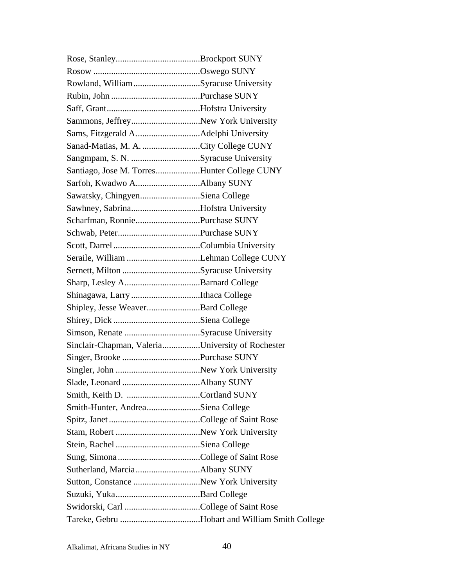| Rowland, WilliamSyracuse University              |  |
|--------------------------------------------------|--|
|                                                  |  |
|                                                  |  |
| Sammons, JeffreyNew York University              |  |
|                                                  |  |
| Sanad-Matias, M. A. City College CUNY            |  |
|                                                  |  |
| Santiago, Jose M. TorresHunter College CUNY      |  |
|                                                  |  |
| Sawatsky, ChingyenSiena College                  |  |
| Sawhney, SabrinaHofstra University               |  |
| Scharfman, RonniePurchase SUNY                   |  |
|                                                  |  |
|                                                  |  |
|                                                  |  |
|                                                  |  |
|                                                  |  |
| Shinagawa, Larry Ithaca College                  |  |
| Shipley, Jesse WeaverBard College                |  |
|                                                  |  |
|                                                  |  |
| Sinclair-Chapman, ValeriaUniversity of Rochester |  |
|                                                  |  |
|                                                  |  |
|                                                  |  |
|                                                  |  |
| Smith-Hunter, AndreaSiena College                |  |
|                                                  |  |
|                                                  |  |
|                                                  |  |
|                                                  |  |
|                                                  |  |
|                                                  |  |
|                                                  |  |
|                                                  |  |
|                                                  |  |

Alkalimat, Africana Studies in NY 40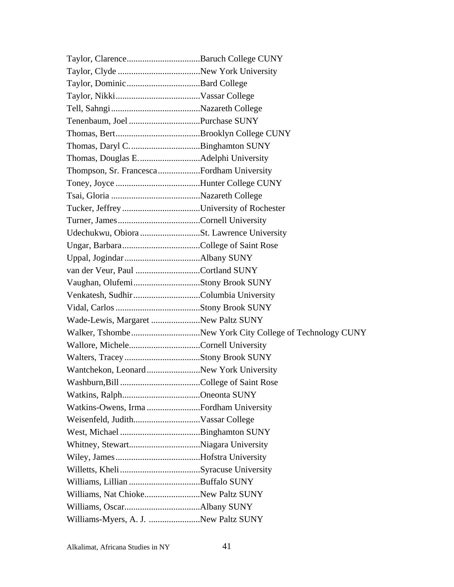| Thompson, Sr. FrancescaFordham University |  |
|-------------------------------------------|--|
|                                           |  |
|                                           |  |
|                                           |  |
|                                           |  |
| Udechukwu, Obiora St. Lawrence University |  |
|                                           |  |
|                                           |  |
| van der Veur, Paul Cortland SUNY          |  |
|                                           |  |
|                                           |  |
|                                           |  |
| Wade-Lewis, Margaret New Paltz SUNY       |  |
|                                           |  |
|                                           |  |
|                                           |  |
| Wantchekon, LeonardNew York University    |  |
|                                           |  |
|                                           |  |
|                                           |  |
|                                           |  |
|                                           |  |
|                                           |  |
|                                           |  |
|                                           |  |
|                                           |  |
| Williams, Nat ChiokeNew Paltz SUNY        |  |
|                                           |  |
| Williams-Myers, A. J. New Paltz SUNY      |  |

Alkalimat, Africana Studies in NY 41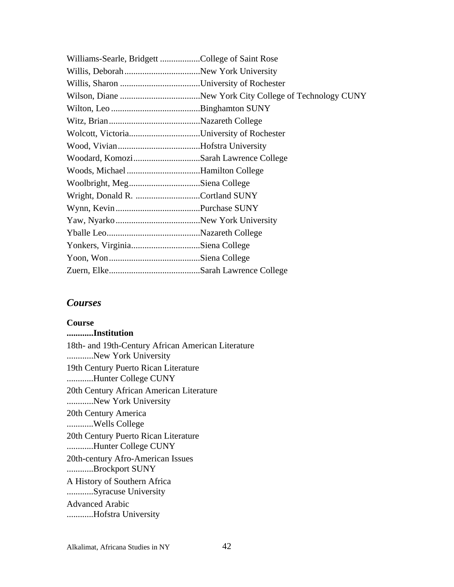| Williams-Searle, Bridgett College of Saint Rose |  |
|-------------------------------------------------|--|
|                                                 |  |
|                                                 |  |
|                                                 |  |
|                                                 |  |
|                                                 |  |
|                                                 |  |
|                                                 |  |
| Woodard, KomoziSarah Lawrence College           |  |
| Woods, Michael Hamilton College                 |  |
| Woolbright, MegSiena College                    |  |
|                                                 |  |
|                                                 |  |
|                                                 |  |
|                                                 |  |
| Yonkers, VirginiaSiena College                  |  |
|                                                 |  |
|                                                 |  |

## *Courses*

**Course ............Institution**  18th- and 19th-Century African American Literature ............New York University 19th Century Puerto Rican Literature ............Hunter College CUNY 20th Century African American Literature ............New York University 20th Century America ............Wells College 20th Century Puerto Rican Literature ............Hunter College CUNY 20th-century Afro-American Issues ............Brockport SUNY A History of Southern Africa ............Syracuse University Advanced Arabic ............Hofstra University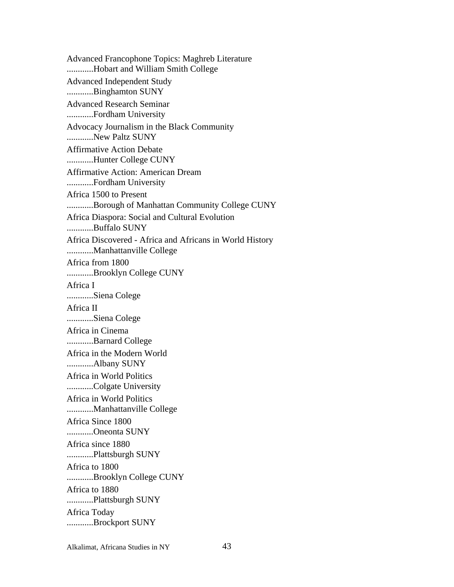Advanced Francophone Topics: Maghreb Literature ............Hobart and William Smith College Advanced Independent Study ............Binghamton SUNY Advanced Research Seminar ............Fordham University Advocacy Journalism in the Black Community ............New Paltz SUNY Affirmative Action Debate ............Hunter College CUNY Affirmative Action: American Dream ............Fordham University Africa 1500 to Present ............Borough of Manhattan Community College CUNY Africa Diaspora: Social and Cultural Evolution ............Buffalo SUNY Africa Discovered - Africa and Africans in World History ............Manhattanville College Africa from 1800 ............Brooklyn College CUNY Africa I ............Siena Colege Africa II ............Siena Colege Africa in Cinema ............Barnard College Africa in the Modern World ............Albany SUNY Africa in World Politics ............Colgate University Africa in World Politics ............Manhattanville College Africa Since 1800 ............Oneonta SUNY Africa since 1880 ............Plattsburgh SUNY Africa to 1800 ............Brooklyn College CUNY Africa to 1880 ............Plattsburgh SUNY Africa Today ............Brockport SUNY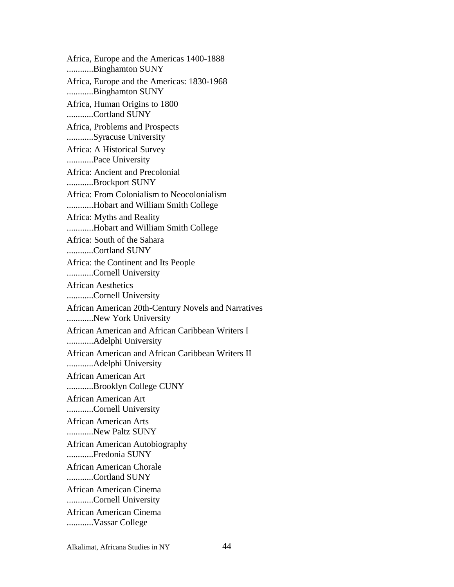Africa, Europe and the Americas 1400-1888 ............Binghamton SUNY Africa, Europe and the Americas: 1830-1968 ............Binghamton SUNY Africa, Human Origins to 1800 ............Cortland SUNY Africa, Problems and Prospects ............Syracuse University Africa: A Historical Survey ............Pace University Africa: Ancient and Precolonial ............Brockport SUNY Africa: From Colonialism to Neocolonialism ............Hobart and William Smith College Africa: Myths and Reality ............Hobart and William Smith College Africa: South of the Sahara ............Cortland SUNY Africa: the Continent and Its People ............Cornell University African Aesthetics ............Cornell University African American 20th-Century Novels and Narratives ............New York University African American and African Caribbean Writers I ............Adelphi University African American and African Caribbean Writers II ............Adelphi University African American Art ............Brooklyn College CUNY African American Art ............Cornell University African American Arts ............New Paltz SUNY African American Autobiography ............Fredonia SUNY African American Chorale ............Cortland SUNY African American Cinema ............Cornell University African American Cinema ............Vassar College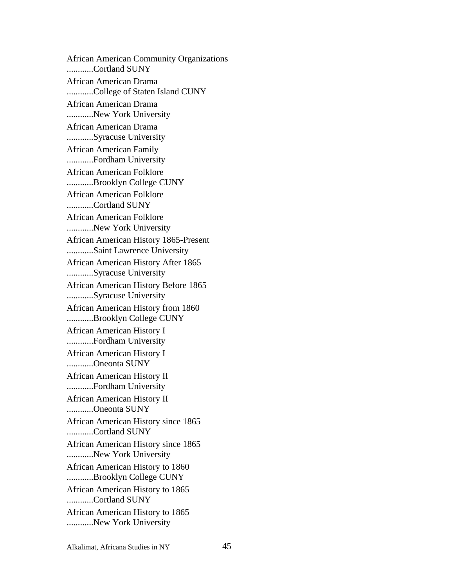African American Community Organizations ............Cortland SUNY African American Drama ............College of Staten Island CUNY African American Drama ............New York University African American Drama ............Syracuse University African American Family ............Fordham University African American Folklore ............Brooklyn College CUNY African American Folklore ............Cortland SUNY African American Folklore ............New York University African American History 1865-Present ............Saint Lawrence University African American History After 1865 ............Syracuse University African American History Before 1865 ............Syracuse University African American History from 1860 ............Brooklyn College CUNY African American History I ............Fordham University African American History I ............Oneonta SUNY African American History II ............Fordham University African American History II ............Oneonta SUNY African American History since 1865 ............Cortland SUNY African American History since 1865 ............New York University African American History to 1860 ............Brooklyn College CUNY African American History to 1865 ............Cortland SUNY African American History to 1865 ............New York University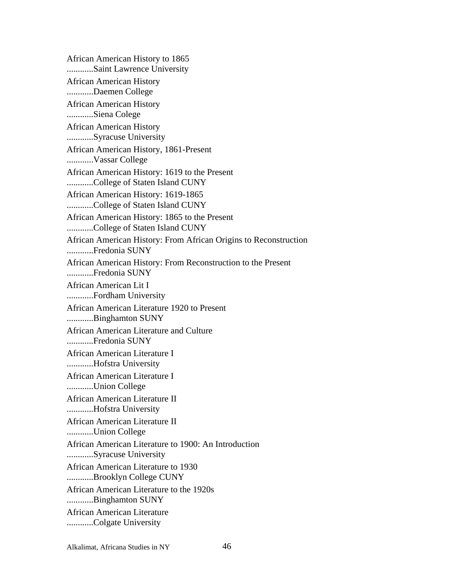African American History to 1865 ............Saint Lawrence University African American History ............Daemen College African American History ............Siena Colege African American History ............Syracuse University African American History, 1861-Present ............Vassar College African American History: 1619 to the Present ............College of Staten Island CUNY African American History: 1619-1865 ............College of Staten Island CUNY African American History: 1865 to the Present ............College of Staten Island CUNY African American History: From African Origins to Reconstruction ............Fredonia SUNY African American History: From Reconstruction to the Present ............Fredonia SUNY African American Lit I ............Fordham University African American Literature 1920 to Present ............Binghamton SUNY African American Literature and Culture ............Fredonia SUNY African American Literature I ............Hofstra University African American Literature I ............Union College African American Literature II ............Hofstra University African American Literature II ............Union College African American Literature to 1900: An Introduction ............Syracuse University African American Literature to 1930 ............Brooklyn College CUNY African American Literature to the 1920s ............Binghamton SUNY African American Literature ............Colgate University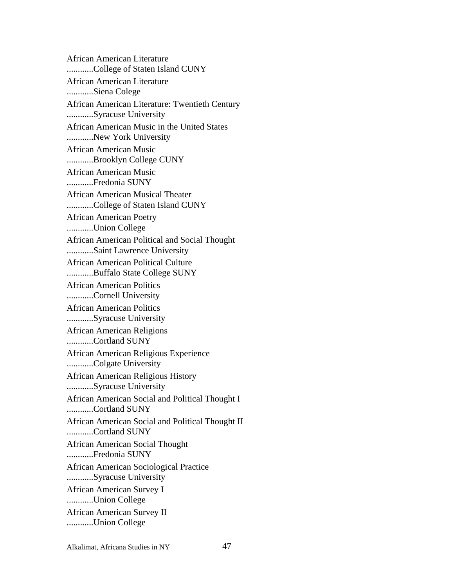African American Literature ............College of Staten Island CUNY African American Literature ............Siena Colege African American Literature: Twentieth Century ............Syracuse University African American Music in the United States ............New York University African American Music ............Brooklyn College CUNY African American Music ............Fredonia SUNY African American Musical Theater ............College of Staten Island CUNY African American Poetry ............Union College African American Political and Social Thought ............Saint Lawrence University African American Political Culture ............Buffalo State College SUNY African American Politics ............Cornell University African American Politics ............Syracuse University African American Religions ............Cortland SUNY African American Religious Experience ............Colgate University African American Religious History ............Syracuse University African American Social and Political Thought I ............Cortland SUNY African American Social and Political Thought II ............Cortland SUNY African American Social Thought ............Fredonia SUNY African American Sociological Practice ............Syracuse University African American Survey I ............Union College African American Survey II ............Union College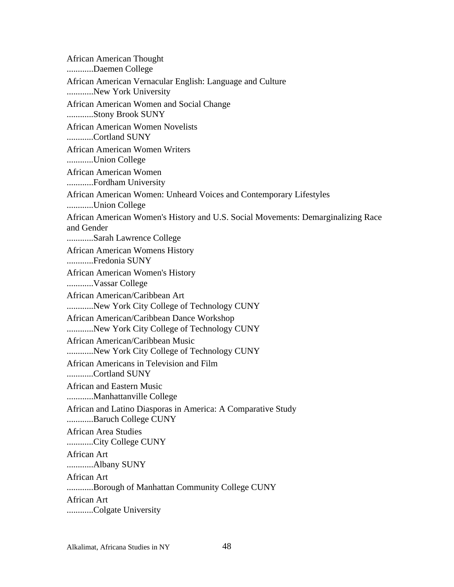African American Thought ............Daemen College African American Vernacular English: Language and Culture ............New York University African American Women and Social Change ............Stony Brook SUNY African American Women Novelists ............Cortland SUNY African American Women Writers ............Union College African American Women ............Fordham University African American Women: Unheard Voices and Contemporary Lifestyles ............Union College African American Women's History and U.S. Social Movements: Demarginalizing Race and Gender ............Sarah Lawrence College African American Womens History ............Fredonia SUNY African American Women's History ............Vassar College African American/Caribbean Art ............New York City College of Technology CUNY African American/Caribbean Dance Workshop ............New York City College of Technology CUNY African American/Caribbean Music ............New York City College of Technology CUNY African Americans in Television and Film ............Cortland SUNY African and Eastern Music ............Manhattanville College African and Latino Diasporas in America: A Comparative Study ............Baruch College CUNY African Area Studies ............City College CUNY African Art ............Albany SUNY African Art ............Borough of Manhattan Community College CUNY African Art ............Colgate University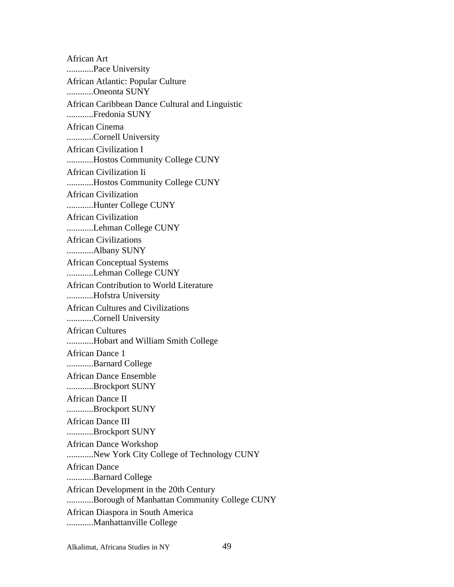African Art ............Pace University African Atlantic: Popular Culture ............Oneonta SUNY African Caribbean Dance Cultural and Linguistic ............Fredonia SUNY African Cinema ............Cornell University African Civilization I ............Hostos Community College CUNY African Civilization Ii ............Hostos Community College CUNY African Civilization ............Hunter College CUNY African Civilization ............Lehman College CUNY African Civilizations ............Albany SUNY African Conceptual Systems ............Lehman College CUNY African Contribution to World Literature ............Hofstra University African Cultures and Civilizations ............Cornell University African Cultures ............Hobart and William Smith College African Dance 1 ............Barnard College African Dance Ensemble ............Brockport SUNY African Dance II ............Brockport SUNY African Dance III ............Brockport SUNY African Dance Workshop ............New York City College of Technology CUNY African Dance ............Barnard College African Development in the 20th Century ............Borough of Manhattan Community College CUNY African Diaspora in South America ............Manhattanville College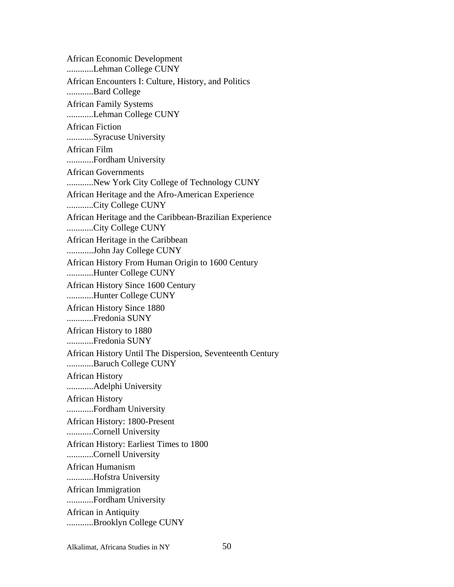African Economic Development ............Lehman College CUNY African Encounters I: Culture, History, and Politics ............Bard College African Family Systems ............Lehman College CUNY African Fiction ............Syracuse University African Film ............Fordham University African Governments ............New York City College of Technology CUNY African Heritage and the Afro-American Experience ............City College CUNY African Heritage and the Caribbean-Brazilian Experience ............City College CUNY African Heritage in the Caribbean ............John Jay College CUNY African History From Human Origin to 1600 Century ............Hunter College CUNY African History Since 1600 Century ............Hunter College CUNY African History Since 1880 ............Fredonia SUNY African History to 1880 ............Fredonia SUNY African History Until The Dispersion, Seventeenth Century ............Baruch College CUNY African History ............Adelphi University African History ............Fordham University African History: 1800-Present ............Cornell University African History: Earliest Times to 1800 ............Cornell University African Humanism ............Hofstra University African Immigration ............Fordham University African in Antiquity ............Brooklyn College CUNY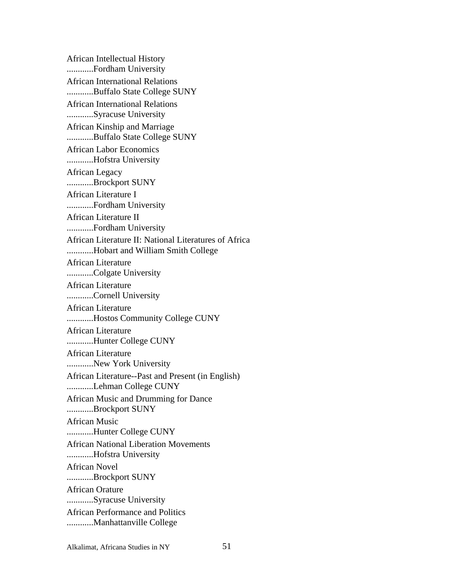African Intellectual History ............Fordham University African International Relations ............Buffalo State College SUNY African International Relations ............Syracuse University African Kinship and Marriage ............Buffalo State College SUNY African Labor Economics ............Hofstra University African Legacy ............Brockport SUNY African Literature I ............Fordham University African Literature II ............Fordham University African Literature II: National Literatures of Africa ............Hobart and William Smith College African Literature ............Colgate University African Literature ............Cornell University African Literature ............Hostos Community College CUNY African Literature ............Hunter College CUNY African Literature ............New York University African Literature--Past and Present (in English) ............Lehman College CUNY African Music and Drumming for Dance ............Brockport SUNY African Music ............Hunter College CUNY African National Liberation Movements ............Hofstra University African Novel ............Brockport SUNY African Orature ............Syracuse University African Performance and Politics ............Manhattanville College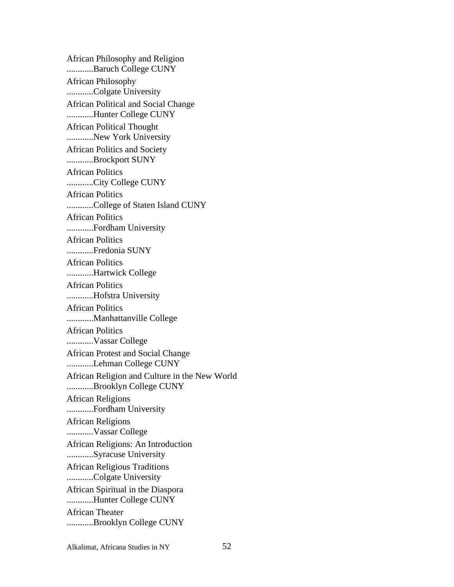African Philosophy and Religion ............Baruch College CUNY African Philosophy ............Colgate University African Political and Social Change ............Hunter College CUNY African Political Thought ............New York University African Politics and Society ............Brockport SUNY African Politics ............City College CUNY African Politics ............College of Staten Island CUNY African Politics ............Fordham University African Politics ............Fredonia SUNY African Politics ............Hartwick College African Politics ............Hofstra University African Politics ............Manhattanville College African Politics ............Vassar College African Protest and Social Change ............Lehman College CUNY African Religion and Culture in the New World ............Brooklyn College CUNY African Religions ............Fordham University African Religions ............Vassar College African Religions: An Introduction ............Syracuse University African Religious Traditions ............Colgate University African Spiritual in the Diaspora ............Hunter College CUNY African Theater ............Brooklyn College CUNY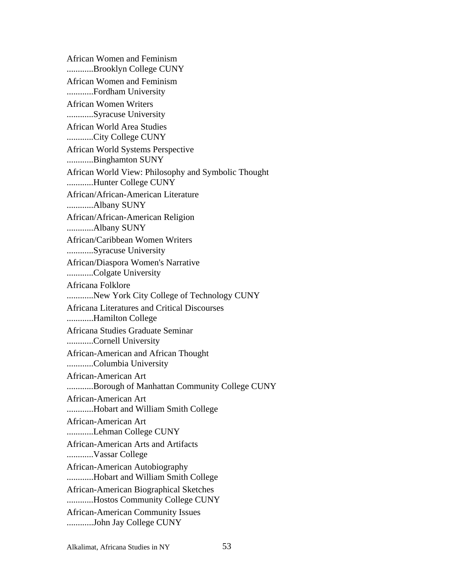African Women and Feminism ............Brooklyn College CUNY African Women and Feminism ............Fordham University African Women Writers ............Syracuse University African World Area Studies ............City College CUNY African World Systems Perspective ............Binghamton SUNY African World View: Philosophy and Symbolic Thought ............Hunter College CUNY African/African-American Literature ............Albany SUNY African/African-American Religion ............Albany SUNY African/Caribbean Women Writers ............Syracuse University African/Diaspora Women's Narrative ............Colgate University Africana Folklore ............New York City College of Technology CUNY Africana Literatures and Critical Discourses ............Hamilton College Africana Studies Graduate Seminar ............Cornell University African-American and African Thought ............Columbia University African-American Art ............Borough of Manhattan Community College CUNY African-American Art ............Hobart and William Smith College African-American Art ............Lehman College CUNY African-American Arts and Artifacts ............Vassar College African-American Autobiography ............Hobart and William Smith College African-American Biographical Sketches ............Hostos Community College CUNY African-American Community Issues ............John Jay College CUNY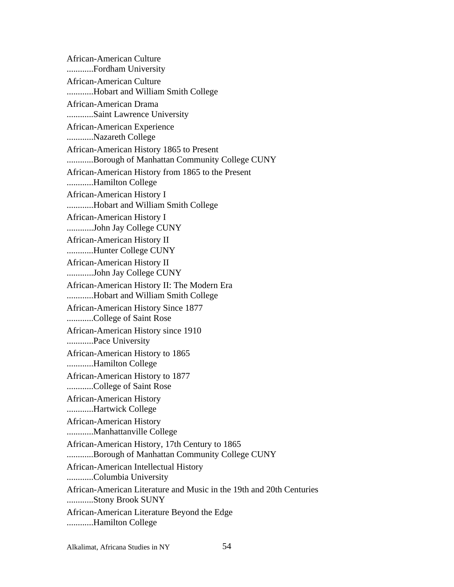African-American Culture ............Fordham University African-American Culture ............Hobart and William Smith College African-American Drama ............Saint Lawrence University African-American Experience ............Nazareth College African-American History 1865 to Present ............Borough of Manhattan Community College CUNY African-American History from 1865 to the Present ............Hamilton College African-American History I ............Hobart and William Smith College African-American History I ............John Jay College CUNY African-American History II ............Hunter College CUNY African-American History II ............John Jay College CUNY African-American History II: The Modern Era ............Hobart and William Smith College African-American History Since 1877 ............College of Saint Rose African-American History since 1910 ............Pace University African-American History to 1865 ............Hamilton College African-American History to 1877 ............College of Saint Rose African-American History ............Hartwick College African-American History ............Manhattanville College African-American History, 17th Century to 1865 ............Borough of Manhattan Community College CUNY African-American Intellectual History ............Columbia University African-American Literature and Music in the 19th and 20th Centuries ............Stony Brook SUNY African-American Literature Beyond the Edge ............Hamilton College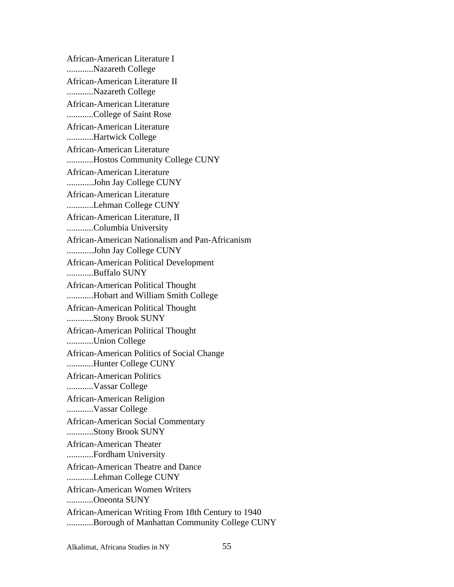African-American Literature I ............Nazareth College African-American Literature II ............Nazareth College African-American Literature ............College of Saint Rose African-American Literature ............Hartwick College African-American Literature ............Hostos Community College CUNY African-American Literature ............John Jay College CUNY African-American Literature ............Lehman College CUNY African-American Literature, II ............Columbia University African-American Nationalism and Pan-Africanism ............John Jay College CUNY African-American Political Development ............Buffalo SUNY African-American Political Thought ............Hobart and William Smith College African-American Political Thought ............Stony Brook SUNY African-American Political Thought ............Union College African-American Politics of Social Change ............Hunter College CUNY African-American Politics ............Vassar College African-American Religion ............Vassar College African-American Social Commentary ............Stony Brook SUNY African-American Theater ............Fordham University African-American Theatre and Dance ............Lehman College CUNY African-American Women Writers ............Oneonta SUNY African-American Writing From 18th Century to 1940 ............Borough of Manhattan Community College CUNY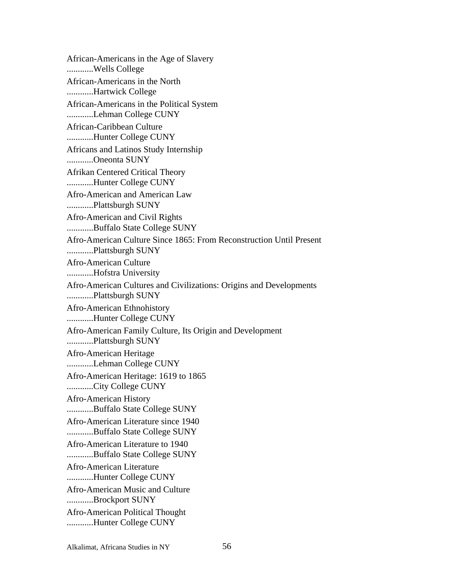African-Americans in the Age of Slavery ............Wells College African-Americans in the North ............Hartwick College African-Americans in the Political System ............Lehman College CUNY African-Caribbean Culture ............Hunter College CUNY Africans and Latinos Study Internship ............Oneonta SUNY Afrikan Centered Critical Theory ............Hunter College CUNY Afro-American and American Law ............Plattsburgh SUNY Afro-American and Civil Rights ............Buffalo State College SUNY Afro-American Culture Since 1865: From Reconstruction Until Present ............Plattsburgh SUNY Afro-American Culture ............Hofstra University Afro-American Cultures and Civilizations: Origins and Developments ............Plattsburgh SUNY Afro-American Ethnohistory ............Hunter College CUNY Afro-American Family Culture, Its Origin and Development ............Plattsburgh SUNY Afro-American Heritage ............Lehman College CUNY Afro-American Heritage: 1619 to 1865 ............City College CUNY Afro-American History ............Buffalo State College SUNY Afro-American Literature since 1940 ............Buffalo State College SUNY Afro-American Literature to 1940 ............Buffalo State College SUNY Afro-American Literature ............Hunter College CUNY Afro-American Music and Culture ............Brockport SUNY Afro-American Political Thought ............Hunter College CUNY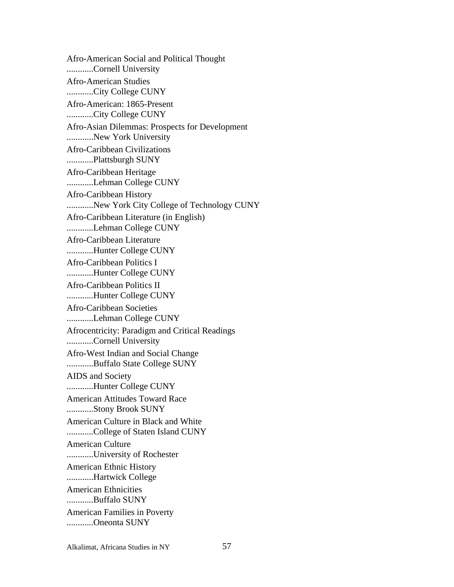Afro-American Social and Political Thought ............Cornell University Afro-American Studies ............City College CUNY Afro-American: 1865-Present ............City College CUNY Afro-Asian Dilemmas: Prospects for Development ............New York University Afro-Caribbean Civilizations ............Plattsburgh SUNY Afro-Caribbean Heritage ............Lehman College CUNY Afro-Caribbean History ............New York City College of Technology CUNY Afro-Caribbean Literature (in English) ............Lehman College CUNY Afro-Caribbean Literature ............Hunter College CUNY Afro-Caribbean Politics I ............Hunter College CUNY Afro-Caribbean Politics II ............Hunter College CUNY Afro-Caribbean Societies ............Lehman College CUNY Afrocentricity: Paradigm and Critical Readings ............Cornell University Afro-West Indian and Social Change ............Buffalo State College SUNY AIDS and Society ............Hunter College CUNY American Attitudes Toward Race ............Stony Brook SUNY American Culture in Black and White ............College of Staten Island CUNY American Culture ............University of Rochester American Ethnic History ............Hartwick College American Ethnicities ............Buffalo SUNY American Families in Poverty ............Oneonta SUNY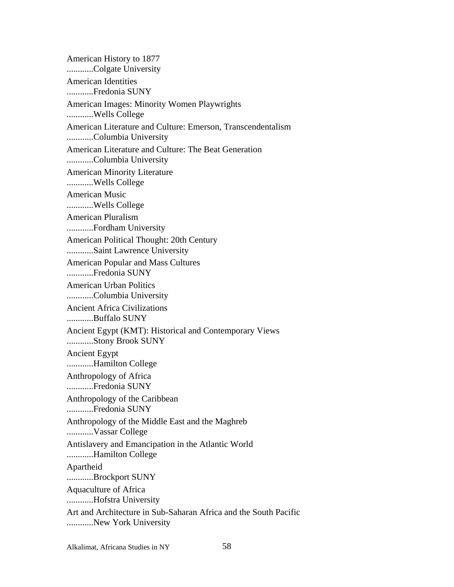American History to 1877 ............Colgate University American Identities ............Fredonia SUNY American Images: Minority Women Playwrights ............Wells College American Literature and Culture: Emerson, Transcendentalism ............Columbia University American Literature and Culture: The Beat Generation ............Columbia University American Minority Literature ............Wells College American Music ............Wells College American Pluralism ............Fordham University American Political Thought: 20th Century ............Saint Lawrence University American Popular and Mass Cultures ............Fredonia SUNY American Urban Politics ............Columbia University Ancient Africa Civilizations ............Buffalo SUNY Ancient Egypt (KMT): Historical and Contemporary Views ............Stony Brook SUNY Ancient Egypt ............Hamilton College Anthropology of Africa ............Fredonia SUNY Anthropology of the Caribbean ............Fredonia SUNY Anthropology of the Middle East and the Maghreb ............Vassar College Antislavery and Emancipation in the Atlantic World ............Hamilton College Apartheid ............Brockport SUNY Aquaculture of Africa ............Hofstra University Art and Architecture in Sub-Saharan Africa and the South Pacific ............New York University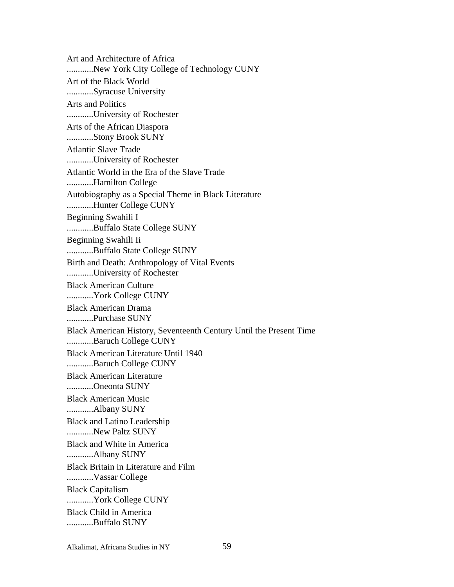Art and Architecture of Africa ............New York City College of Technology CUNY Art of the Black World ............Syracuse University Arts and Politics ............University of Rochester Arts of the African Diaspora ............Stony Brook SUNY Atlantic Slave Trade ............University of Rochester Atlantic World in the Era of the Slave Trade ............Hamilton College Autobiography as a Special Theme in Black Literature ............Hunter College CUNY Beginning Swahili I ............Buffalo State College SUNY Beginning Swahili Ii ............Buffalo State College SUNY Birth and Death: Anthropology of Vital Events ............University of Rochester Black American Culture ............York College CUNY Black American Drama ............Purchase SUNY Black American History, Seventeenth Century Until the Present Time ............Baruch College CUNY Black American Literature Until 1940 ............Baruch College CUNY Black American Literature ............Oneonta SUNY Black American Music ............Albany SUNY Black and Latino Leadership ............New Paltz SUNY Black and White in America ............Albany SUNY Black Britain in Literature and Film ............Vassar College Black Capitalism ............York College CUNY Black Child in America ............Buffalo SUNY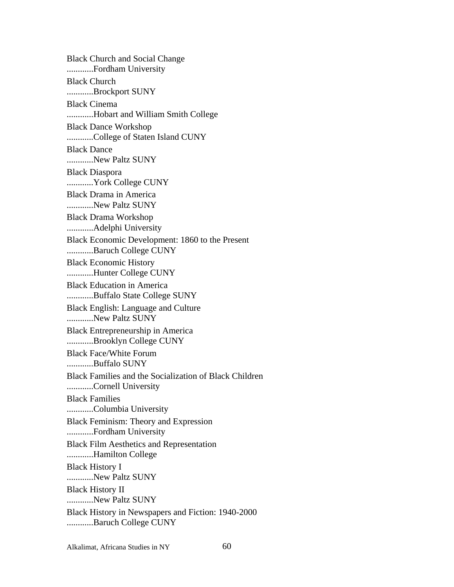Black Church and Social Change ............Fordham University Black Church ............Brockport SUNY Black Cinema ............Hobart and William Smith College Black Dance Workshop ............College of Staten Island CUNY Black Dance ............New Paltz SUNY Black Diaspora ............York College CUNY Black Drama in America ............New Paltz SUNY Black Drama Workshop ............Adelphi University Black Economic Development: 1860 to the Present ............Baruch College CUNY Black Economic History ............Hunter College CUNY Black Education in America ............Buffalo State College SUNY Black English: Language and Culture ............New Paltz SUNY Black Entrepreneurship in America ............Brooklyn College CUNY Black Face/White Forum ............Buffalo SUNY Black Families and the Socialization of Black Children ............Cornell University Black Families ............Columbia University Black Feminism: Theory and Expression ............Fordham University Black Film Aesthetics and Representation ............Hamilton College Black History I ............New Paltz SUNY Black History II ............New Paltz SUNY Black History in Newspapers and Fiction: 1940-2000 ............Baruch College CUNY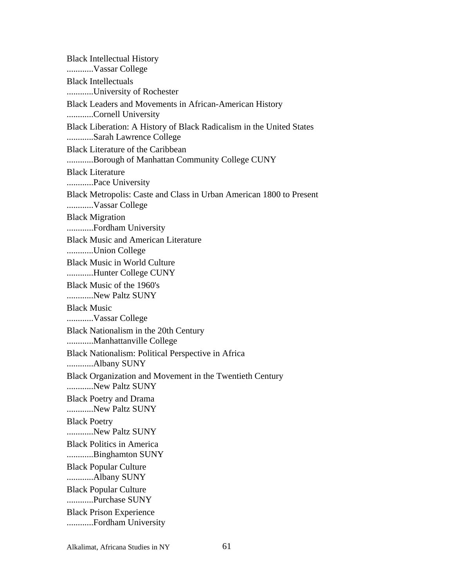Black Intellectual History ............Vassar College Black Intellectuals ............University of Rochester Black Leaders and Movements in African-American History ............Cornell University Black Liberation: A History of Black Radicalism in the United States ............Sarah Lawrence College Black Literature of the Caribbean ............Borough of Manhattan Community College CUNY Black Literature ............Pace University Black Metropolis: Caste and Class in Urban American 1800 to Present ............Vassar College Black Migration ............Fordham University Black Music and American Literature ............Union College Black Music in World Culture ............Hunter College CUNY Black Music of the 1960's ............New Paltz SUNY Black Music ............Vassar College Black Nationalism in the 20th Century ............Manhattanville College Black Nationalism: Political Perspective in Africa ............Albany SUNY Black Organization and Movement in the Twentieth Century ............New Paltz SUNY Black Poetry and Drama ............New Paltz SUNY Black Poetry ............New Paltz SUNY Black Politics in America ............Binghamton SUNY Black Popular Culture ............Albany SUNY Black Popular Culture ............Purchase SUNY Black Prison Experience ............Fordham University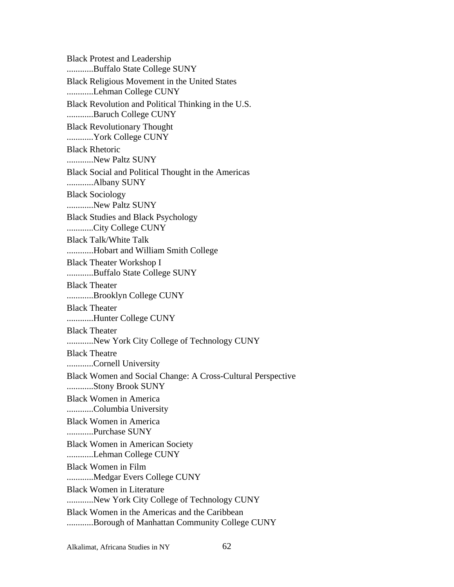Black Protest and Leadership ............Buffalo State College SUNY Black Religious Movement in the United States ............Lehman College CUNY Black Revolution and Political Thinking in the U.S. ............Baruch College CUNY Black Revolutionary Thought ............York College CUNY Black Rhetoric ............New Paltz SUNY Black Social and Political Thought in the Americas ............Albany SUNY Black Sociology ............New Paltz SUNY Black Studies and Black Psychology ............City College CUNY Black Talk/White Talk ............Hobart and William Smith College Black Theater Workshop I ............Buffalo State College SUNY Black Theater ............Brooklyn College CUNY Black Theater ............Hunter College CUNY Black Theater ............New York City College of Technology CUNY Black Theatre ............Cornell University Black Women and Social Change: A Cross-Cultural Perspective ............Stony Brook SUNY Black Women in America ............Columbia University Black Women in America ............Purchase SUNY Black Women in American Society ............Lehman College CUNY Black Women in Film ............Medgar Evers College CUNY Black Women in Literature ............New York City College of Technology CUNY Black Women in the Americas and the Caribbean ............Borough of Manhattan Community College CUNY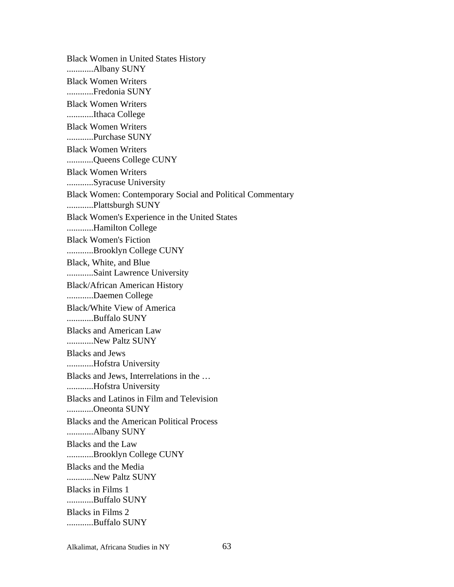Black Women in United States History ............Albany SUNY Black Women Writers ............Fredonia SUNY Black Women Writers ............Ithaca College Black Women Writers ............Purchase SUNY Black Women Writers ............Queens College CUNY Black Women Writers ............Syracuse University Black Women: Contemporary Social and Political Commentary ............Plattsburgh SUNY Black Women's Experience in the United States ............Hamilton College Black Women's Fiction ............Brooklyn College CUNY Black, White, and Blue ............Saint Lawrence University Black/African American History ............Daemen College Black/White View of America ............Buffalo SUNY Blacks and American Law ............New Paltz SUNY Blacks and Jews ............Hofstra University Blacks and Jews, Interrelations in the … ............Hofstra University Blacks and Latinos in Film and Television ............Oneonta SUNY Blacks and the American Political Process ............Albany SUNY Blacks and the Law ............Brooklyn College CUNY Blacks and the Media ............New Paltz SUNY Blacks in Films 1 ............Buffalo SUNY Blacks in Films 2 ............Buffalo SUNY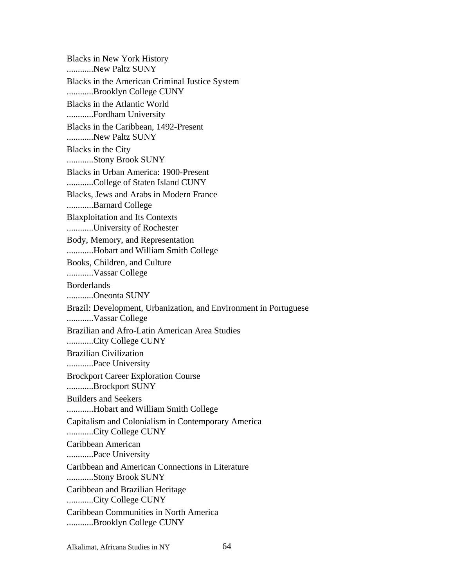Blacks in New York History ............New Paltz SUNY Blacks in the American Criminal Justice System ............Brooklyn College CUNY Blacks in the Atlantic World ............Fordham University Blacks in the Caribbean, 1492-Present ............New Paltz SUNY Blacks in the City ............Stony Brook SUNY Blacks in Urban America: 1900-Present ............College of Staten Island CUNY Blacks, Jews and Arabs in Modern France ............Barnard College Blaxploitation and Its Contexts ............University of Rochester Body, Memory, and Representation ............Hobart and William Smith College Books, Children, and Culture ............Vassar College Borderlands ............Oneonta SUNY Brazil: Development, Urbanization, and Environment in Portuguese ............Vassar College Brazilian and Afro-Latin American Area Studies ............City College CUNY Brazilian Civilization ............Pace University Brockport Career Exploration Course ............Brockport SUNY Builders and Seekers ............Hobart and William Smith College Capitalism and Colonialism in Contemporary America ............City College CUNY Caribbean American ............Pace University Caribbean and American Connections in Literature ............Stony Brook SUNY Caribbean and Brazilian Heritage ............City College CUNY Caribbean Communities in North America ............Brooklyn College CUNY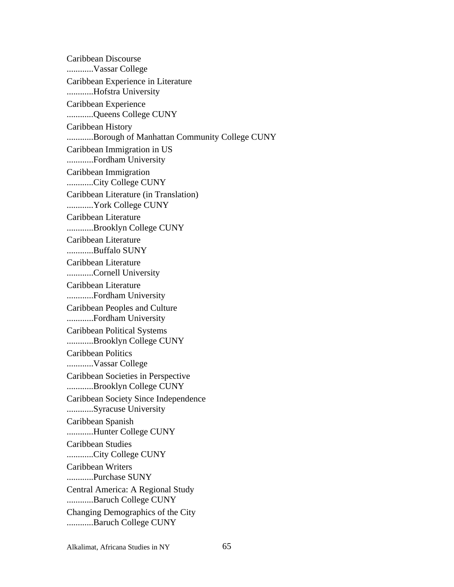Caribbean Discourse ............Vassar College Caribbean Experience in Literature ............Hofstra University Caribbean Experience ............Queens College CUNY Caribbean History ............Borough of Manhattan Community College CUNY Caribbean Immigration in US ............Fordham University Caribbean Immigration ............City College CUNY Caribbean Literature (in Translation) ............York College CUNY Caribbean Literature ............Brooklyn College CUNY Caribbean Literature ............Buffalo SUNY Caribbean Literature ............Cornell University Caribbean Literature ............Fordham University Caribbean Peoples and Culture ............Fordham University Caribbean Political Systems ............Brooklyn College CUNY Caribbean Politics ............Vassar College Caribbean Societies in Perspective ............Brooklyn College CUNY Caribbean Society Since Independence ............Syracuse University Caribbean Spanish ............Hunter College CUNY Caribbean Studies ............City College CUNY Caribbean Writers ............Purchase SUNY Central America: A Regional Study ............Baruch College CUNY Changing Demographics of the City ............Baruch College CUNY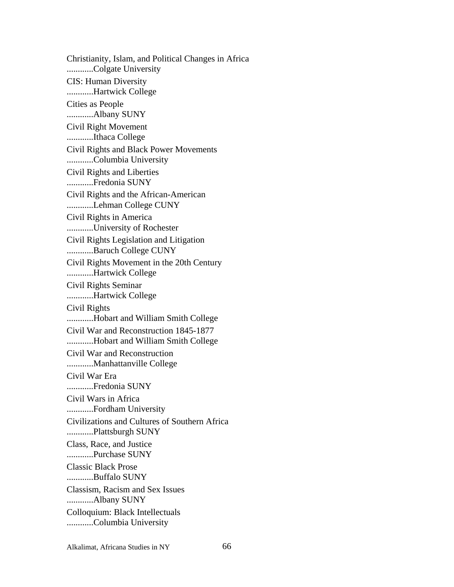Christianity, Islam, and Political Changes in Africa ............Colgate University CIS: Human Diversity ............Hartwick College Cities as People ............Albany SUNY Civil Right Movement ............Ithaca College Civil Rights and Black Power Movements ............Columbia University Civil Rights and Liberties ............Fredonia SUNY Civil Rights and the African-American ............Lehman College CUNY Civil Rights in America ............University of Rochester Civil Rights Legislation and Litigation ............Baruch College CUNY Civil Rights Movement in the 20th Century ............Hartwick College Civil Rights Seminar ............Hartwick College Civil Rights ............Hobart and William Smith College Civil War and Reconstruction 1845-1877 ............Hobart and William Smith College Civil War and Reconstruction ............Manhattanville College Civil War Era ............Fredonia SUNY Civil Wars in Africa ............Fordham University Civilizations and Cultures of Southern Africa ............Plattsburgh SUNY Class, Race, and Justice ............Purchase SUNY Classic Black Prose ............Buffalo SUNY Classism, Racism and Sex Issues ............Albany SUNY Colloquium: Black Intellectuals ............Columbia University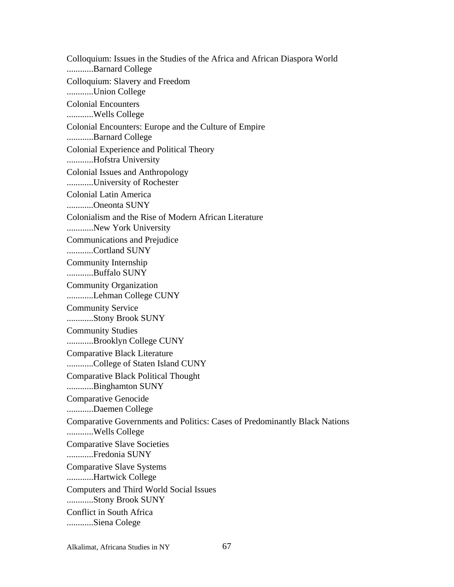Colloquium: Issues in the Studies of the Africa and African Diaspora World ............Barnard College Colloquium: Slavery and Freedom ............Union College Colonial Encounters ............Wells College Colonial Encounters: Europe and the Culture of Empire ............Barnard College Colonial Experience and Political Theory ............Hofstra University Colonial Issues and Anthropology ............University of Rochester Colonial Latin America ............Oneonta SUNY Colonialism and the Rise of Modern African Literature ............New York University Communications and Prejudice ............Cortland SUNY Community Internship ............Buffalo SUNY Community Organization ............Lehman College CUNY Community Service ............Stony Brook SUNY Community Studies ............Brooklyn College CUNY Comparative Black Literature ............College of Staten Island CUNY Comparative Black Political Thought ............Binghamton SUNY Comparative Genocide ............Daemen College Comparative Governments and Politics: Cases of Predominantly Black Nations ............Wells College Comparative Slave Societies ............Fredonia SUNY Comparative Slave Systems ............Hartwick College Computers and Third World Social Issues ............Stony Brook SUNY Conflict in South Africa ............Siena Colege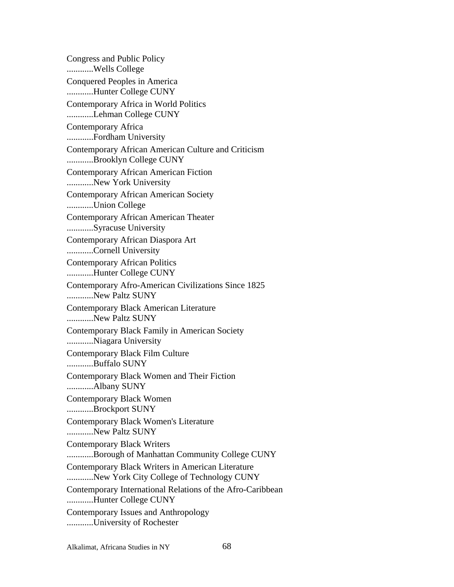Congress and Public Policy ............Wells College Conquered Peoples in America ............Hunter College CUNY Contemporary Africa in World Politics ............Lehman College CUNY Contemporary Africa ............Fordham University Contemporary African American Culture and Criticism ............Brooklyn College CUNY Contemporary African American Fiction ............New York University Contemporary African American Society ............Union College Contemporary African American Theater ............Syracuse University Contemporary African Diaspora Art ............Cornell University Contemporary African Politics ............Hunter College CUNY Contemporary Afro-American Civilizations Since 1825 ............New Paltz SUNY Contemporary Black American Literature ............New Paltz SUNY Contemporary Black Family in American Society ............Niagara University Contemporary Black Film Culture ............Buffalo SUNY Contemporary Black Women and Their Fiction ............Albany SUNY Contemporary Black Women ............Brockport SUNY Contemporary Black Women's Literature ............New Paltz SUNY Contemporary Black Writers ............Borough of Manhattan Community College CUNY Contemporary Black Writers in American Literature ............New York City College of Technology CUNY Contemporary International Relations of the Afro-Caribbean ............Hunter College CUNY Contemporary Issues and Anthropology ............University of Rochester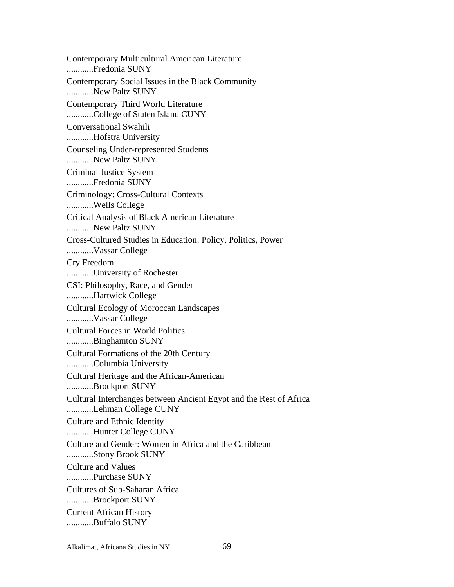Contemporary Multicultural American Literature ............Fredonia SUNY Contemporary Social Issues in the Black Community ............New Paltz SUNY Contemporary Third World Literature ............College of Staten Island CUNY Conversational Swahili ............Hofstra University Counseling Under-represented Students ............New Paltz SUNY Criminal Justice System ............Fredonia SUNY Criminology: Cross-Cultural Contexts ............Wells College Critical Analysis of Black American Literature ............New Paltz SUNY Cross-Cultured Studies in Education: Policy, Politics, Power ............Vassar College Cry Freedom ............University of Rochester CSI: Philosophy, Race, and Gender ............Hartwick College Cultural Ecology of Moroccan Landscapes ............Vassar College Cultural Forces in World Politics ............Binghamton SUNY Cultural Formations of the 20th Century ............Columbia University Cultural Heritage and the African-American ............Brockport SUNY Cultural Interchanges between Ancient Egypt and the Rest of Africa ............Lehman College CUNY Culture and Ethnic Identity ............Hunter College CUNY Culture and Gender: Women in Africa and the Caribbean ............Stony Brook SUNY Culture and Values ............Purchase SUNY Cultures of Sub-Saharan Africa ............Brockport SUNY Current African History ............Buffalo SUNY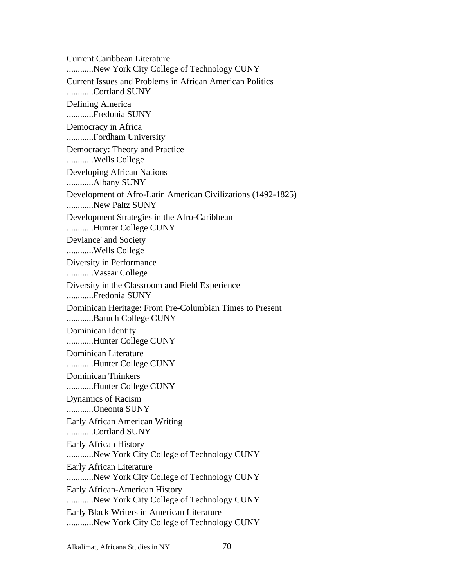Current Caribbean Literature ............New York City College of Technology CUNY Current Issues and Problems in African American Politics ............Cortland SUNY Defining America ............Fredonia SUNY Democracy in Africa ............Fordham University Democracy: Theory and Practice ............Wells College Developing African Nations ............Albany SUNY Development of Afro-Latin American Civilizations (1492-1825) ............New Paltz SUNY Development Strategies in the Afro-Caribbean ............Hunter College CUNY Deviance' and Society ............Wells College Diversity in Performance ............Vassar College Diversity in the Classroom and Field Experience ............Fredonia SUNY Dominican Heritage: From Pre-Columbian Times to Present ............Baruch College CUNY Dominican Identity ............Hunter College CUNY Dominican Literature ............Hunter College CUNY Dominican Thinkers ............Hunter College CUNY Dynamics of Racism ............Oneonta SUNY Early African American Writing ............Cortland SUNY Early African History ............New York City College of Technology CUNY Early African Literature ............New York City College of Technology CUNY Early African-American History ............New York City College of Technology CUNY Early Black Writers in American Literature ............New York City College of Technology CUNY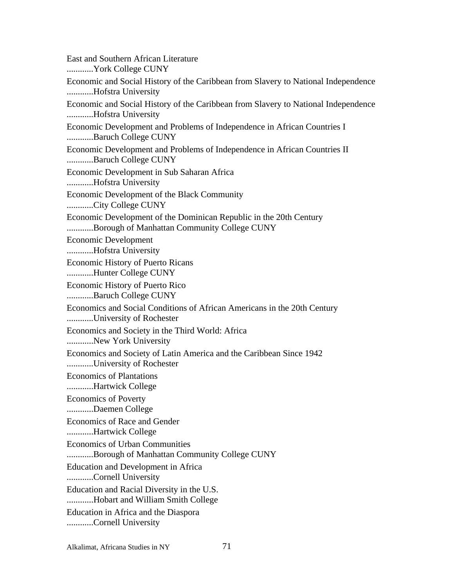East and Southern African Literature ............York College CUNY Economic and Social History of the Caribbean from Slavery to National Independence ............Hofstra University Economic and Social History of the Caribbean from Slavery to National Independence ............Hofstra University Economic Development and Problems of Independence in African Countries I ............Baruch College CUNY Economic Development and Problems of Independence in African Countries II ............Baruch College CUNY Economic Development in Sub Saharan Africa ............Hofstra University Economic Development of the Black Community ............City College CUNY Economic Development of the Dominican Republic in the 20th Century ............Borough of Manhattan Community College CUNY Economic Development ............Hofstra University Economic History of Puerto Ricans ............Hunter College CUNY Economic History of Puerto Rico ............Baruch College CUNY Economics and Social Conditions of African Americans in the 20th Century ............University of Rochester Economics and Society in the Third World: Africa ............New York University Economics and Society of Latin America and the Caribbean Since 1942 ............University of Rochester Economics of Plantations ............Hartwick College Economics of Poverty ............Daemen College Economics of Race and Gender ............Hartwick College Economics of Urban Communities ............Borough of Manhattan Community College CUNY Education and Development in Africa ............Cornell University Education and Racial Diversity in the U.S. ............Hobart and William Smith College Education in Africa and the Diaspora ............Cornell University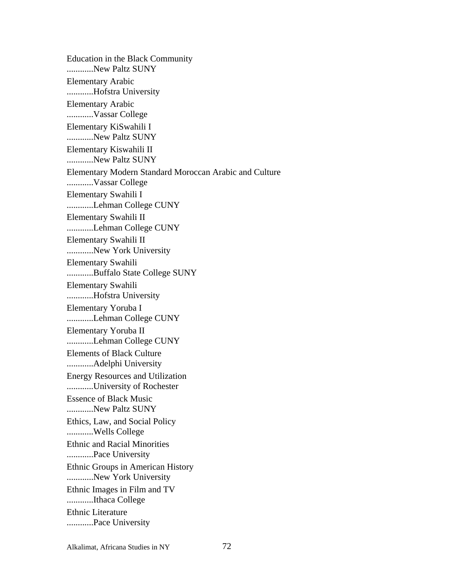Education in the Black Community ............New Paltz SUNY Elementary Arabic ............Hofstra University Elementary Arabic ............Vassar College Elementary KiSwahili I ............New Paltz SUNY Elementary Kiswahili II ............New Paltz SUNY Elementary Modern Standard Moroccan Arabic and Culture ............Vassar College Elementary Swahili I ............Lehman College CUNY Elementary Swahili II ............Lehman College CUNY Elementary Swahili II ............New York University Elementary Swahili ............Buffalo State College SUNY Elementary Swahili ............Hofstra University Elementary Yoruba I ............Lehman College CUNY Elementary Yoruba II ............Lehman College CUNY Elements of Black Culture ............Adelphi University Energy Resources and Utilization ............University of Rochester Essence of Black Music ............New Paltz SUNY Ethics, Law, and Social Policy ............Wells College Ethnic and Racial Minorities ............Pace University Ethnic Groups in American History ............New York University Ethnic Images in Film and TV ............Ithaca College Ethnic Literature ............Pace University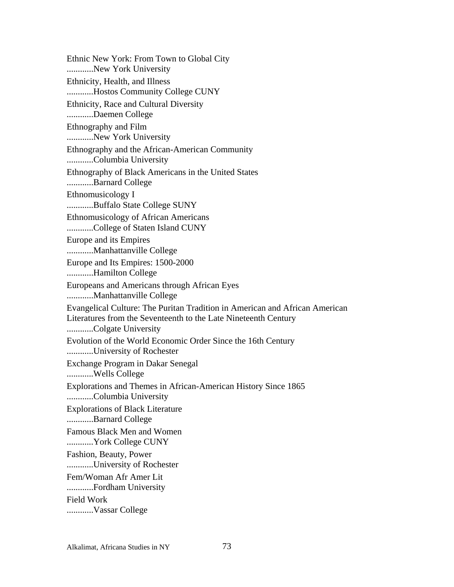Ethnic New York: From Town to Global City ............New York University Ethnicity, Health, and Illness ............Hostos Community College CUNY Ethnicity, Race and Cultural Diversity ............Daemen College Ethnography and Film ............New York University Ethnography and the African-American Community ............Columbia University Ethnography of Black Americans in the United States ............Barnard College Ethnomusicology I ............Buffalo State College SUNY Ethnomusicology of African Americans ............College of Staten Island CUNY Europe and its Empires ............Manhattanville College Europe and Its Empires: 1500-2000 ............Hamilton College Europeans and Americans through African Eyes ............Manhattanville College Evangelical Culture: The Puritan Tradition in American and African American Literatures from the Seventeenth to the Late Nineteenth Century ............Colgate University Evolution of the World Economic Order Since the 16th Century ............University of Rochester Exchange Program in Dakar Senegal ............Wells College Explorations and Themes in African-American History Since 1865 ............Columbia University Explorations of Black Literature ............Barnard College Famous Black Men and Women ............York College CUNY Fashion, Beauty, Power ............University of Rochester Fem/Woman Afr Amer Lit ............Fordham University Field Work ............Vassar College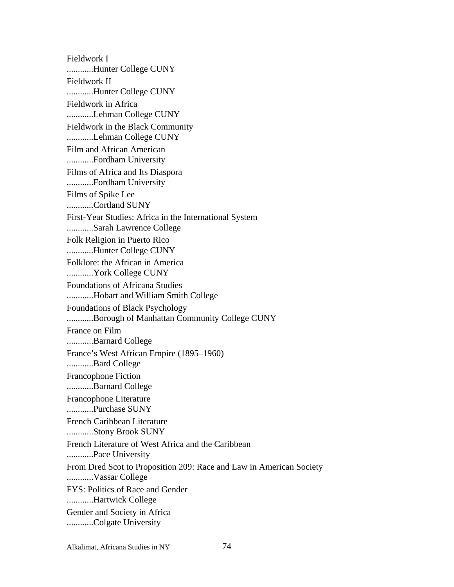Fieldwork I ............Hunter College CUNY Fieldwork II ............Hunter College CUNY Fieldwork in Africa ............Lehman College CUNY Fieldwork in the Black Community ............Lehman College CUNY Film and African American ............Fordham University Films of Africa and Its Diaspora ............Fordham University Films of Spike Lee ............Cortland SUNY First-Year Studies: Africa in the International System ............Sarah Lawrence College Folk Religion in Puerto Rico ............Hunter College CUNY Folklore: the African in America ............York College CUNY Foundations of Africana Studies ............Hobart and William Smith College Foundations of Black Psychology ............Borough of Manhattan Community College CUNY France on Film ............Barnard College France's West African Empire (1895–1960) ............Bard College Francophone Fiction ............Barnard College Francophone Literature ............Purchase SUNY French Caribbean Literature ............Stony Brook SUNY French Literature of West Africa and the Caribbean ............Pace University From Dred Scot to Proposition 209: Race and Law in American Society ............Vassar College FYS: Politics of Race and Gender ............Hartwick College Gender and Society in Africa ............Colgate University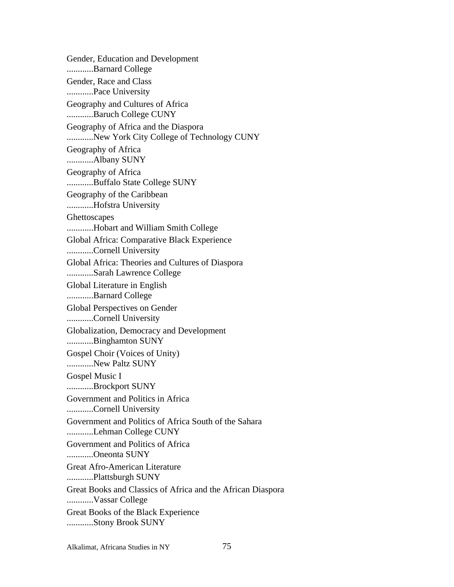Gender, Education and Development ............Barnard College Gender, Race and Class ............Pace University Geography and Cultures of Africa ............Baruch College CUNY Geography of Africa and the Diaspora ............New York City College of Technology CUNY Geography of Africa ............Albany SUNY Geography of Africa ............Buffalo State College SUNY Geography of the Caribbean ............Hofstra University **Ghettoscapes** ............Hobart and William Smith College Global Africa: Comparative Black Experience ............Cornell University Global Africa: Theories and Cultures of Diaspora ............Sarah Lawrence College Global Literature in English ............Barnard College Global Perspectives on Gender ............Cornell University Globalization, Democracy and Development ............Binghamton SUNY Gospel Choir (Voices of Unity) ............New Paltz SUNY Gospel Music I ............Brockport SUNY Government and Politics in Africa ............Cornell University Government and Politics of Africa South of the Sahara ............Lehman College CUNY Government and Politics of Africa ............Oneonta SUNY Great Afro-American Literature ............Plattsburgh SUNY Great Books and Classics of Africa and the African Diaspora ............Vassar College Great Books of the Black Experience ............Stony Brook SUNY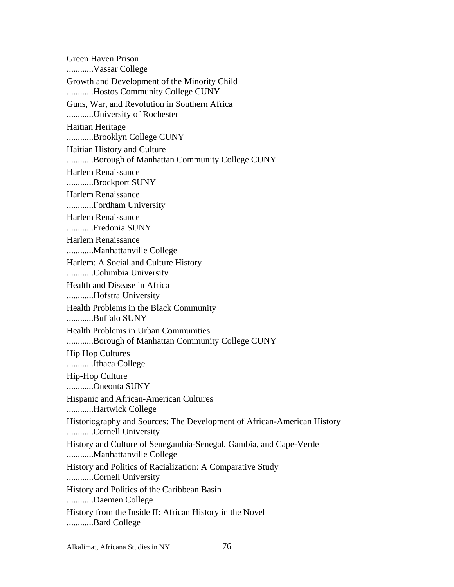Green Haven Prison ............Vassar College Growth and Development of the Minority Child ............Hostos Community College CUNY Guns, War, and Revolution in Southern Africa ............University of Rochester Haitian Heritage ............Brooklyn College CUNY Haitian History and Culture ............Borough of Manhattan Community College CUNY Harlem Renaissance ............Brockport SUNY Harlem Renaissance ............Fordham University Harlem Renaissance ............Fredonia SUNY Harlem Renaissance ............Manhattanville College Harlem: A Social and Culture History ............Columbia University Health and Disease in Africa ............Hofstra University Health Problems in the Black Community ............Buffalo SUNY Health Problems in Urban Communities ............Borough of Manhattan Community College CUNY Hip Hop Cultures ............Ithaca College Hip-Hop Culture ............Oneonta SUNY Hispanic and African-American Cultures ............Hartwick College Historiography and Sources: The Development of African-American History ............Cornell University History and Culture of Senegambia-Senegal, Gambia, and Cape-Verde ............Manhattanville College History and Politics of Racialization: A Comparative Study ............Cornell University History and Politics of the Caribbean Basin ............Daemen College History from the Inside II: African History in the Novel ............Bard College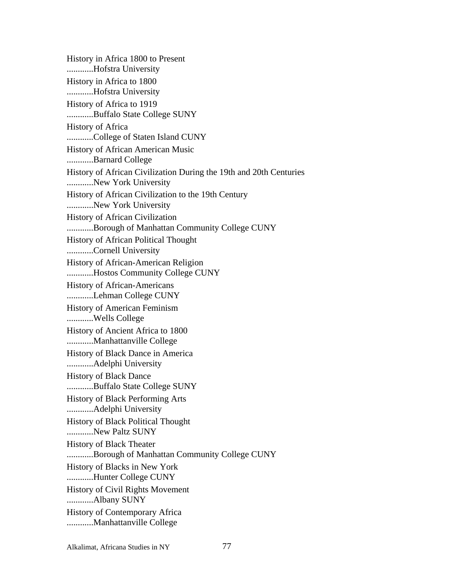History in Africa 1800 to Present ............Hofstra University History in Africa to 1800 ............Hofstra University History of Africa to 1919 ............Buffalo State College SUNY History of Africa ............College of Staten Island CUNY History of African American Music ............Barnard College History of African Civilization During the 19th and 20th Centuries ............New York University History of African Civilization to the 19th Century ............New York University History of African Civilization ............Borough of Manhattan Community College CUNY History of African Political Thought ............Cornell University History of African-American Religion ............Hostos Community College CUNY History of African-Americans ............Lehman College CUNY History of American Feminism ............Wells College History of Ancient Africa to 1800 ............Manhattanville College History of Black Dance in America ............Adelphi University History of Black Dance ............Buffalo State College SUNY History of Black Performing Arts ............Adelphi University History of Black Political Thought ............New Paltz SUNY History of Black Theater ............Borough of Manhattan Community College CUNY History of Blacks in New York ............Hunter College CUNY History of Civil Rights Movement ............Albany SUNY History of Contemporary Africa ............Manhattanville College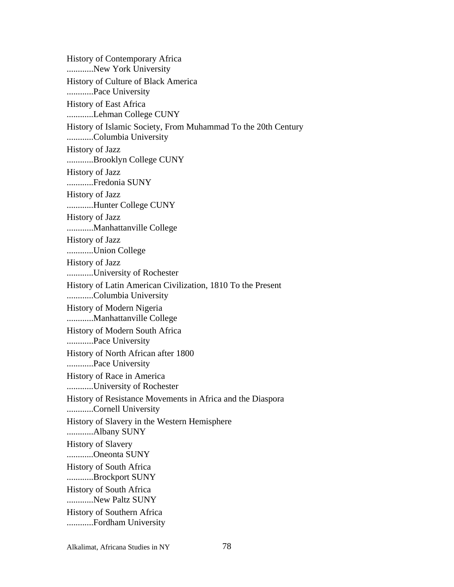History of Contemporary Africa ............New York University History of Culture of Black America ............Pace University History of East Africa ............Lehman College CUNY History of Islamic Society, From Muhammad To the 20th Century ............Columbia University History of Jazz ............Brooklyn College CUNY History of Jazz ............Fredonia SUNY History of Jazz ............Hunter College CUNY History of Jazz ............Manhattanville College History of Jazz ............Union College History of Jazz ............University of Rochester History of Latin American Civilization, 1810 To the Present ............Columbia University History of Modern Nigeria ............Manhattanville College History of Modern South Africa ............Pace University History of North African after 1800 ............Pace University History of Race in America ............University of Rochester History of Resistance Movements in Africa and the Diaspora ............Cornell University History of Slavery in the Western Hemisphere ............Albany SUNY History of Slavery ............Oneonta SUNY History of South Africa ............Brockport SUNY History of South Africa ............New Paltz SUNY History of Southern Africa ............Fordham University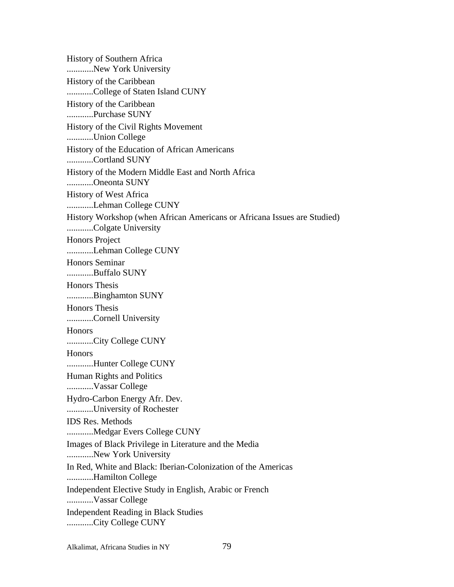History of Southern Africa ............New York University History of the Caribbean ............College of Staten Island CUNY History of the Caribbean ............Purchase SUNY History of the Civil Rights Movement ............Union College History of the Education of African Americans ............Cortland SUNY History of the Modern Middle East and North Africa ............Oneonta SUNY History of West Africa ............Lehman College CUNY History Workshop (when African Americans or Africana Issues are Studied) ............Colgate University Honors Project ............Lehman College CUNY Honors Seminar ............Buffalo SUNY Honors Thesis ............Binghamton SUNY Honors Thesis ............Cornell University **Honors** ............City College CUNY **Honors** ............Hunter College CUNY Human Rights and Politics ............Vassar College Hydro-Carbon Energy Afr. Dev. ............University of Rochester IDS Res. Methods ............Medgar Evers College CUNY Images of Black Privilege in Literature and the Media ............New York University In Red, White and Black: Iberian-Colonization of the Americas ............Hamilton College Independent Elective Study in English, Arabic or French ............Vassar College Independent Reading in Black Studies ............City College CUNY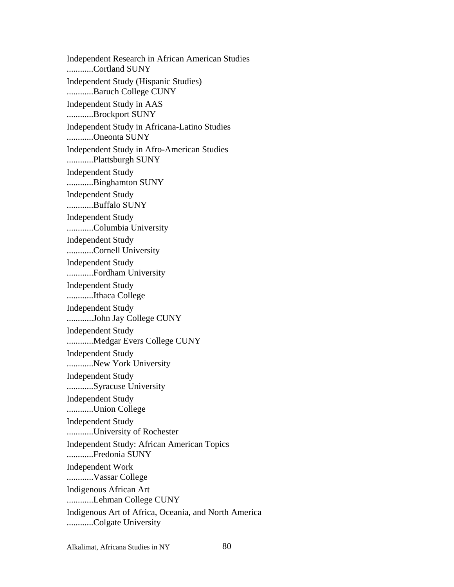Independent Research in African American Studies ............Cortland SUNY Independent Study (Hispanic Studies) ............Baruch College CUNY Independent Study in AAS ............Brockport SUNY Independent Study in Africana-Latino Studies ............Oneonta SUNY Independent Study in Afro-American Studies ............Plattsburgh SUNY Independent Study ............Binghamton SUNY Independent Study ............Buffalo SUNY Independent Study ............Columbia University Independent Study ............Cornell University Independent Study ............Fordham University Independent Study ............Ithaca College Independent Study ............John Jay College CUNY Independent Study ............Medgar Evers College CUNY Independent Study ............New York University Independent Study ............Syracuse University Independent Study ............Union College Independent Study ............University of Rochester Independent Study: African American Topics ............Fredonia SUNY Independent Work ............Vassar College Indigenous African Art ............Lehman College CUNY Indigenous Art of Africa, Oceania, and North America ............Colgate University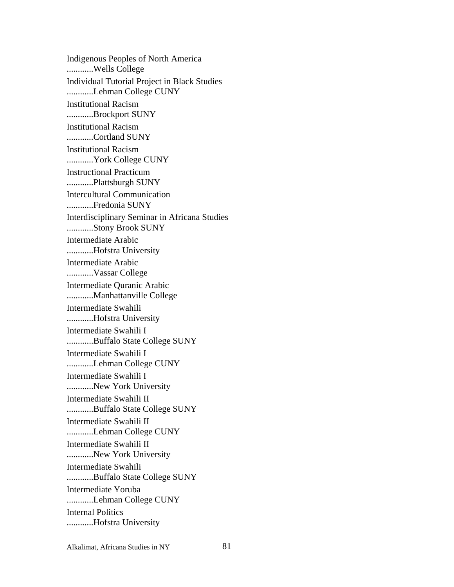Indigenous Peoples of North America ............Wells College Individual Tutorial Project in Black Studies ............Lehman College CUNY Institutional Racism ............Brockport SUNY Institutional Racism ............Cortland SUNY Institutional Racism ............York College CUNY Instructional Practicum ............Plattsburgh SUNY Intercultural Communication ............Fredonia SUNY Interdisciplinary Seminar in Africana Studies ............Stony Brook SUNY Intermediate Arabic ............Hofstra University Intermediate Arabic ............Vassar College Intermediate Quranic Arabic ............Manhattanville College Intermediate Swahili ............Hofstra University Intermediate Swahili I ............Buffalo State College SUNY Intermediate Swahili I ............Lehman College CUNY Intermediate Swahili I ............New York University Intermediate Swahili II ............Buffalo State College SUNY Intermediate Swahili II ............Lehman College CUNY Intermediate Swahili II ............New York University Intermediate Swahili ............Buffalo State College SUNY Intermediate Yoruba ............Lehman College CUNY Internal Politics ............Hofstra University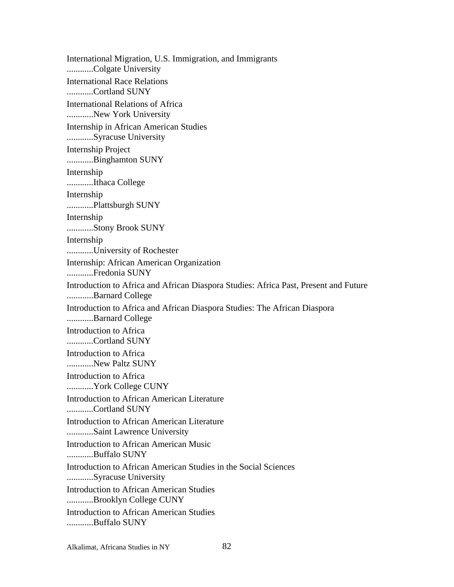International Migration, U.S. Immigration, and Immigrants ............Colgate University International Race Relations ............Cortland SUNY International Relations of Africa ............New York University Internship in African American Studies ............Syracuse University Internship Project ............Binghamton SUNY Internship ............Ithaca College Internship ............Plattsburgh SUNY Internship ............Stony Brook SUNY Internship ............University of Rochester Internship: African American Organization ............Fredonia SUNY Introduction to Africa and African Diaspora Studies: Africa Past, Present and Future ............Barnard College Introduction to Africa and African Diaspora Studies: The African Diaspora ............Barnard College Introduction to Africa ............Cortland SUNY Introduction to Africa ............New Paltz SUNY Introduction to Africa ............York College CUNY Introduction to African American Literature ............Cortland SUNY Introduction to African American Literature ............Saint Lawrence University Introduction to African American Music ............Buffalo SUNY Introduction to African American Studies in the Social Sciences ............Syracuse University Introduction to African American Studies ............Brooklyn College CUNY Introduction to African American Studies ............Buffalo SUNY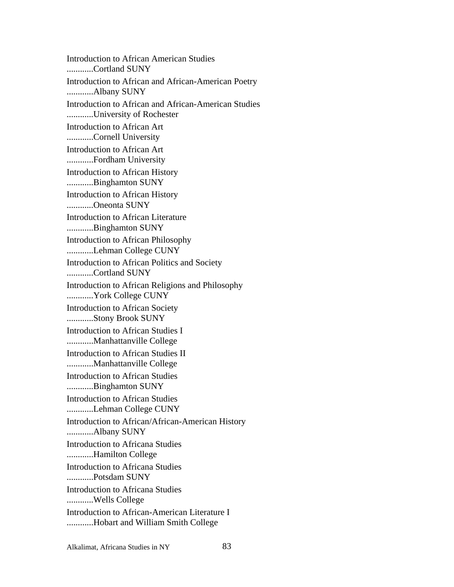Introduction to African American Studies ............Cortland SUNY Introduction to African and African-American Poetry ............Albany SUNY Introduction to African and African-American Studies ............University of Rochester Introduction to African Art ............Cornell University Introduction to African Art ............Fordham University Introduction to African History ............Binghamton SUNY Introduction to African History ............Oneonta SUNY Introduction to African Literature ............Binghamton SUNY Introduction to African Philosophy ............Lehman College CUNY Introduction to African Politics and Society ............Cortland SUNY Introduction to African Religions and Philosophy ............York College CUNY Introduction to African Society ............Stony Brook SUNY Introduction to African Studies I ............Manhattanville College Introduction to African Studies II ............Manhattanville College Introduction to African Studies ............Binghamton SUNY Introduction to African Studies ............Lehman College CUNY Introduction to African/African-American History ............Albany SUNY Introduction to Africana Studies ............Hamilton College Introduction to Africana Studies ............Potsdam SUNY Introduction to Africana Studies ............Wells College Introduction to African-American Literature I ............Hobart and William Smith College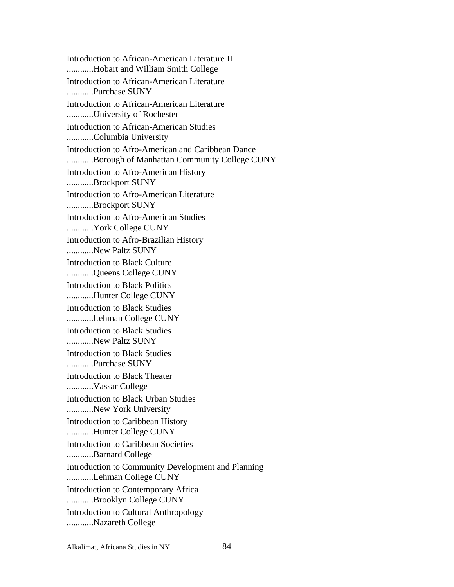Introduction to African-American Literature II ............Hobart and William Smith College Introduction to African-American Literature ............Purchase SUNY Introduction to African-American Literature ............University of Rochester Introduction to African-American Studies ............Columbia University Introduction to Afro-American and Caribbean Dance ............Borough of Manhattan Community College CUNY Introduction to Afro-American History ............Brockport SUNY Introduction to Afro-American Literature ............Brockport SUNY Introduction to Afro-American Studies ............York College CUNY Introduction to Afro-Brazilian History ............New Paltz SUNY Introduction to Black Culture ............Queens College CUNY Introduction to Black Politics ............Hunter College CUNY Introduction to Black Studies ............Lehman College CUNY Introduction to Black Studies ............New Paltz SUNY Introduction to Black Studies ............Purchase SUNY Introduction to Black Theater ............Vassar College Introduction to Black Urban Studies ............New York University Introduction to Caribbean History ............Hunter College CUNY Introduction to Caribbean Societies ............Barnard College Introduction to Community Development and Planning ............Lehman College CUNY Introduction to Contemporary Africa ............Brooklyn College CUNY Introduction to Cultural Anthropology ............Nazareth College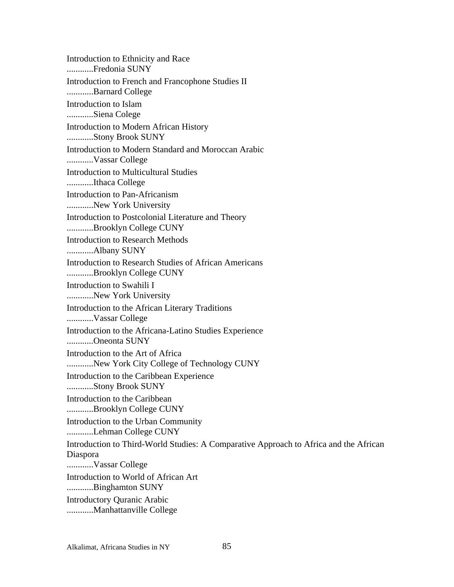Introduction to Ethnicity and Race ............Fredonia SUNY Introduction to French and Francophone Studies II ............Barnard College Introduction to Islam ............Siena Colege Introduction to Modern African History ............Stony Brook SUNY Introduction to Modern Standard and Moroccan Arabic ............Vassar College Introduction to Multicultural Studies ............Ithaca College Introduction to Pan-Africanism ............New York University Introduction to Postcolonial Literature and Theory ............Brooklyn College CUNY Introduction to Research Methods ............Albany SUNY Introduction to Research Studies of African Americans ............Brooklyn College CUNY Introduction to Swahili I ............New York University Introduction to the African Literary Traditions ............Vassar College Introduction to the Africana-Latino Studies Experience ............Oneonta SUNY Introduction to the Art of Africa ............New York City College of Technology CUNY Introduction to the Caribbean Experience ............Stony Brook SUNY Introduction to the Caribbean ............Brooklyn College CUNY Introduction to the Urban Community ............Lehman College CUNY Introduction to Third-World Studies: A Comparative Approach to Africa and the African Diaspora ............Vassar College Introduction to World of African Art ............Binghamton SUNY Introductory Quranic Arabic ............Manhattanville College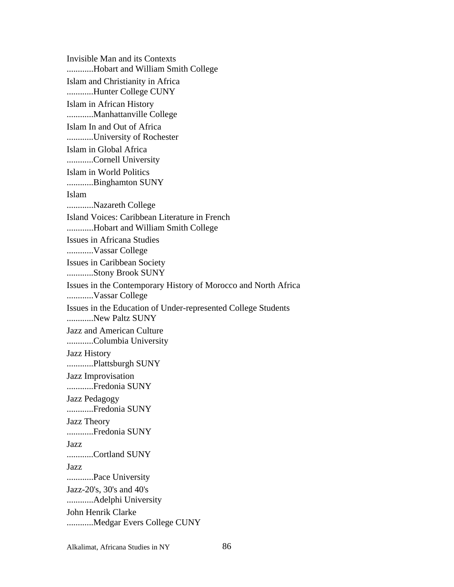Invisible Man and its Contexts ............Hobart and William Smith College Islam and Christianity in Africa ............Hunter College CUNY Islam in African History ............Manhattanville College Islam In and Out of Africa ............University of Rochester Islam in Global Africa ............Cornell University Islam in World Politics ............Binghamton SUNY Islam ............Nazareth College Island Voices: Caribbean Literature in French ............Hobart and William Smith College Issues in Africana Studies ............Vassar College Issues in Caribbean Society ............Stony Brook SUNY Issues in the Contemporary History of Morocco and North Africa ............Vassar College Issues in the Education of Under-represented College Students ............New Paltz SUNY Jazz and American Culture ............Columbia University Jazz History ............Plattsburgh SUNY Jazz Improvisation ............Fredonia SUNY Jazz Pedagogy ............Fredonia SUNY Jazz Theory ............Fredonia SUNY Jazz ............Cortland SUNY Jazz ............Pace University Jazz-20's, 30's and 40's ............Adelphi University John Henrik Clarke ............Medgar Evers College CUNY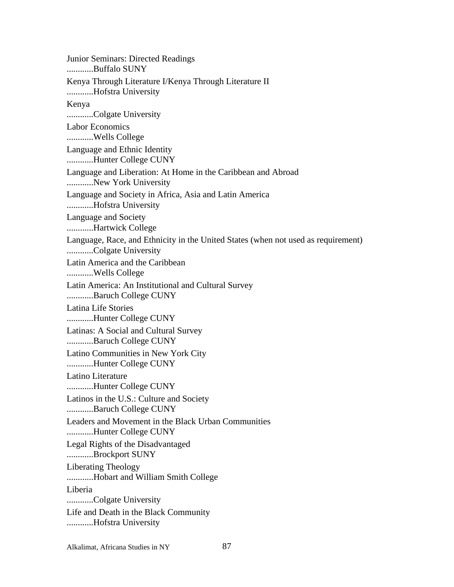Junior Seminars: Directed Readings ............Buffalo SUNY Kenya Through Literature I/Kenya Through Literature II ............Hofstra University Kenya ............Colgate University Labor Economics ............Wells College Language and Ethnic Identity ............Hunter College CUNY Language and Liberation: At Home in the Caribbean and Abroad ............New York University Language and Society in Africa, Asia and Latin America ............Hofstra University Language and Society ............Hartwick College Language, Race, and Ethnicity in the United States (when not used as requirement) ............Colgate University Latin America and the Caribbean ............Wells College Latin America: An Institutional and Cultural Survey ............Baruch College CUNY Latina Life Stories ............Hunter College CUNY Latinas: A Social and Cultural Survey ............Baruch College CUNY Latino Communities in New York City ............Hunter College CUNY Latino Literature ............Hunter College CUNY Latinos in the U.S.: Culture and Society ............Baruch College CUNY Leaders and Movement in the Black Urban Communities ............Hunter College CUNY Legal Rights of the Disadvantaged ............Brockport SUNY Liberating Theology ............Hobart and William Smith College Liberia ............Colgate University Life and Death in the Black Community ............Hofstra University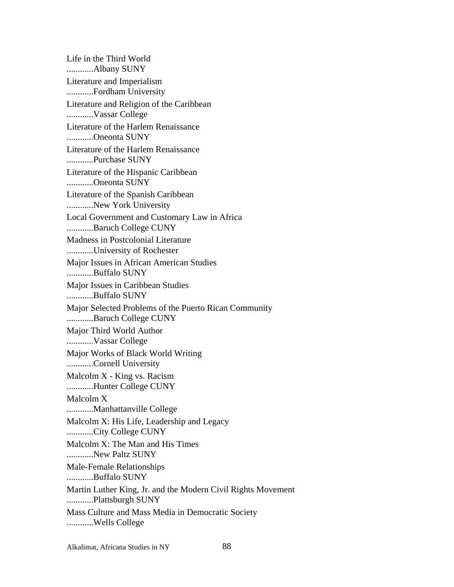Life in the Third World ............Albany SUNY Literature and Imperialism ............Fordham University Literature and Religion of the Caribbean ............Vassar College Literature of the Harlem Renaissance ............Oneonta SUNY Literature of the Harlem Renaissance ............Purchase SUNY Literature of the Hispanic Caribbean ............Oneonta SUNY Literature of the Spanish Caribbean ............New York University Local Government and Customary Law in Africa ............Baruch College CUNY Madness in Postcolonial Literature ............University of Rochester Major Issues in African American Studies ............Buffalo SUNY Major Issues in Caribbean Studies ............Buffalo SUNY Major Selected Problems of the Puerto Rican Community ............Baruch College CUNY Major Third World Author ............Vassar College Major Works of Black World Writing ............Cornell University Malcolm X - King vs. Racism ............Hunter College CUNY Malcolm X ............Manhattanville College Malcolm X: His Life, Leadership and Legacy ............City College CUNY Malcolm X: The Man and His Times ............New Paltz SUNY Male-Female Relationships ............Buffalo SUNY Martin Luther King, Jr. and the Modern Civil Rights Movement ............Plattsburgh SUNY Mass Culture and Mass Media in Democratic Society ............Wells College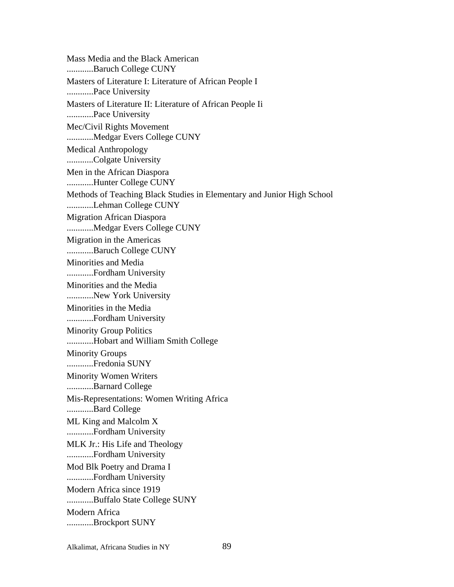Mass Media and the Black American ............Baruch College CUNY Masters of Literature I: Literature of African People I ............Pace University Masters of Literature II: Literature of African People Ii ............Pace University Mec/Civil Rights Movement ............Medgar Evers College CUNY Medical Anthropology ............Colgate University Men in the African Diaspora ............Hunter College CUNY Methods of Teaching Black Studies in Elementary and Junior High School ............Lehman College CUNY Migration African Diaspora ............Medgar Evers College CUNY Migration in the Americas ............Baruch College CUNY Minorities and Media ............Fordham University Minorities and the Media ............New York University Minorities in the Media ............Fordham University Minority Group Politics ............Hobart and William Smith College Minority Groups ............Fredonia SUNY Minority Women Writers ............Barnard College Mis-Representations: Women Writing Africa ............Bard College ML King and Malcolm X ............Fordham University MLK Jr.: His Life and Theology ............Fordham University Mod Blk Poetry and Drama I ............Fordham University Modern Africa since 1919 ............Buffalo State College SUNY Modern Africa ............Brockport SUNY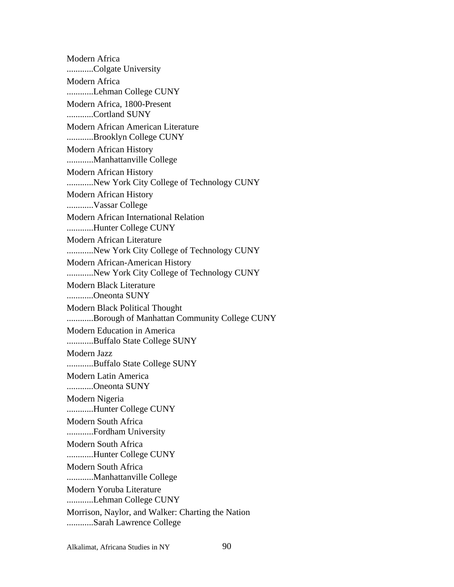Modern Africa ............Colgate University Modern Africa ............Lehman College CUNY Modern Africa, 1800-Present ............Cortland SUNY Modern African American Literature ............Brooklyn College CUNY Modern African History ............Manhattanville College Modern African History ............New York City College of Technology CUNY Modern African History ............Vassar College Modern African International Relation ............Hunter College CUNY Modern African Literature ............New York City College of Technology CUNY Modern African-American History ............New York City College of Technology CUNY Modern Black Literature ............Oneonta SUNY Modern Black Political Thought ............Borough of Manhattan Community College CUNY Modern Education in America ............Buffalo State College SUNY Modern Jazz ............Buffalo State College SUNY Modern Latin America ............Oneonta SUNY Modern Nigeria ............Hunter College CUNY Modern South Africa ............Fordham University Modern South Africa ............Hunter College CUNY Modern South Africa ............Manhattanville College Modern Yoruba Literature ............Lehman College CUNY Morrison, Naylor, and Walker: Charting the Nation ............Sarah Lawrence College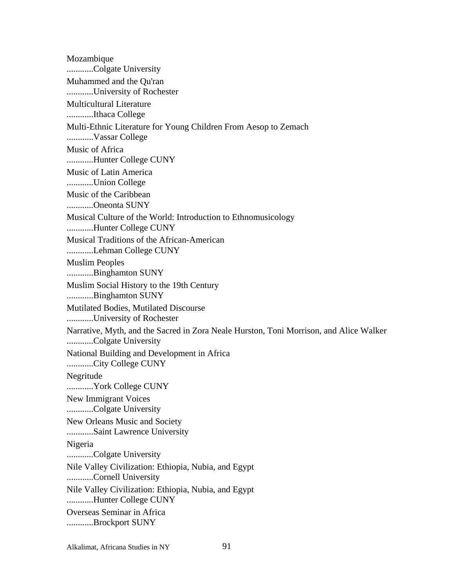Mozambique ............Colgate University Muhammed and the Qu'ran ............University of Rochester Multicultural Literature ............Ithaca College Multi-Ethnic Literature for Young Children From Aesop to Zemach ............Vassar College Music of Africa ............Hunter College CUNY Music of Latin America ............Union College Music of the Caribbean ............Oneonta SUNY Musical Culture of the World: Introduction to Ethnomusicology ............Hunter College CUNY Musical Traditions of the African-American ............Lehman College CUNY Muslim Peoples ............Binghamton SUNY Muslim Social History to the 19th Century ............Binghamton SUNY Mutilated Bodies, Mutilated Discourse ............University of Rochester Narrative, Myth, and the Sacred in Zora Neale Hurston, Toni Morrison, and Alice Walker ............Colgate University National Building and Development in Africa ............City College CUNY Negritude ............York College CUNY New Immigrant Voices ............Colgate University New Orleans Music and Society ............Saint Lawrence University Nigeria ............Colgate University Nile Valley Civilization: Ethiopia, Nubia, and Egypt ............Cornell University Nile Valley Civilization: Ethiopia, Nubia, and Egypt ............Hunter College CUNY Overseas Seminar in Africa ............Brockport SUNY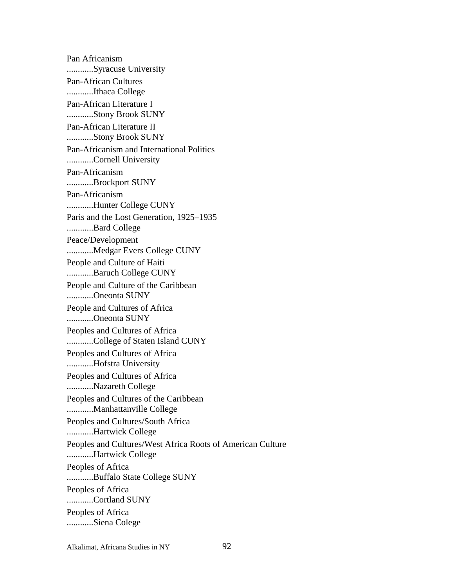Pan Africanism ............Syracuse University Pan-African Cultures ............Ithaca College Pan-African Literature I ............Stony Brook SUNY Pan-African Literature II ............Stony Brook SUNY Pan-Africanism and International Politics ............Cornell University Pan-Africanism ............Brockport SUNY Pan-Africanism ............Hunter College CUNY Paris and the Lost Generation, 1925–1935 ............Bard College Peace/Development ............Medgar Evers College CUNY People and Culture of Haiti ............Baruch College CUNY People and Culture of the Caribbean ............Oneonta SUNY People and Cultures of Africa ............Oneonta SUNY Peoples and Cultures of Africa ............College of Staten Island CUNY Peoples and Cultures of Africa ............Hofstra University Peoples and Cultures of Africa ............Nazareth College Peoples and Cultures of the Caribbean ............Manhattanville College Peoples and Cultures/South Africa ............Hartwick College Peoples and Cultures/West Africa Roots of American Culture ............Hartwick College Peoples of Africa ............Buffalo State College SUNY Peoples of Africa ............Cortland SUNY Peoples of Africa ............Siena Colege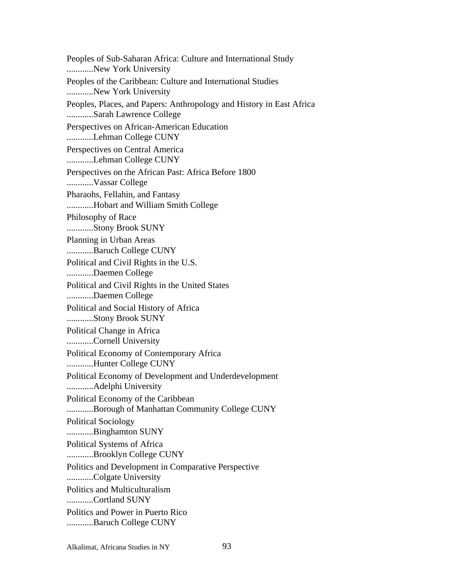Peoples of Sub-Saharan Africa: Culture and International Study ............New York University Peoples of the Caribbean: Culture and International Studies ............New York University Peoples, Places, and Papers: Anthropology and History in East Africa ............Sarah Lawrence College Perspectives on African-American Education ............Lehman College CUNY Perspectives on Central America ............Lehman College CUNY Perspectives on the African Past: Africa Before 1800 ............Vassar College Pharaohs, Fellahin, and Fantasy ............Hobart and William Smith College Philosophy of Race ............Stony Brook SUNY Planning in Urban Areas ............Baruch College CUNY Political and Civil Rights in the U.S. ............Daemen College Political and Civil Rights in the United States ............Daemen College Political and Social History of Africa ............Stony Brook SUNY Political Change in Africa ............Cornell University Political Economy of Contemporary Africa ............Hunter College CUNY Political Economy of Development and Underdevelopment ............Adelphi University Political Economy of the Caribbean ............Borough of Manhattan Community College CUNY Political Sociology ............Binghamton SUNY Political Systems of Africa ............Brooklyn College CUNY Politics and Development in Comparative Perspective ............Colgate University Politics and Multiculturalism ............Cortland SUNY Politics and Power in Puerto Rico ............Baruch College CUNY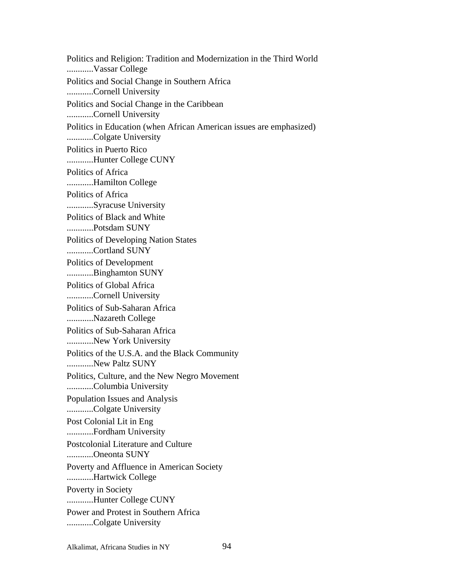Politics and Religion: Tradition and Modernization in the Third World ............Vassar College Politics and Social Change in Southern Africa ............Cornell University Politics and Social Change in the Caribbean ............Cornell University Politics in Education (when African American issues are emphasized) ............Colgate University Politics in Puerto Rico ............Hunter College CUNY Politics of Africa ............Hamilton College Politics of Africa ............Syracuse University Politics of Black and White ............Potsdam SUNY Politics of Developing Nation States ............Cortland SUNY Politics of Development ............Binghamton SUNY Politics of Global Africa ............Cornell University Politics of Sub-Saharan Africa ............Nazareth College Politics of Sub-Saharan Africa ............New York University Politics of the U.S.A. and the Black Community ............New Paltz SUNY Politics, Culture, and the New Negro Movement ............Columbia University Population Issues and Analysis ............Colgate University Post Colonial Lit in Eng ............Fordham University Postcolonial Literature and Culture ............Oneonta SUNY Poverty and Affluence in American Society ............Hartwick College Poverty in Society ............Hunter College CUNY Power and Protest in Southern Africa ............Colgate University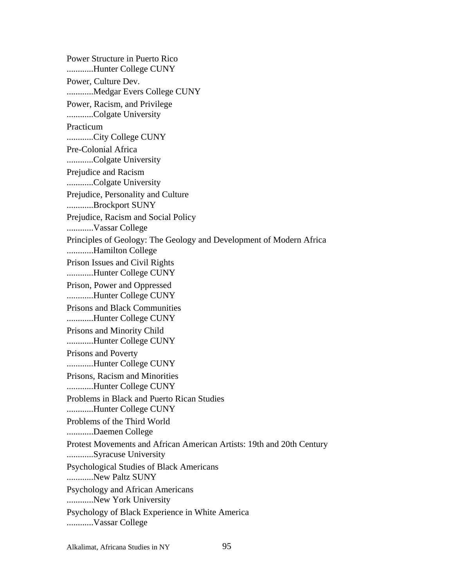Power Structure in Puerto Rico ............Hunter College CUNY Power, Culture Dev. ............Medgar Evers College CUNY Power, Racism, and Privilege ............Colgate University Practicum ............City College CUNY Pre-Colonial Africa ............Colgate University Prejudice and Racism ............Colgate University Prejudice, Personality and Culture ............Brockport SUNY Prejudice, Racism and Social Policy ............Vassar College Principles of Geology: The Geology and Development of Modern Africa ............Hamilton College Prison Issues and Civil Rights ............Hunter College CUNY Prison, Power and Oppressed ............Hunter College CUNY Prisons and Black Communities ............Hunter College CUNY Prisons and Minority Child ............Hunter College CUNY Prisons and Poverty ............Hunter College CUNY Prisons, Racism and Minorities ............Hunter College CUNY Problems in Black and Puerto Rican Studies ............Hunter College CUNY Problems of the Third World ............Daemen College Protest Movements and African American Artists: 19th and 20th Century ............Syracuse University Psychological Studies of Black Americans ............New Paltz SUNY Psychology and African Americans ............New York University Psychology of Black Experience in White America ............Vassar College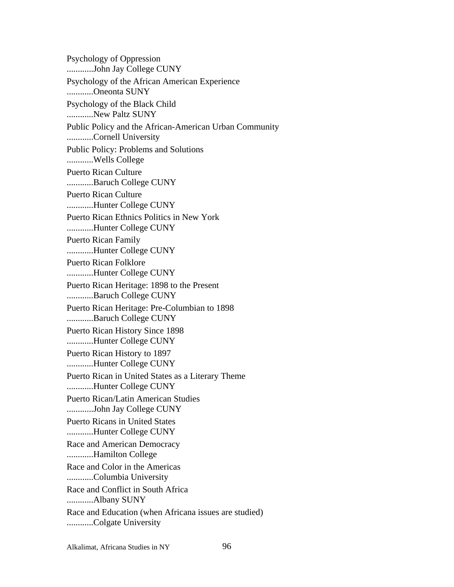Psychology of Oppression ............John Jay College CUNY Psychology of the African American Experience ............Oneonta SUNY Psychology of the Black Child ............New Paltz SUNY Public Policy and the African-American Urban Community ............Cornell University Public Policy: Problems and Solutions ............Wells College Puerto Rican Culture ............Baruch College CUNY Puerto Rican Culture ............Hunter College CUNY Puerto Rican Ethnics Politics in New York ............Hunter College CUNY Puerto Rican Family ............Hunter College CUNY Puerto Rican Folklore ............Hunter College CUNY Puerto Rican Heritage: 1898 to the Present ............Baruch College CUNY Puerto Rican Heritage: Pre-Columbian to 1898 ............Baruch College CUNY Puerto Rican History Since 1898 ............Hunter College CUNY Puerto Rican History to 1897 ............Hunter College CUNY Puerto Rican in United States as a Literary Theme ............Hunter College CUNY Puerto Rican/Latin American Studies ............John Jay College CUNY Puerto Ricans in United States ............Hunter College CUNY Race and American Democracy ............Hamilton College Race and Color in the Americas ............Columbia University Race and Conflict in South Africa ............Albany SUNY Race and Education (when Africana issues are studied) ............Colgate University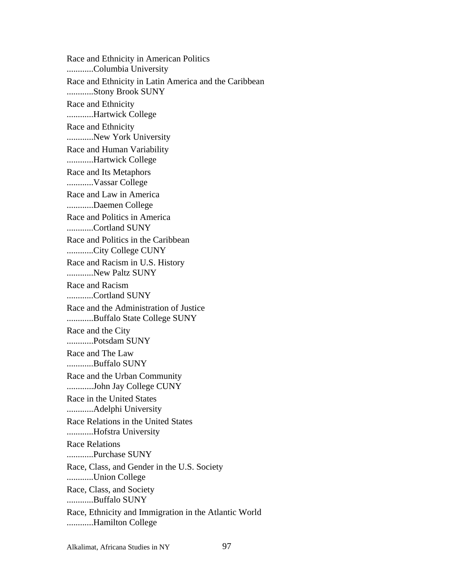Race and Ethnicity in American Politics ............Columbia University Race and Ethnicity in Latin America and the Caribbean ............Stony Brook SUNY Race and Ethnicity ............Hartwick College Race and Ethnicity ............New York University Race and Human Variability ............Hartwick College Race and Its Metaphors ............Vassar College Race and Law in America ............Daemen College Race and Politics in America ............Cortland SUNY Race and Politics in the Caribbean ............City College CUNY Race and Racism in U.S. History ............New Paltz SUNY Race and Racism ............Cortland SUNY Race and the Administration of Justice ............Buffalo State College SUNY Race and the City ............Potsdam SUNY Race and The Law ............Buffalo SUNY Race and the Urban Community ............John Jay College CUNY Race in the United States ............Adelphi University Race Relations in the United States ............Hofstra University Race Relations ............Purchase SUNY Race, Class, and Gender in the U.S. Society ............Union College Race, Class, and Society ............Buffalo SUNY Race, Ethnicity and Immigration in the Atlantic World ............Hamilton College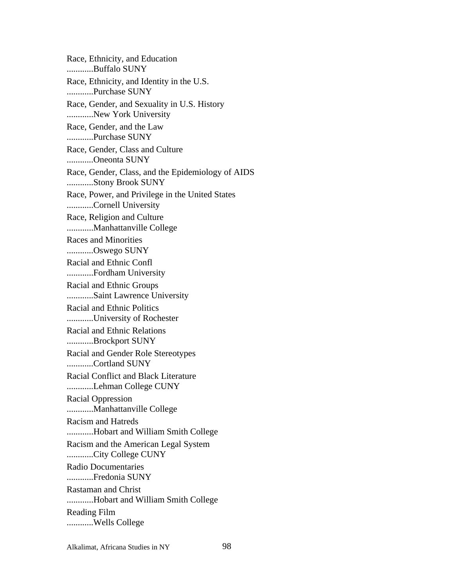Race, Ethnicity, and Education ............Buffalo SUNY Race, Ethnicity, and Identity in the U.S. ............Purchase SUNY Race, Gender, and Sexuality in U.S. History ............New York University Race, Gender, and the Law ............Purchase SUNY Race, Gender, Class and Culture ............Oneonta SUNY Race, Gender, Class, and the Epidemiology of AIDS ............Stony Brook SUNY Race, Power, and Privilege in the United States ............Cornell University Race, Religion and Culture ............Manhattanville College Races and Minorities ............Oswego SUNY Racial and Ethnic Confl ............Fordham University Racial and Ethnic Groups ............Saint Lawrence University Racial and Ethnic Politics ............University of Rochester Racial and Ethnic Relations ............Brockport SUNY Racial and Gender Role Stereotypes ............Cortland SUNY Racial Conflict and Black Literature ............Lehman College CUNY Racial Oppression ............Manhattanville College Racism and Hatreds ............Hobart and William Smith College Racism and the American Legal System ............City College CUNY Radio Documentaries ............Fredonia SUNY Rastaman and Christ ............Hobart and William Smith College Reading Film ............Wells College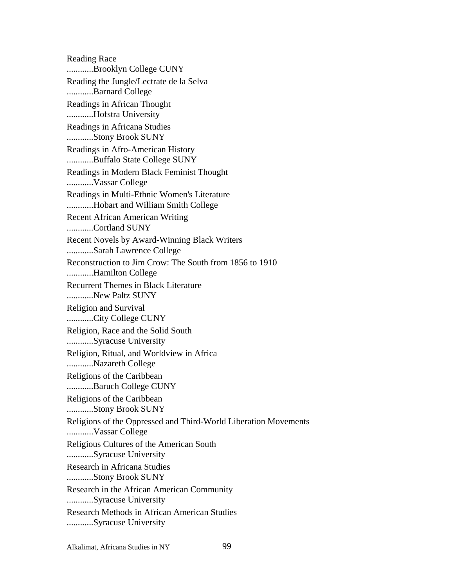Reading Race ............Brooklyn College CUNY Reading the Jungle/Lectrate de la Selva ............Barnard College Readings in African Thought ............Hofstra University Readings in Africana Studies ............Stony Brook SUNY Readings in Afro-American History ............Buffalo State College SUNY Readings in Modern Black Feminist Thought ............Vassar College Readings in Multi-Ethnic Women's Literature ............Hobart and William Smith College Recent African American Writing ............Cortland SUNY Recent Novels by Award-Winning Black Writers ............Sarah Lawrence College Reconstruction to Jim Crow: The South from 1856 to 1910 ............Hamilton College Recurrent Themes in Black Literature ............New Paltz SUNY Religion and Survival ............City College CUNY Religion, Race and the Solid South ............Syracuse University Religion, Ritual, and Worldview in Africa ............Nazareth College Religions of the Caribbean ............Baruch College CUNY Religions of the Caribbean ............Stony Brook SUNY Religions of the Oppressed and Third-World Liberation Movements ............Vassar College Religious Cultures of the American South ............Syracuse University Research in Africana Studies ............Stony Brook SUNY Research in the African American Community ............Syracuse University Research Methods in African American Studies ............Syracuse University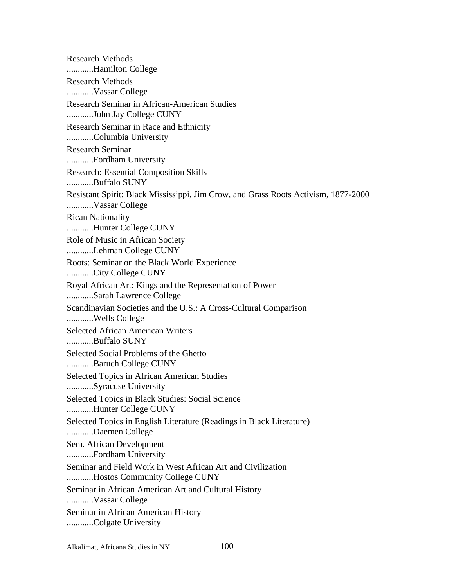Research Methods ............Hamilton College Research Methods ............Vassar College Research Seminar in African-American Studies ............John Jay College CUNY Research Seminar in Race and Ethnicity ............Columbia University Research Seminar ............Fordham University Research: Essential Composition Skills ............Buffalo SUNY Resistant Spirit: Black Mississippi, Jim Crow, and Grass Roots Activism, 1877-2000 ............Vassar College Rican Nationality ............Hunter College CUNY Role of Music in African Society ............Lehman College CUNY Roots: Seminar on the Black World Experience ............City College CUNY Royal African Art: Kings and the Representation of Power ............Sarah Lawrence College Scandinavian Societies and the U.S.: A Cross-Cultural Comparison ............Wells College Selected African American Writers ............Buffalo SUNY Selected Social Problems of the Ghetto ............Baruch College CUNY Selected Topics in African American Studies ............Syracuse University Selected Topics in Black Studies: Social Science ............Hunter College CUNY Selected Topics in English Literature (Readings in Black Literature) ............Daemen College Sem. African Development ............Fordham University Seminar and Field Work in West African Art and Civilization ............Hostos Community College CUNY Seminar in African American Art and Cultural History ............Vassar College Seminar in African American History ............Colgate University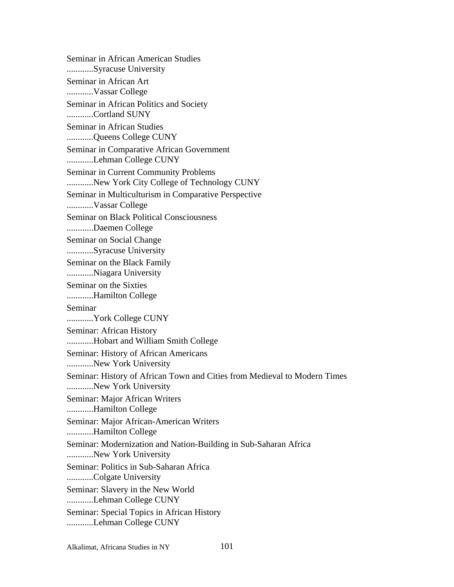Seminar in African American Studies ............Syracuse University Seminar in African Art ............Vassar College Seminar in African Politics and Society ............Cortland SUNY Seminar in African Studies ............Queens College CUNY Seminar in Comparative African Government ............Lehman College CUNY Seminar in Current Community Problems ............New York City College of Technology CUNY Seminar in Multiculturism in Comparative Perspective ............Vassar College Seminar on Black Political Consciousness ............Daemen College Seminar on Social Change ............Syracuse University Seminar on the Black Family ............Niagara University Seminar on the Sixties ............Hamilton College Seminar ............York College CUNY Seminar: African History ............Hobart and William Smith College Seminar: History of African Americans ............New York University Seminar: History of African Town and Cities from Medieval to Modern Times ............New York University Seminar: Major African Writers ............Hamilton College Seminar: Major African-American Writers ............Hamilton College Seminar: Modernization and Nation-Building in Sub-Saharan Africa ............New York University Seminar: Politics in Sub-Saharan Africa ............Colgate University Seminar: Slavery in the New World ............Lehman College CUNY Seminar: Special Topics in African History ............Lehman College CUNY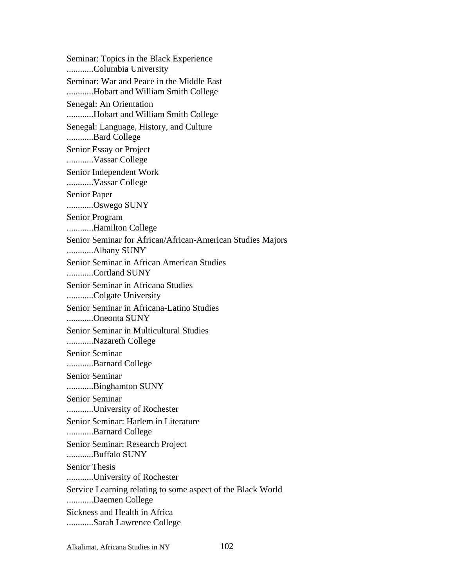Seminar: Topics in the Black Experience ............Columbia University Seminar: War and Peace in the Middle East ............Hobart and William Smith College Senegal: An Orientation ............Hobart and William Smith College Senegal: Language, History, and Culture ............Bard College Senior Essay or Project ............Vassar College Senior Independent Work ............Vassar College Senior Paper ............Oswego SUNY Senior Program ............Hamilton College Senior Seminar for African/African-American Studies Majors ............Albany SUNY Senior Seminar in African American Studies ............Cortland SUNY Senior Seminar in Africana Studies ............Colgate University Senior Seminar in Africana-Latino Studies ............Oneonta SUNY Senior Seminar in Multicultural Studies ............Nazareth College Senior Seminar ............Barnard College Senior Seminar ............Binghamton SUNY Senior Seminar ............University of Rochester Senior Seminar: Harlem in Literature ............Barnard College Senior Seminar: Research Project ............Buffalo SUNY Senior Thesis ............University of Rochester Service Learning relating to some aspect of the Black World ............Daemen College Sickness and Health in Africa ............Sarah Lawrence College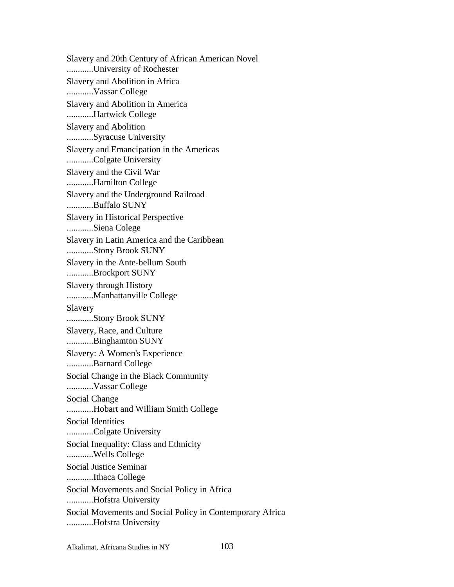Slavery and 20th Century of African American Novel ............University of Rochester Slavery and Abolition in Africa ............Vassar College Slavery and Abolition in America ............Hartwick College Slavery and Abolition ............Syracuse University Slavery and Emancipation in the Americas ............Colgate University Slavery and the Civil War ............Hamilton College Slavery and the Underground Railroad ............Buffalo SUNY Slavery in Historical Perspective ............Siena Colege Slavery in Latin America and the Caribbean ............Stony Brook SUNY Slavery in the Ante-bellum South ............Brockport SUNY Slavery through History ............Manhattanville College Slavery ............Stony Brook SUNY Slavery, Race, and Culture ............Binghamton SUNY Slavery: A Women's Experience ............Barnard College Social Change in the Black Community ............Vassar College Social Change ............Hobart and William Smith College Social Identities ............Colgate University Social Inequality: Class and Ethnicity ............Wells College Social Justice Seminar ............Ithaca College Social Movements and Social Policy in Africa ............Hofstra University Social Movements and Social Policy in Contemporary Africa ............Hofstra University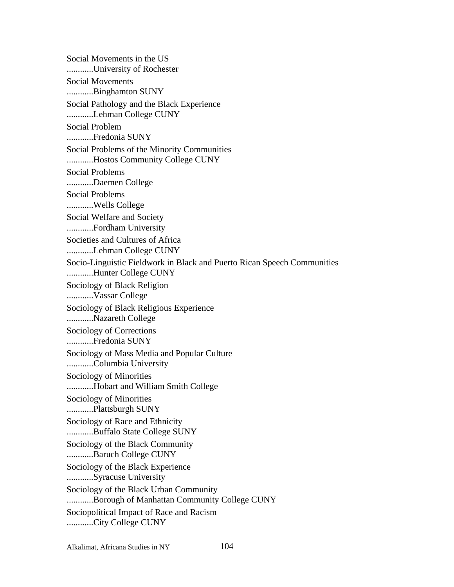Social Movements in the US ............University of Rochester Social Movements ............Binghamton SUNY Social Pathology and the Black Experience ............Lehman College CUNY Social Problem ............Fredonia SUNY Social Problems of the Minority Communities ............Hostos Community College CUNY Social Problems ............Daemen College Social Problems ............Wells College Social Welfare and Society ............Fordham University Societies and Cultures of Africa ............Lehman College CUNY Socio-Linguistic Fieldwork in Black and Puerto Rican Speech Communities ............Hunter College CUNY Sociology of Black Religion ............Vassar College Sociology of Black Religious Experience ............Nazareth College Sociology of Corrections ............Fredonia SUNY Sociology of Mass Media and Popular Culture ............Columbia University Sociology of Minorities ............Hobart and William Smith College Sociology of Minorities ............Plattsburgh SUNY Sociology of Race and Ethnicity ............Buffalo State College SUNY Sociology of the Black Community ............Baruch College CUNY Sociology of the Black Experience ............Syracuse University Sociology of the Black Urban Community ............Borough of Manhattan Community College CUNY Sociopolitical Impact of Race and Racism ............City College CUNY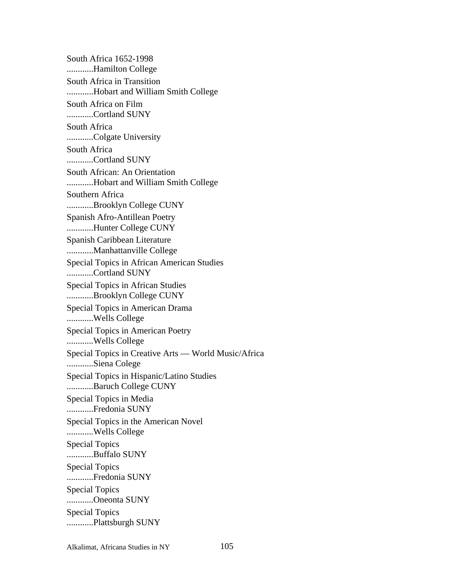South Africa 1652-1998 ............Hamilton College South Africa in Transition ............Hobart and William Smith College South Africa on Film ............Cortland SUNY South Africa ............Colgate University South Africa ............Cortland SUNY South African: An Orientation ............Hobart and William Smith College Southern Africa ............Brooklyn College CUNY Spanish Afro-Antillean Poetry ............Hunter College CUNY Spanish Caribbean Literature ............Manhattanville College Special Topics in African American Studies ............Cortland SUNY Special Topics in African Studies ............Brooklyn College CUNY Special Topics in American Drama ............Wells College Special Topics in American Poetry ............Wells College Special Topics in Creative Arts — World Music/Africa ............Siena Colege Special Topics in Hispanic/Latino Studies ............Baruch College CUNY Special Topics in Media ............Fredonia SUNY Special Topics in the American Novel ............Wells College Special Topics ............Buffalo SUNY Special Topics ............Fredonia SUNY Special Topics ............Oneonta SUNY Special Topics ............Plattsburgh SUNY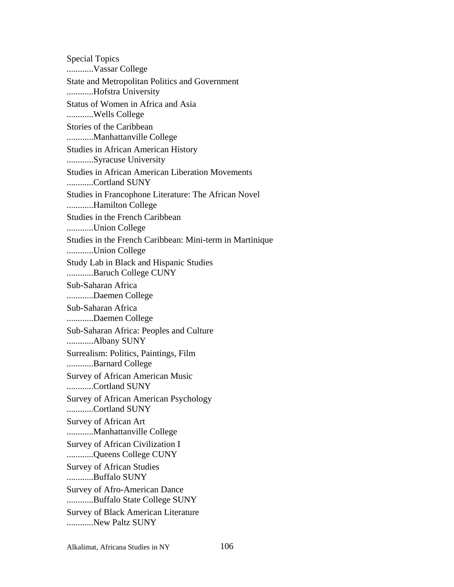Special Topics ............Vassar College State and Metropolitan Politics and Government ............Hofstra University Status of Women in Africa and Asia ............Wells College Stories of the Caribbean ............Manhattanville College Studies in African American History ............Syracuse University Studies in African American Liberation Movements ............Cortland SUNY Studies in Francophone Literature: The African Novel ............Hamilton College Studies in the French Caribbean ............Union College Studies in the French Caribbean: Mini-term in Martinique ............Union College Study Lab in Black and Hispanic Studies ............Baruch College CUNY Sub-Saharan Africa ............Daemen College Sub-Saharan Africa ............Daemen College Sub-Saharan Africa: Peoples and Culture ............Albany SUNY Surrealism: Politics, Paintings, Film ............Barnard College Survey of African American Music ............Cortland SUNY Survey of African American Psychology ............Cortland SUNY Survey of African Art ............Manhattanville College Survey of African Civilization I ............Queens College CUNY Survey of African Studies ............Buffalo SUNY Survey of Afro-American Dance ............Buffalo State College SUNY Survey of Black American Literature ............New Paltz SUNY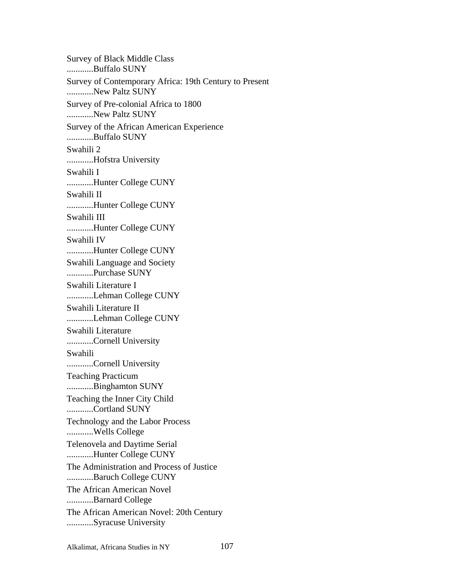Survey of Black Middle Class ............Buffalo SUNY Survey of Contemporary Africa: 19th Century to Present ............New Paltz SUNY Survey of Pre-colonial Africa to 1800 ............New Paltz SUNY Survey of the African American Experience ............Buffalo SUNY Swahili 2 ............Hofstra University Swahili I ............Hunter College CUNY Swahili II ............Hunter College CUNY Swahili III ............Hunter College CUNY Swahili IV ............Hunter College CUNY Swahili Language and Society ............Purchase SUNY Swahili Literature I ............Lehman College CUNY Swahili Literature II ............Lehman College CUNY Swahili Literature ............Cornell University Swahili ............Cornell University Teaching Practicum ............Binghamton SUNY Teaching the Inner City Child ............Cortland SUNY Technology and the Labor Process ............Wells College Telenovela and Daytime Serial ............Hunter College CUNY The Administration and Process of Justice ............Baruch College CUNY The African American Novel ............Barnard College The African American Novel: 20th Century ............Syracuse University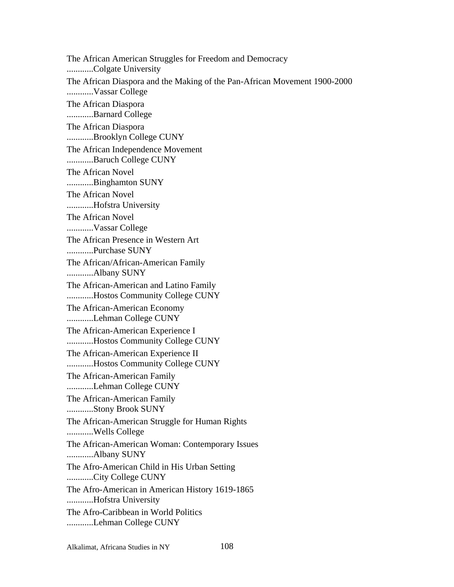The African American Struggles for Freedom and Democracy ............Colgate University The African Diaspora and the Making of the Pan-African Movement 1900-2000 ............Vassar College The African Diaspora ............Barnard College The African Diaspora ............Brooklyn College CUNY The African Independence Movement ............Baruch College CUNY The African Novel ............Binghamton SUNY The African Novel ............Hofstra University The African Novel ............Vassar College The African Presence in Western Art ............Purchase SUNY The African/African-American Family ............Albany SUNY The African-American and Latino Family ............Hostos Community College CUNY The African-American Economy ............Lehman College CUNY The African-American Experience I ............Hostos Community College CUNY The African-American Experience II ............Hostos Community College CUNY The African-American Family ............Lehman College CUNY The African-American Family ............Stony Brook SUNY The African-American Struggle for Human Rights ............Wells College The African-American Woman: Contemporary Issues ............Albany SUNY The Afro-American Child in His Urban Setting ............City College CUNY The Afro-American in American History 1619-1865 ............Hofstra University The Afro-Caribbean in World Politics ............Lehman College CUNY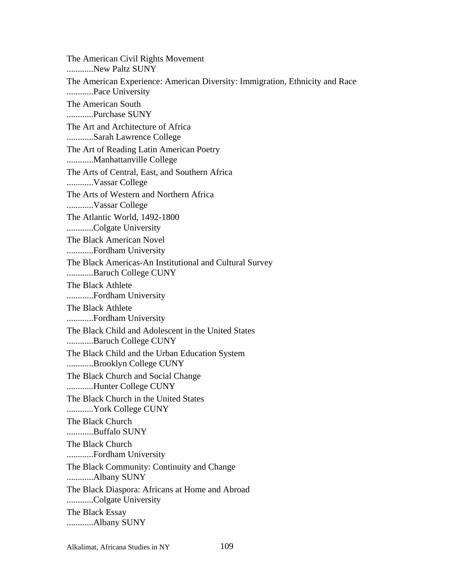The American Civil Rights Movement ............New Paltz SUNY The American Experience: American Diversity: Immigration, Ethnicity and Race ............Pace University The American South ............Purchase SUNY The Art and Architecture of Africa ............Sarah Lawrence College The Art of Reading Latin American Poetry ............Manhattanville College The Arts of Central, East, and Southern Africa ............Vassar College The Arts of Western and Northern Africa ............Vassar College The Atlantic World, 1492-1800 ............Colgate University The Black American Novel ............Fordham University The Black Americas-An Institutional and Cultural Survey ............Baruch College CUNY The Black Athlete ............Fordham University The Black Athlete ............Fordham University The Black Child and Adolescent in the United States ............Baruch College CUNY The Black Child and the Urban Education System ............Brooklyn College CUNY The Black Church and Social Change ............Hunter College CUNY The Black Church in the United States ............York College CUNY The Black Church ............Buffalo SUNY The Black Church ............Fordham University The Black Community: Continuity and Change ............Albany SUNY The Black Diaspora: Africans at Home and Abroad ............Colgate University The Black Essay ............Albany SUNY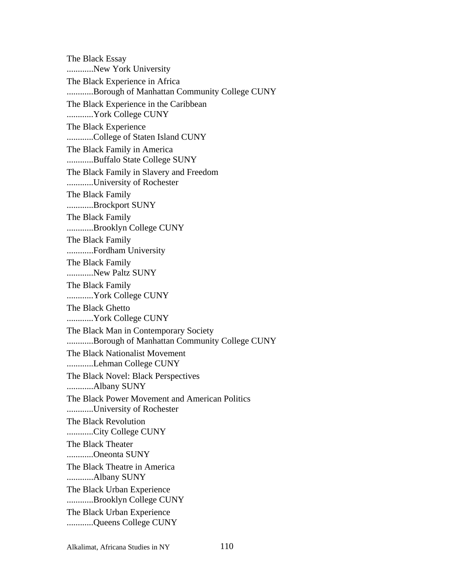The Black Essay ............New York University The Black Experience in Africa ............Borough of Manhattan Community College CUNY The Black Experience in the Caribbean ............York College CUNY The Black Experience ............College of Staten Island CUNY The Black Family in America ............Buffalo State College SUNY The Black Family in Slavery and Freedom ............University of Rochester The Black Family ............Brockport SUNY The Black Family ............Brooklyn College CUNY The Black Family ............Fordham University The Black Family ............New Paltz SUNY The Black Family ............York College CUNY The Black Ghetto ............York College CUNY The Black Man in Contemporary Society ............Borough of Manhattan Community College CUNY The Black Nationalist Movement ............Lehman College CUNY The Black Novel: Black Perspectives ............Albany SUNY The Black Power Movement and American Politics ............University of Rochester The Black Revolution ............City College CUNY The Black Theater ............Oneonta SUNY The Black Theatre in America ............Albany SUNY The Black Urban Experience ............Brooklyn College CUNY The Black Urban Experience ............Queens College CUNY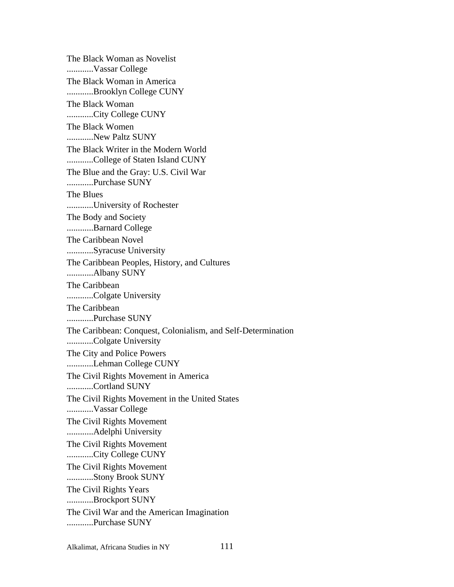The Black Woman as Novelist ............Vassar College The Black Woman in America ............Brooklyn College CUNY The Black Woman ............City College CUNY The Black Women ............New Paltz SUNY The Black Writer in the Modern World ............College of Staten Island CUNY The Blue and the Gray: U.S. Civil War ............Purchase SUNY The Blues ............University of Rochester The Body and Society ............Barnard College The Caribbean Novel ............Syracuse University The Caribbean Peoples, History, and Cultures ............Albany SUNY The Caribbean ............Colgate University The Caribbean ............Purchase SUNY The Caribbean: Conquest, Colonialism, and Self-Determination ............Colgate University The City and Police Powers ............Lehman College CUNY The Civil Rights Movement in America ............Cortland SUNY The Civil Rights Movement in the United States ............Vassar College The Civil Rights Movement ............Adelphi University The Civil Rights Movement ............City College CUNY The Civil Rights Movement ............Stony Brook SUNY The Civil Rights Years ............Brockport SUNY The Civil War and the American Imagination ............Purchase SUNY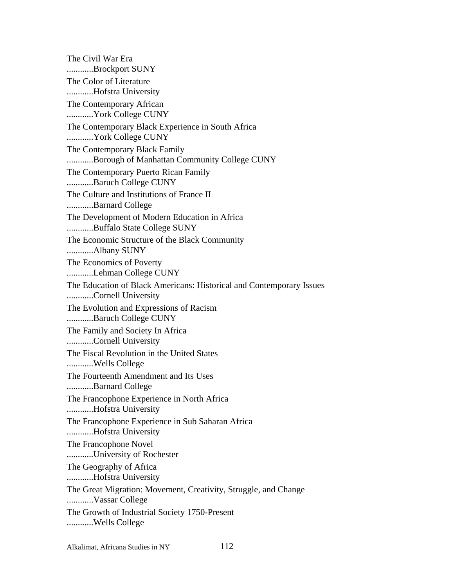The Civil War Era ............Brockport SUNY The Color of Literature ............Hofstra University The Contemporary African ............York College CUNY The Contemporary Black Experience in South Africa ............York College CUNY The Contemporary Black Family ............Borough of Manhattan Community College CUNY The Contemporary Puerto Rican Family ............Baruch College CUNY The Culture and Institutions of France II ............Barnard College The Development of Modern Education in Africa ............Buffalo State College SUNY The Economic Structure of the Black Community ............Albany SUNY The Economics of Poverty ............Lehman College CUNY The Education of Black Americans: Historical and Contemporary Issues ............Cornell University The Evolution and Expressions of Racism ............Baruch College CUNY The Family and Society In Africa ............Cornell University The Fiscal Revolution in the United States ............Wells College The Fourteenth Amendment and Its Uses ............Barnard College The Francophone Experience in North Africa ............Hofstra University The Francophone Experience in Sub Saharan Africa ............Hofstra University The Francophone Novel ............University of Rochester The Geography of Africa ............Hofstra University The Great Migration: Movement, Creativity, Struggle, and Change ............Vassar College The Growth of Industrial Society 1750-Present ............Wells College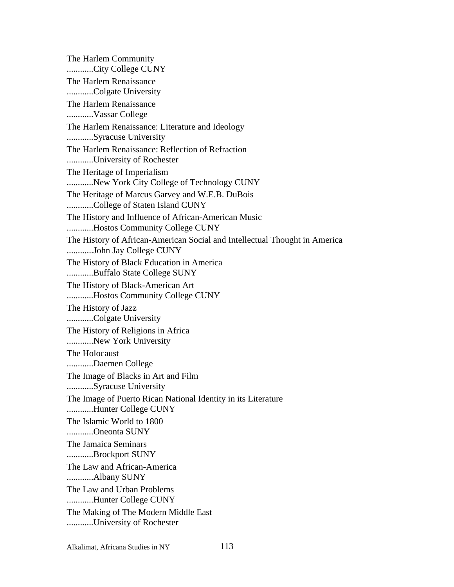The Harlem Community ............City College CUNY The Harlem Renaissance ............Colgate University The Harlem Renaissance ............Vassar College The Harlem Renaissance: Literature and Ideology ............Syracuse University The Harlem Renaissance: Reflection of Refraction ............University of Rochester The Heritage of Imperialism ............New York City College of Technology CUNY The Heritage of Marcus Garvey and W.E.B. DuBois ............College of Staten Island CUNY The History and Influence of African-American Music ............Hostos Community College CUNY The History of African-American Social and Intellectual Thought in America ............John Jay College CUNY The History of Black Education in America ............Buffalo State College SUNY The History of Black-American Art ............Hostos Community College CUNY The History of Jazz ............Colgate University The History of Religions in Africa ............New York University The Holocaust ............Daemen College The Image of Blacks in Art and Film ............Syracuse University The Image of Puerto Rican National Identity in its Literature ............Hunter College CUNY The Islamic World to 1800 ............Oneonta SUNY The Jamaica Seminars ............Brockport SUNY The Law and African-America ............Albany SUNY The Law and Urban Problems ............Hunter College CUNY The Making of The Modern Middle East ............University of Rochester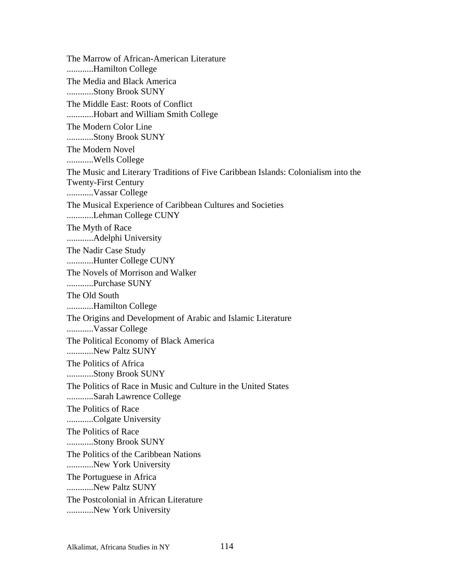The Marrow of African-American Literature ............Hamilton College The Media and Black America ............Stony Brook SUNY The Middle East: Roots of Conflict ............Hobart and William Smith College The Modern Color Line ............Stony Brook SUNY The Modern Novel ............Wells College The Music and Literary Traditions of Five Caribbean Islands: Colonialism into the Twenty-First Century ............Vassar College The Musical Experience of Caribbean Cultures and Societies ............Lehman College CUNY The Myth of Race ............Adelphi University The Nadir Case Study ............Hunter College CUNY The Novels of Morrison and Walker ............Purchase SUNY The Old South ............Hamilton College The Origins and Development of Arabic and Islamic Literature ............Vassar College The Political Economy of Black America ............New Paltz SUNY The Politics of Africa ............Stony Brook SUNY The Politics of Race in Music and Culture in the United States ............Sarah Lawrence College The Politics of Race ............Colgate University The Politics of Race ............Stony Brook SUNY The Politics of the Caribbean Nations ............New York University The Portuguese in Africa ............New Paltz SUNY The Postcolonial in African Literature ............New York University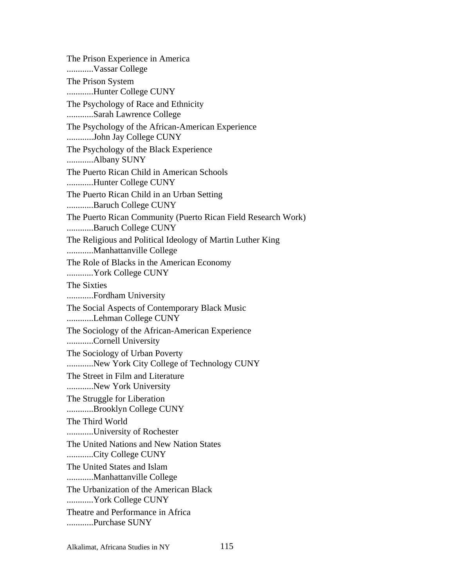The Prison Experience in America ............Vassar College The Prison System ............Hunter College CUNY The Psychology of Race and Ethnicity ............Sarah Lawrence College The Psychology of the African-American Experience ............John Jay College CUNY The Psychology of the Black Experience ............Albany SUNY The Puerto Rican Child in American Schools ............Hunter College CUNY The Puerto Rican Child in an Urban Setting ............Baruch College CUNY The Puerto Rican Community (Puerto Rican Field Research Work) ............Baruch College CUNY The Religious and Political Ideology of Martin Luther King ............Manhattanville College The Role of Blacks in the American Economy ............York College CUNY The Sixties ............Fordham University The Social Aspects of Contemporary Black Music ............Lehman College CUNY The Sociology of the African-American Experience ............Cornell University The Sociology of Urban Poverty ............New York City College of Technology CUNY The Street in Film and Literature ............New York University The Struggle for Liberation ............Brooklyn College CUNY The Third World ............University of Rochester The United Nations and New Nation States ............City College CUNY The United States and Islam ............Manhattanville College The Urbanization of the American Black ............York College CUNY Theatre and Performance in Africa ............Purchase SUNY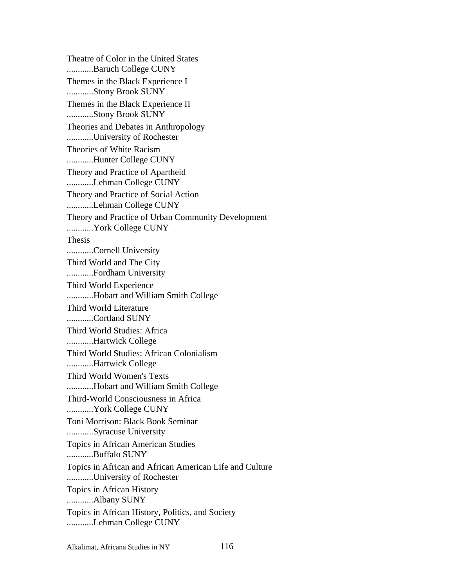Theatre of Color in the United States ............Baruch College CUNY Themes in the Black Experience I ............Stony Brook SUNY Themes in the Black Experience II ............Stony Brook SUNY Theories and Debates in Anthropology ............University of Rochester Theories of White Racism ............Hunter College CUNY Theory and Practice of Apartheid ............Lehman College CUNY Theory and Practice of Social Action ............Lehman College CUNY Theory and Practice of Urban Community Development ............York College CUNY Thesis ............Cornell University Third World and The City ............Fordham University Third World Experience ............Hobart and William Smith College Third World Literature ............Cortland SUNY Third World Studies: Africa ............Hartwick College Third World Studies: African Colonialism ............Hartwick College Third World Women's Texts ............Hobart and William Smith College Third-World Consciousness in Africa ............York College CUNY Toni Morrison: Black Book Seminar ............Syracuse University Topics in African American Studies ............Buffalo SUNY Topics in African and African American Life and Culture ............University of Rochester Topics in African History ............Albany SUNY Topics in African History, Politics, and Society ............Lehman College CUNY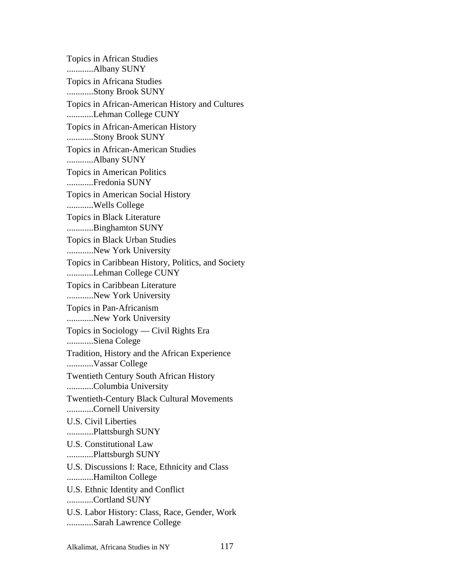Topics in African Studies ............Albany SUNY Topics in Africana Studies ............Stony Brook SUNY Topics in African-American History and Cultures ............Lehman College CUNY Topics in African-American History ............Stony Brook SUNY Topics in African-American Studies ............Albany SUNY Topics in American Politics ............Fredonia SUNY Topics in American Social History ............Wells College Topics in Black Literature ............Binghamton SUNY Topics in Black Urban Studies ............New York University Topics in Caribbean History, Politics, and Society ............Lehman College CUNY Topics in Caribbean Literature ............New York University Topics in Pan-Africanism ............New York University Topics in Sociology — Civil Rights Era ............Siena Colege Tradition, History and the African Experience ............Vassar College Twentieth Century South African History ............Columbia University Twentieth-Century Black Cultural Movements ............Cornell University U.S. Civil Liberties ............Plattsburgh SUNY U.S. Constitutional Law ............Plattsburgh SUNY U.S. Discussions I: Race, Ethnicity and Class ............Hamilton College U.S. Ethnic Identity and Conflict ............Cortland SUNY U.S. Labor History: Class, Race, Gender, Work ............Sarah Lawrence College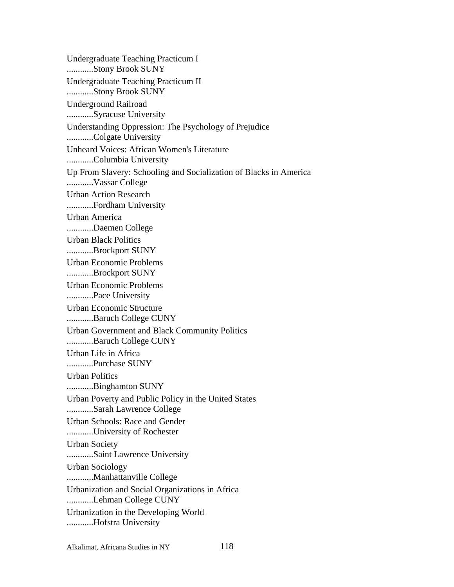Undergraduate Teaching Practicum I ............Stony Brook SUNY Undergraduate Teaching Practicum II ............Stony Brook SUNY Underground Railroad ............Syracuse University Understanding Oppression: The Psychology of Prejudice ............Colgate University Unheard Voices: African Women's Literature ............Columbia University Up From Slavery: Schooling and Socialization of Blacks in America ............Vassar College Urban Action Research ............Fordham University Urban America ............Daemen College Urban Black Politics ............Brockport SUNY Urban Economic Problems ............Brockport SUNY Urban Economic Problems ............Pace University Urban Economic Structure ............Baruch College CUNY Urban Government and Black Community Politics ............Baruch College CUNY Urban Life in Africa ............Purchase SUNY Urban Politics ............Binghamton SUNY Urban Poverty and Public Policy in the United States ............Sarah Lawrence College Urban Schools: Race and Gender ............University of Rochester Urban Society ............Saint Lawrence University Urban Sociology ............Manhattanville College Urbanization and Social Organizations in Africa ............Lehman College CUNY Urbanization in the Developing World ............Hofstra University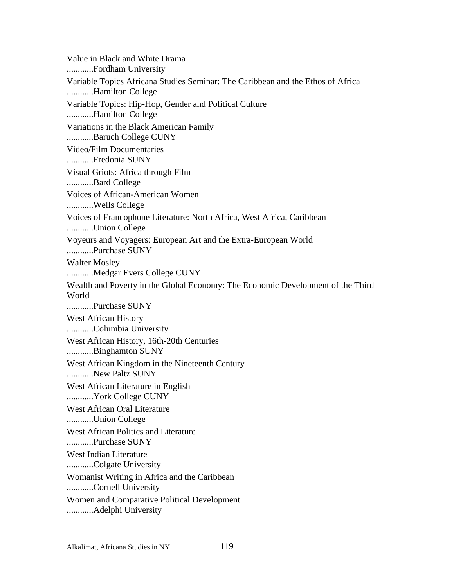Value in Black and White Drama ............Fordham University Variable Topics Africana Studies Seminar: The Caribbean and the Ethos of Africa ............Hamilton College Variable Topics: Hip-Hop, Gender and Political Culture ............Hamilton College Variations in the Black American Family ............Baruch College CUNY Video/Film Documentaries ............Fredonia SUNY Visual Griots: Africa through Film ............Bard College Voices of African-American Women ............Wells College Voices of Francophone Literature: North Africa, West Africa, Caribbean ............Union College Voyeurs and Voyagers: European Art and the Extra-European World ............Purchase SUNY Walter Mosley ............Medgar Evers College CUNY Wealth and Poverty in the Global Economy: The Economic Development of the Third World ............Purchase SUNY West African History ............Columbia University West African History, 16th-20th Centuries ............Binghamton SUNY West African Kingdom in the Nineteenth Century ............New Paltz SUNY West African Literature in English ............York College CUNY West African Oral Literature ............Union College West African Politics and Literature ............Purchase SUNY West Indian Literature ............Colgate University Womanist Writing in Africa and the Caribbean ............Cornell University Women and Comparative Political Development ............Adelphi University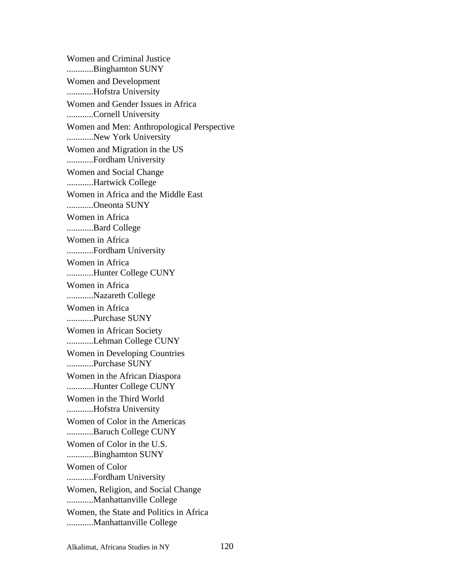Women and Criminal Justice ............Binghamton SUNY Women and Development ............Hofstra University Women and Gender Issues in Africa ............Cornell University Women and Men: Anthropological Perspective ............New York University Women and Migration in the US ............Fordham University Women and Social Change ............Hartwick College Women in Africa and the Middle East ............Oneonta SUNY Women in Africa ............Bard College Women in Africa ............Fordham University Women in Africa ............Hunter College CUNY Women in Africa ............Nazareth College Women in Africa ............Purchase SUNY Women in African Society ............Lehman College CUNY Women in Developing Countries ............Purchase SUNY Women in the African Diaspora ............Hunter College CUNY Women in the Third World ............Hofstra University Women of Color in the Americas ............Baruch College CUNY Women of Color in the U.S. ............Binghamton SUNY Women of Color ............Fordham University Women, Religion, and Social Change ............Manhattanville College Women, the State and Politics in Africa ............Manhattanville College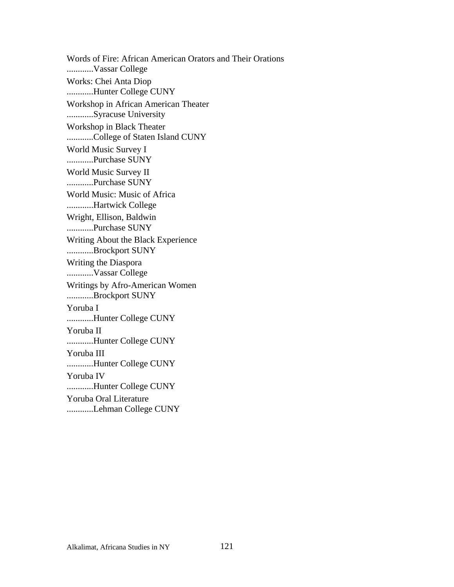Words of Fire: African American Orators and Their Orations ............Vassar College Works: Chei Anta Diop ............Hunter College CUNY Workshop in African American Theater ............Syracuse University Workshop in Black Theater ............College of Staten Island CUNY World Music Survey I ............Purchase SUNY World Music Survey II ............Purchase SUNY World Music: Music of Africa ............Hartwick College Wright, Ellison, Baldwin ............Purchase SUNY Writing About the Black Experience ............Brockport SUNY Writing the Diaspora ............Vassar College Writings by Afro-American Women ............Brockport SUNY Yoruba I ............Hunter College CUNY Yoruba II ............Hunter College CUNY Yoruba III ............Hunter College CUNY Yoruba IV ............Hunter College CUNY Yoruba Oral Literature ............Lehman College CUNY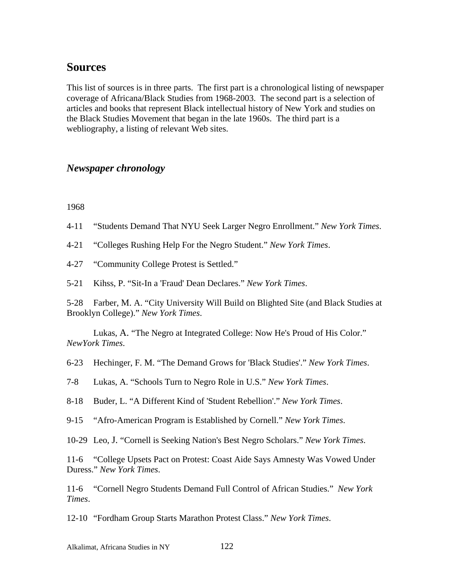# **Sources**

This list of sources is in three parts. The first part is a chronological listing of newspaper coverage of Africana/Black Studies from 1968-2003. The second part is a selection of articles and books that represent Black intellectual history of New York and studies on the Black Studies Movement that began in the late 1960s. The third part is a webliography, a listing of relevant Web sites.

## *Newspaper chronology*

1968

4-11 "Students Demand That NYU Seek Larger Negro Enrollment." *New York Times*.

4-21 "Colleges Rushing Help For the Negro Student." *New York Times*.

4-27 "Community College Protest is Settled."

5-21 Kihss, P. "Sit-In a 'Fraud' Dean Declares." *New York Times*.

5-28 Farber, M. A. "City University Will Build on Blighted Site (and Black Studies at Brooklyn College)." *New York Times*.

Lukas, A. "The Negro at Integrated College: Now He's Proud of His Color." *NewYork Times*.

6-23 Hechinger, F. M. "The Demand Grows for 'Black Studies'." *New York Times*.

7-8 Lukas, A. "Schools Turn to Negro Role in U.S." *New York Times*.

8-18 Buder, L. "A Different Kind of 'Student Rebellion'." *New York Times*.

9-15 "Afro-American Program is Established by Cornell." *New York Times*.

10-29 Leo, J. "Cornell is Seeking Nation's Best Negro Scholars." *New York Times*.

11-6 "College Upsets Pact on Protest: Coast Aide Says Amnesty Was Vowed Under Duress." *New York Times*.

11-6 "Cornell Negro Students Demand Full Control of African Studies." *New York Times*.

12-10 "Fordham Group Starts Marathon Protest Class." *New York Times*.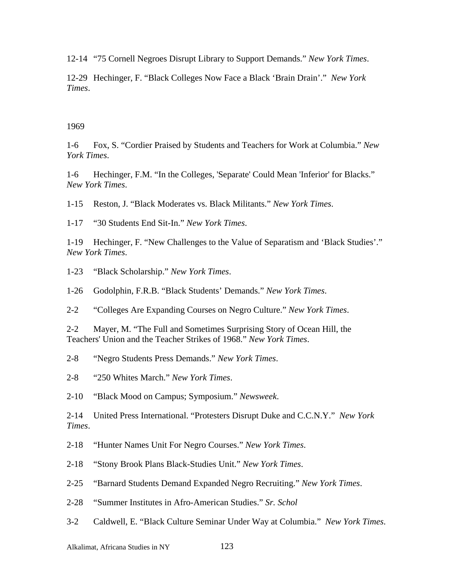12-14 "75 Cornell Negroes Disrupt Library to Support Demands." *New York Times*.

12-29 Hechinger, F. "Black Colleges Now Face a Black 'Brain Drain'." *New York Times*.

#### 1969

1-6 Fox, S. "Cordier Praised by Students and Teachers for Work at Columbia." *New York Times*.

1-6 Hechinger, F.M. "In the Colleges, 'Separate' Could Mean 'Inferior' for Blacks." *New York Times*.

1-15 Reston, J. "Black Moderates vs. Black Militants." *New York Times*.

1-17 "30 Students End Sit-In." *New York Times*.

1-19 Hechinger, F. "New Challenges to the Value of Separatism and 'Black Studies'." *New York Times*.

1-23 "Black Scholarship." *New York Times*.

1-26 Godolphin, F.R.B. "Black Students' Demands." *New York Times*.

2-2 "Colleges Are Expanding Courses on Negro Culture." *New York Times*.

2-2 Mayer, M. "The Full and Sometimes Surprising Story of Ocean Hill, the Teachers' Union and the Teacher Strikes of 1968." *New York Times*.

2-8 "Negro Students Press Demands." *New York Times*.

2-8 "250 Whites March." *New York Times*.

2-10 "Black Mood on Campus; Symposium." *Newsweek*.

2-14 United Press International. "Protesters Disrupt Duke and C.C.N.Y." *New York Times*.

2-18 "Hunter Names Unit For Negro Courses." *New York Times*.

2-18 "Stony Brook Plans Black-Studies Unit." *New York Times*.

2-25 "Barnard Students Demand Expanded Negro Recruiting." *New York Times*.

2-28 "Summer Institutes in Afro-American Studies." *Sr. Schol*

3-2 Caldwell, E. "Black Culture Seminar Under Way at Columbia." *New York Times*.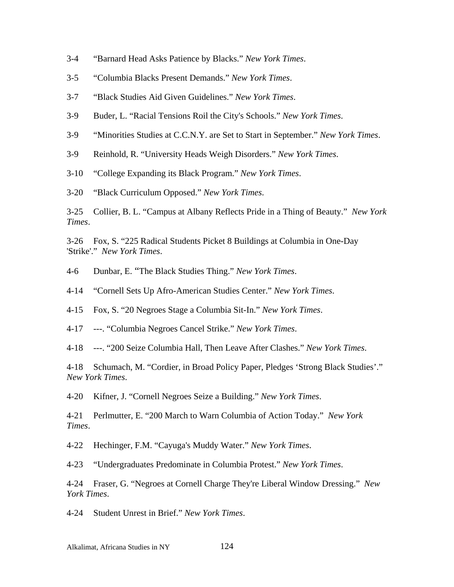- 3-4 "Barnard Head Asks Patience by Blacks." *New York Times*.
- 3-5 "Columbia Blacks Present Demands." *New York Times*.
- 3-7 "Black Studies Aid Given Guidelines." *New York Times*.
- 3-9 Buder, L. "Racial Tensions Roil the City's Schools." *New York Times*.
- 3-9 "Minorities Studies at C.C.N.Y. are Set to Start in September." *New York Times*.
- 3-9 Reinhold, R. "University Heads Weigh Disorders." *New York Times*.
- 3-10 "College Expanding its Black Program." *New York Times*.

3-20 "Black Curriculum Opposed." *New York Times*.

3-25 Collier, B. L. "Campus at Albany Reflects Pride in a Thing of Beauty." *New York Times*.

3-26 Fox, S. "225 Radical Students Picket 8 Buildings at Columbia in One-Day 'Strike'." *New York Times*.

4-6 Dunbar, E. "The Black Studies Thing." *New York Times*.

4-14 "Cornell Sets Up Afro-American Studies Center." *New York Times*.

4-15 Fox, S. "20 Negroes Stage a Columbia Sit-In." *New York Times*.

4-17 ---. "Columbia Negroes Cancel Strike." *New York Times*.

4-18 ---. "200 Seize Columbia Hall, Then Leave After Clashes." *New York Times*.

4-18 Schumach, M. "Cordier, in Broad Policy Paper, Pledges 'Strong Black Studies'." *New York Times*.

4-20 Kifner, J. "Cornell Negroes Seize a Building." *New York Times*.

4-21 Perlmutter, E. "200 March to Warn Columbia of Action Today." *New York Times*.

4-22 Hechinger, F.M. "Cayuga's Muddy Water." *New York Times*.

4-23 "Undergraduates Predominate in Columbia Protest." *New York Times*.

4-24 Fraser, G. "Negroes at Cornell Charge They're Liberal Window Dressing." *New York Times*.

4-24 Student Unrest in Brief." *New York Times*.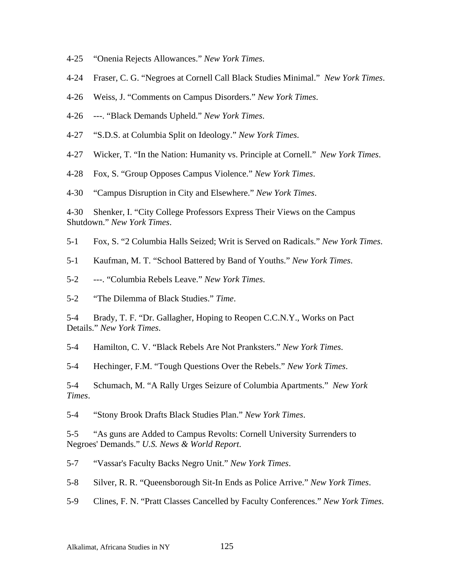- 4-25 "Onenia Rejects Allowances." *New York Times*.
- 4-24 Fraser, C. G. "Negroes at Cornell Call Black Studies Minimal." *New York Times*.
- 4-26 Weiss, J. "Comments on Campus Disorders." *New York Times*.
- 4-26 ---. "Black Demands Upheld." *New York Times*.
- 4-27 "S.D.S. at Columbia Split on Ideology." *New York Times*.
- 4-27 Wicker, T. "In the Nation: Humanity vs. Principle at Cornell." *New York Times*.
- 4-28 Fox, S. "Group Opposes Campus Violence." *New York Times*.
- 4-30 "Campus Disruption in City and Elsewhere." *New York Times*.

4-30 Shenker, I. "City College Professors Express Their Views on the Campus Shutdown." *New York Times*.

- 5-1 Fox, S. "2 Columbia Halls Seized; Writ is Served on Radicals." *New York Times*.
- 5-1 Kaufman, M. T. "School Battered by Band of Youths." *New York Times*.
- 5-2 ---. "Columbia Rebels Leave." *New York Times*.
- 5-2 "The Dilemma of Black Studies." *Time*.

5-4 Brady, T. F. "Dr. Gallagher, Hoping to Reopen C.C.N.Y., Works on Pact Details." *New York Times*.

5-4 Hamilton, C. V. "Black Rebels Are Not Pranksters." *New York Times*.

5-4 Hechinger, F.M. "Tough Questions Over the Rebels." *New York Times*.

5-4 Schumach, M. "A Rally Urges Seizure of Columbia Apartments." *New York Times*.

5-4 "Stony Brook Drafts Black Studies Plan." *New York Times*.

5-5 "As guns are Added to Campus Revolts: Cornell University Surrenders to Negroes' Demands." *U.S. News & World Report*.

5-7 "Vassar's Faculty Backs Negro Unit." *New York Times*.

5-8 Silver, R. R. "Queensborough Sit-In Ends as Police Arrive." *New York Times*.

5-9 Clines, F. N. "Pratt Classes Cancelled by Faculty Conferences." *New York Times*.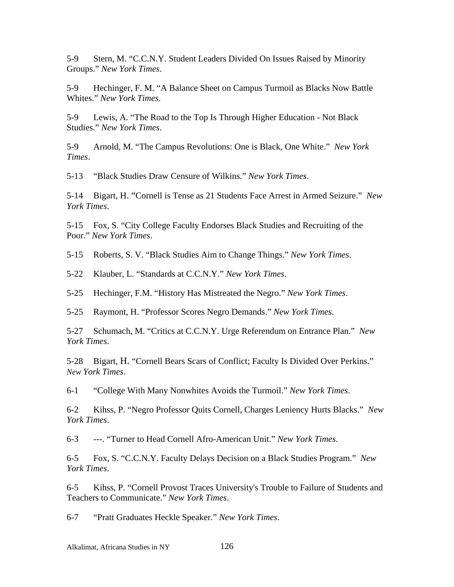5-9 Stern, M. "C.C.N.Y. Student Leaders Divided On Issues Raised by Minority Groups." *New York Times*.

5-9 Hechinger, F. M. "A Balance Sheet on Campus Turmoil as Blacks Now Battle Whites." *New York Times*.

5-9 Lewis, A. "The Road to the Top Is Through Higher Education - Not Black Studies." *New York Times*.

5-9 Arnold, M. "The Campus Revolutions: One is Black, One White." *New York Times*.

5-13 "Black Studies Draw Censure of Wilkins." *New York Times*.

5-14 Bigart, H. "Cornell is Tense as 21 Students Face Arrest in Armed Seizure." *New York Times*.

5-15 Fox, S. "City College Faculty Endorses Black Studies and Recruiting of the Poor." *New York Times*.

5-15 Roberts, S. V. "Black Studies Aim to Change Things." *New York Times*.

5-22 Klauber, L. "Standards at C.C.N.Y." *New York Times*.

5-25 Hechinger, F.M. "History Has Mistreated the Negro." *New York Times*.

5-25 Raymont, H. "Professor Scores Negro Demands." *New York Times*.

5-27 Schumach, M. "Critics at C.C.N.Y. Urge Referendum on Entrance Plan." *New York Times*.

5-28 Bigart, H. "Cornell Bears Scars of Conflict; Faculty Is Divided Over Perkins." *New York Times*.

6-1 "College With Many Nonwhites Avoids the Turmoil." *New York Times*.

6-2 Kihss, P. "Negro Professor Quits Cornell, Charges Leniency Hurts Blacks." *New York Times*.

6-3 ---. "Turner to Head Cornell Afro-American Unit." *New York Times*.

6-5 Fox, S. "C.C.N.Y. Faculty Delays Decision on a Black Studies Program." *New York Times*.

6-5 Kihss, P. "Cornell Provost Traces University's Trouble to Failure of Students and Teachers to Communicate." *New York Times*.

6-7 "Pratt Graduates Heckle Speaker." *New York Times*.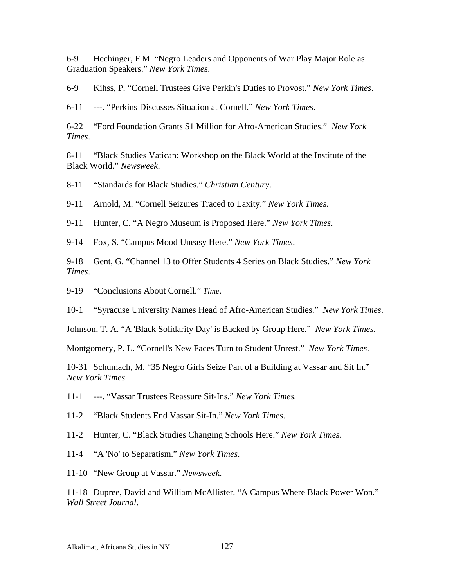6-9 Hechinger, F.M. "Negro Leaders and Opponents of War Play Major Role as Graduation Speakers." *New York Times*.

6-9 Kihss, P. "Cornell Trustees Give Perkin's Duties to Provost." *New York Times*.

6-11 ---. "Perkins Discusses Situation at Cornell." *New York Times*.

6-22 "Ford Foundation Grants \$1 Million for Afro-American Studies." *New York Times*.

8-11 "Black Studies Vatican: Workshop on the Black World at the Institute of the Black World." *Newsweek*.

8-11 "Standards for Black Studies." *Christian Century*.

9-11 Arnold, M. "Cornell Seizures Traced to Laxity." *New York Times*.

9-11 Hunter, C. "A Negro Museum is Proposed Here." *New York Times*.

9-14 Fox, S. "Campus Mood Uneasy Here." *New York Times*.

9-18 Gent, G. "Channel 13 to Offer Students 4 Series on Black Studies." *New York Times*.

9-19 "Conclusions About Cornell." *Time*.

10-1 "Syracuse University Names Head of Afro-American Studies." *New York Times*.

Johnson, T. A. "A 'Black Solidarity Day' is Backed by Group Here." *New York Times*.

Montgomery, P. L. "Cornell's New Faces Turn to Student Unrest." *New York Times*.

10-31 Schumach, M. "35 Negro Girls Seize Part of a Building at Vassar and Sit In." *New York Times*.

- 11-1 ---. "Vassar Trustees Reassure Sit-Ins." *New York Times.*
- 11-2 "Black Students End Vassar Sit-In." *New York Times*.
- 11-2 Hunter, C. "Black Studies Changing Schools Here." *New York Times*.
- 11-4 "A 'No' to Separatism." *New York Times*.
- 11-10 "New Group at Vassar." *Newsweek*.

11-18 Dupree, David and William McAllister. "A Campus Where Black Power Won." *Wall Street Journal*.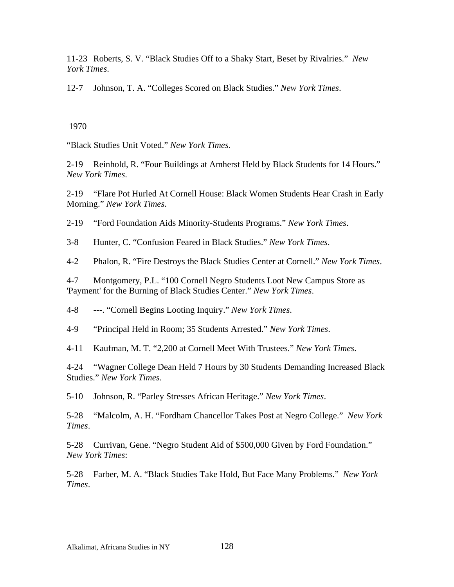11-23 Roberts, S. V. "Black Studies Off to a Shaky Start, Beset by Rivalries." *New York Times*.

12-7 Johnson, T. A. "Colleges Scored on Black Studies." *New York Times*.

### 1970

"Black Studies Unit Voted." *New York Times*.

2-19 Reinhold, R. "Four Buildings at Amherst Held by Black Students for 14 Hours." *New York Times*.

2-19 "Flare Pot Hurled At Cornell House: Black Women Students Hear Crash in Early Morning." *New York Times*.

2-19 "Ford Foundation Aids Minority-Students Programs." *New York Times*.

3-8 Hunter, C. "Confusion Feared in Black Studies." *New York Times*.

4-2 Phalon, R. "Fire Destroys the Black Studies Center at Cornell." *New York Times*.

4-7 Montgomery, P.L. "100 Cornell Negro Students Loot New Campus Store as 'Payment' for the Burning of Black Studies Center." *New York Times*.

4-8 ---. "Cornell Begins Looting Inquiry." *New York Times*.

4-9 "Principal Held in Room; 35 Students Arrested." *New York Times*.

4-11 Kaufman, M. T. "2,200 at Cornell Meet With Trustees." *New York Times*.

4-24 "Wagner College Dean Held 7 Hours by 30 Students Demanding Increased Black Studies." *New York Times*.

5-10 Johnson, R. "Parley Stresses African Heritage." *New York Times*.

5-28 "Malcolm, A. H. "Fordham Chancellor Takes Post at Negro College." *New York Times*.

5-28 Currivan, Gene. "Negro Student Aid of \$500,000 Given by Ford Foundation." *New York Times*:

5-28 Farber, M. A. "Black Studies Take Hold, But Face Many Problems." *New York Times*.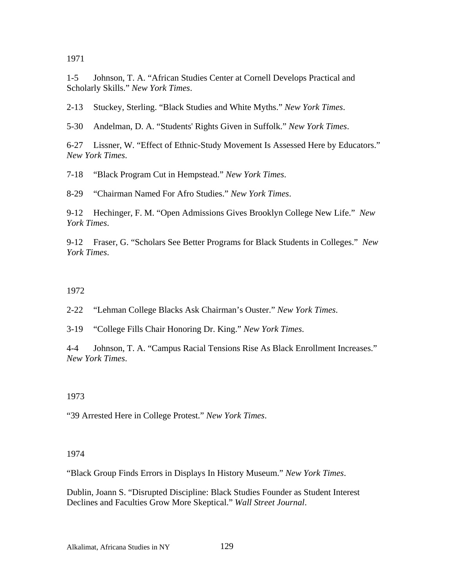1971

1-5 Johnson, T. A. "African Studies Center at Cornell Develops Practical and Scholarly Skills." *New York Times*.

2-13 Stuckey, Sterling. "Black Studies and White Myths." *New York Times*.

5-30 Andelman, D. A. "Students' Rights Given in Suffolk." *New York Times*.

6-27 Lissner, W. "Effect of Ethnic-Study Movement Is Assessed Here by Educators." *New York Times*.

7-18 "Black Program Cut in Hempstead." *New York Times*.

8-29 "Chairman Named For Afro Studies." *New York Times*.

9-12 Hechinger, F. M. "Open Admissions Gives Brooklyn College New Life." *New York Times*.

9-12 Fraser, G. "Scholars See Better Programs for Black Students in Colleges." *New York Times*.

### 1972

2-22 "Lehman College Blacks Ask Chairman's Ouster." *New York Times*.

3-19 "College Fills Chair Honoring Dr. King." *New York Times*.

4-4 Johnson, T. A. "Campus Racial Tensions Rise As Black Enrollment Increases." *New York Times*.

## 1973

"39 Arrested Here in College Protest." *New York Times*.

### 1974

"Black Group Finds Errors in Displays In History Museum." *New York Times*.

Dublin, Joann S. "Disrupted Discipline: Black Studies Founder as Student Interest Declines and Faculties Grow More Skeptical." *Wall Street Journal*.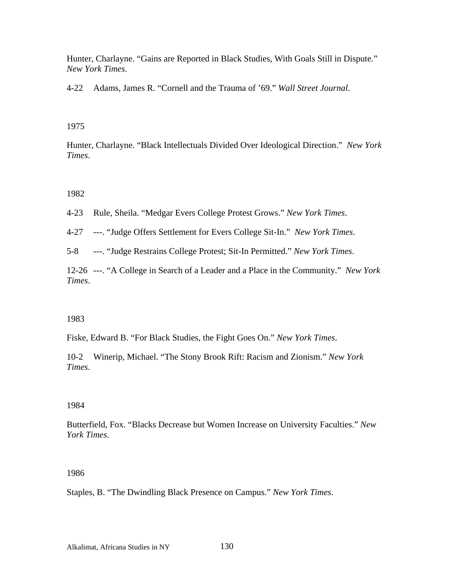Hunter, Charlayne. "Gains are Reported in Black Studies, With Goals Still in Dispute." *New York Times*.

4-22 Adams, James R. "Cornell and the Trauma of '69." *Wall Street Journal*.

### 1975

Hunter, Charlayne. "Black Intellectuals Divided Over Ideological Direction." *New York Times*.

## 1982

4-23 Rule, Sheila. "Medgar Evers College Protest Grows." *New York Times*.

4-27 ---. "Judge Offers Settlement for Evers College Sit-In." *New York Times*.

5-8 ---. "Judge Restrains College Protest; Sit-In Permitted." *New York Times*.

12-26 ---. "A College in Search of a Leader and a Place in the Community." *New York Times*.

## 1983

Fiske, Edward B. "For Black Studies, the Fight Goes On." *New York Times*.

10-2 Winerip, Michael. "The Stony Brook Rift: Racism and Zionism." *New York Times*.

## 1984

Butterfield, Fox. "Blacks Decrease but Women Increase on University Faculties." *New York Times*.

## 1986

Staples, B. "The Dwindling Black Presence on Campus." *New York Times*.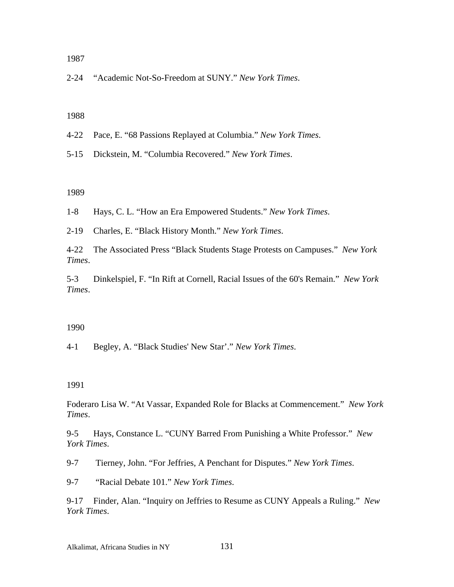1987

2-24 "Academic Not-So-Freedom at SUNY." *New York Times*.

#### 1988

- 4-22 Pace, E. "68 Passions Replayed at Columbia." *New York Times*.
- 5-15 Dickstein, M. "Columbia Recovered." *New York Times*.

#### 1989

1-8 Hays, C. L. "How an Era Empowered Students." *New York Times*.

2-19 Charles, E. "Black History Month." *New York Times*.

4-22 The Associated Press "Black Students Stage Protests on Campuses." *New York Times*.

5-3 Dinkelspiel, F. "In Rift at Cornell, Racial Issues of the 60's Remain." *New York Times*.

#### 1990

4-1 Begley, A. "Black Studies' New Star'." *New York Times*.

#### 1991

Foderaro Lisa W. "At Vassar, Expanded Role for Blacks at Commencement." *New York Times*.

9-5 Hays, Constance L. "CUNY Barred From Punishing a White Professor." *New York Times*.

9-7 Tierney, John. "For Jeffries, A Penchant for Disputes." *New York Times*.

9-7 "Racial Debate 101." *New York Times*.

9-17 Finder, Alan. "Inquiry on Jeffries to Resume as CUNY Appeals a Ruling." *New York Times*.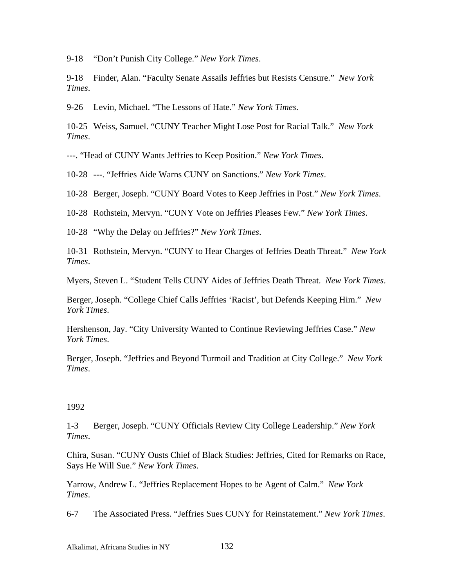9-18 "Don't Punish City College." *New York Times*.

9-18 Finder, Alan. "Faculty Senate Assails Jeffries but Resists Censure." *New York Times*.

9-26 Levin, Michael. "The Lessons of Hate." *New York Times*.

10-25 Weiss, Samuel. "CUNY Teacher Might Lose Post for Racial Talk." *New York Times*.

---. "Head of CUNY Wants Jeffries to Keep Position." *New York Times*.

10-28 ---. "Jeffries Aide Warns CUNY on Sanctions." *New York Times*.

10-28 Berger, Joseph. "CUNY Board Votes to Keep Jeffries in Post." *New York Times*.

10-28 Rothstein, Mervyn. "CUNY Vote on Jeffries Pleases Few." *New York Times*.

10-28 "Why the Delay on Jeffries?" *New York Times*.

10-31 Rothstein, Mervyn. "CUNY to Hear Charges of Jeffries Death Threat." *New York Times*.

Myers, Steven L. "Student Tells CUNY Aides of Jeffries Death Threat. *New York Times*.

Berger, Joseph. "College Chief Calls Jeffries 'Racist', but Defends Keeping Him." *New York Times*.

Hershenson, Jay. "City University Wanted to Continue Reviewing Jeffries Case." *New York Times*.

Berger, Joseph. "Jeffries and Beyond Turmoil and Tradition at City College." *New York Times*.

#### 1992

1-3 Berger, Joseph. "CUNY Officials Review City College Leadership." *New York Times*.

Chira, Susan. "CUNY Ousts Chief of Black Studies: Jeffries, Cited for Remarks on Race, Says He Will Sue." *New York Times*.

Yarrow, Andrew L. "Jeffries Replacement Hopes to be Agent of Calm." *New York Times*.

6-7 The Associated Press. "Jeffries Sues CUNY for Reinstatement." *New York Times*.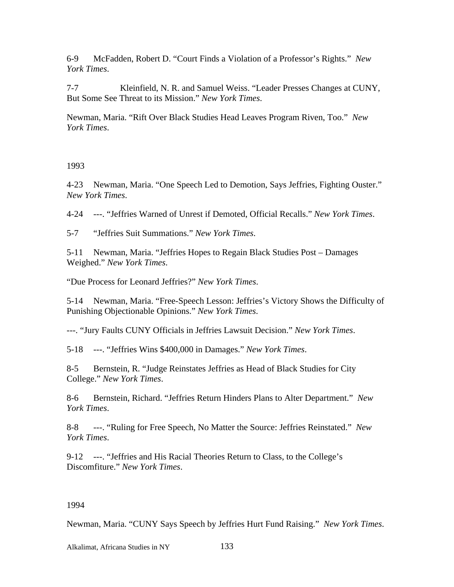6-9 McFadden, Robert D. "Court Finds a Violation of a Professor's Rights." *New York Times*.

7-7 Kleinfield, N. R. and Samuel Weiss. "Leader Presses Changes at CUNY, But Some See Threat to its Mission." *New York Times*.

Newman, Maria. "Rift Over Black Studies Head Leaves Program Riven, Too." *New York Times*.

1993

4-23 Newman, Maria. "One Speech Led to Demotion, Says Jeffries, Fighting Ouster." *New York Times*.

4-24 ---. "Jeffries Warned of Unrest if Demoted, Official Recalls." *New York Times*.

5-7 "Jeffries Suit Summations." *New York Times*.

5-11 Newman, Maria. "Jeffries Hopes to Regain Black Studies Post – Damages Weighed." *New York Times*.

"Due Process for Leonard Jeffries?" *New York Times*.

5-14 Newman, Maria. "Free-Speech Lesson: Jeffries's Victory Shows the Difficulty of Punishing Objectionable Opinions." *New York Times*.

---. "Jury Faults CUNY Officials in Jeffries Lawsuit Decision." *New York Times*.

5-18 ---. "Jeffries Wins \$400,000 in Damages." *New York Times*.

8-5 Bernstein, R. "Judge Reinstates Jeffries as Head of Black Studies for City College." *New York Times*.

8-6 Bernstein, Richard. "Jeffries Return Hinders Plans to Alter Department." *New York Times*.

8-8 ---. "Ruling for Free Speech, No Matter the Source: Jeffries Reinstated." *New York Times*.

9-12 ---. "Jeffries and His Racial Theories Return to Class, to the College's Discomfiture." *New York Times*.

### 1994

Newman, Maria. "CUNY Says Speech by Jeffries Hurt Fund Raising." *New York Times*.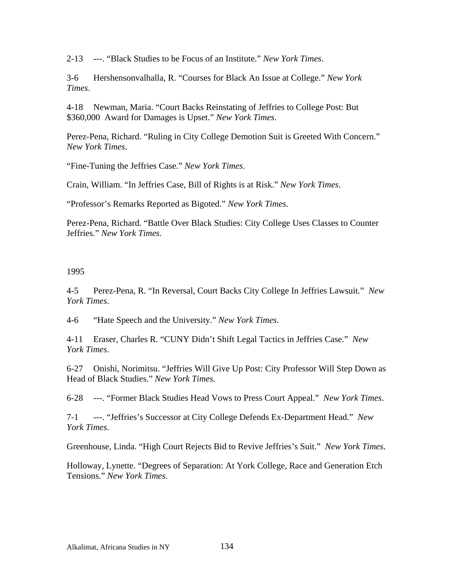2-13 ---. "Black Studies to be Focus of an Institute." *New York Times*.

3-6 Hershensonvalhalla, R. "Courses for Black An Issue at College." *New York Times*.

4-18 Newman, Maria. "Court Backs Reinstating of Jeffries to College Post: But \$360,000 Award for Damages is Upset." *New York Times*.

Perez-Pena, Richard. "Ruling in City College Demotion Suit is Greeted With Concern." *New York Times*.

"Fine-Tuning the Jeffries Case." *New York Times*.

Crain, William. "In Jeffries Case, Bill of Rights is at Risk." *New York Times*.

"Professor's Remarks Reported as Bigoted." *New York Times*.

Perez-Pena, Richard. "Battle Over Black Studies: City College Uses Classes to Counter Jeffries." *New York Times*.

#### 1995

4-5 Perez-Pena, R. "In Reversal, Court Backs City College In Jeffries Lawsuit." *New York Times*.

4-6 "Hate Speech and the University." *New York Times*.

4-11 Eraser, Charles R. "CUNY Didn't Shift Legal Tactics in Jeffries Case." *New York Times*.

6-27 Onishi, Norimitsu. "Jeffries Will Give Up Post: City Professor Will Step Down as Head of Black Studies." *New York Times*.

6-28 ---. "Former Black Studies Head Vows to Press Court Appeal." *New York Times*.

7-1 ---. "Jeffries's Successor at City College Defends Ex-Department Head." *New York Times*.

Greenhouse, Linda. "High Court Rejects Bid to Revive Jeffries's Suit." *New York Times*.

Holloway, Lynette. "Degrees of Separation: At York College, Race and Generation Etch Tensions." *New York Times*.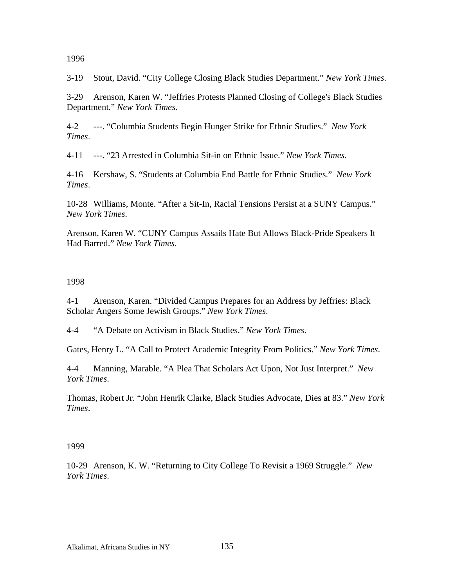1996

3-19 Stout, David. "City College Closing Black Studies Department." *New York Times*.

3-29 Arenson, Karen W. "Jeffries Protests Planned Closing of College's Black Studies Department." *New York Times*.

4-2 ---. "Columbia Students Begin Hunger Strike for Ethnic Studies." *New York Times*.

4-11 ---. "23 Arrested in Columbia Sit-in on Ethnic Issue." *New York Times*.

4-16 Kershaw, S. "Students at Columbia End Battle for Ethnic Studies." *New York Times*.

10-28 Williams, Monte. "After a Sit-In, Racial Tensions Persist at a SUNY Campus." *New York Times*.

Arenson, Karen W. "CUNY Campus Assails Hate But Allows Black-Pride Speakers It Had Barred." *New York Times*.

### 1998

4-1 Arenson, Karen. "Divided Campus Prepares for an Address by Jeffries: Black Scholar Angers Some Jewish Groups." *New York Times*.

4-4 "A Debate on Activism in Black Studies." *New York Times*.

Gates, Henry L. "A Call to Protect Academic Integrity From Politics." *New York Times*.

4-4 Manning, Marable. "A Plea That Scholars Act Upon, Not Just Interpret." *New York Times*.

Thomas, Robert Jr. "John Henrik Clarke, Black Studies Advocate, Dies at 83." *New York Times*.

### 1999

10-29 Arenson, K. W. "Returning to City College To Revisit a 1969 Struggle." *New York Times*.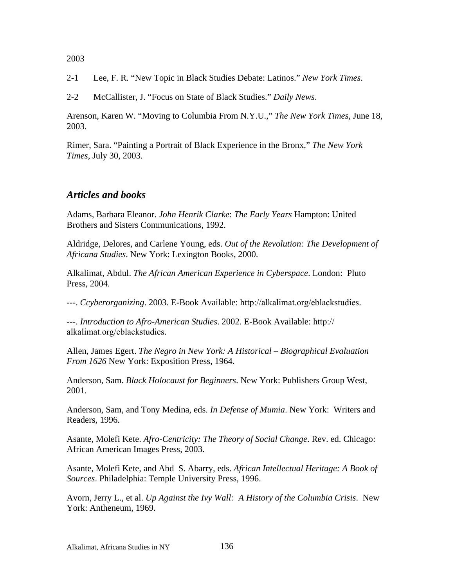2-1 Lee, F. R. "New Topic in Black Studies Debate: Latinos." *New York Times*.

2-2 McCallister, J. "Focus on State of Black Studies." *Daily News*.

Arenson, Karen W. "Moving to Columbia From N.Y.U.," *The New York Times*, June 18, 2003.

Rimer, Sara. "Painting a Portrait of Black Experience in the Bronx," *The New York Times*, July 30, 2003.

# *Articles and books*

Adams, Barbara Eleanor. *John Henrik Clarke*: *The Early Years* Hampton: United Brothers and Sisters Communications, 1992.

Aldridge, Delores, and Carlene Young, eds. *Out of the Revolution: The Development of Africana Studies*. New York: Lexington Books, 2000.

Alkalimat, Abdul. *The African American Experience in Cyberspace*. London: Pluto Press, 2004.

---. *Ccyberorganizing*. 2003. E-Book Available: http://alkalimat.org/eblackstudies.

---. *Introduction to Afro-American Studies*. 2002. E-Book Available: http:// alkalimat.org/eblackstudies.

Allen, James Egert. *The Negro in New York: A Historical – Biographical Evaluation From 1626* New York: Exposition Press, 1964.

Anderson, Sam. *Black Holocaust for Beginners*. New York: Publishers Group West, 2001.

Anderson, Sam, and Tony Medina, eds. *In Defense of Mumia*. New York: Writers and Readers, 1996.

Asante, Molefi Kete. *Afro-Centricity: The Theory of Social Change*. Rev. ed. Chicago: African American Images Press, 2003.

Asante, Molefi Kete, and Abd S. Abarry, eds. *African Intellectual Heritage: A Book of Sources*. Philadelphia: Temple University Press, 1996.

Avorn, Jerry L., et al. *Up Against the Ivy Wall: A History of the Columbia Crisis*. New York: Antheneum, 1969.

2003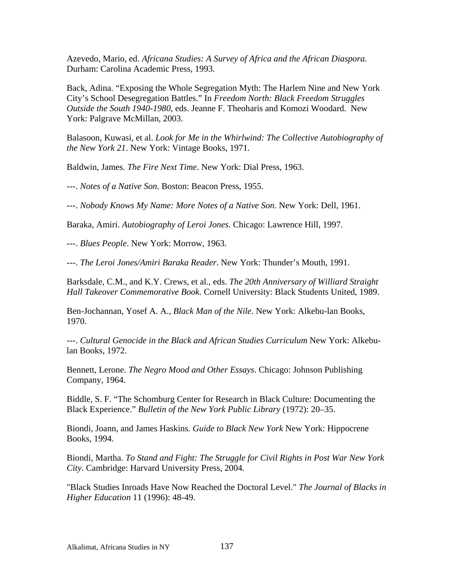Azevedo, Mario, ed. *Africana Studies: A Survey of Africa and the African Diaspora*. Durham: Carolina Academic Press, 1993.

Back, Adina. "Exposing the Whole Segregation Myth: The Harlem Nine and New York City's School Desegregation Battles." In *Freedom North: Black Freedom Struggles Outside the South 1940-1980*, eds. Jeanne F. Theoharis and Komozi Woodard. New York: Palgrave McMillan, 2003.

Balasoon, Kuwasi, et al. *Look for Me in the Whirlwind: The Collective Autobiography of the New York 21*. New York: Vintage Books, 1971.

Baldwin, James. *The Fire Next Time*. New York: Dial Press, 1963.

---. *Notes of a Native Son*. Boston: Beacon Press, 1955.

---. *Nobody Knows My Name: More Notes of a Native Son*. New York: Dell, 1961.

Baraka, Amiri. *Autobiography of Leroi Jones*. Chicago: Lawrence Hill, 1997.

---. *Blues People*. New York: Morrow, 1963.

---. *The Leroi Jones/Amiri Baraka Reader*. New York: Thunder's Mouth, 1991.

Barksdale, C.M., and K.Y. Crews, et al., eds. *The 20th Anniversary of Williard Straight Hall Takeover Commemorative Book.* Cornell University: Black Students United, 1989.

Ben-Jochannan, Yosef A. A., *Black Man of the Nile*. New York: Alkebu-lan Books, 1970.

---. *Cultural Genocide in the Black and African Studies Curriculum* New York: Alkebulan Books, 1972.

Bennett, Lerone. *The Negro Mood and Other Essays*. Chicago: Johnson Publishing Company, 1964.

Biddle, S. F. "The Schomburg Center for Research in Black Culture: Documenting the Black Experience." *Bulletin of the New York Public Library* (1972): 20–35.

Biondi, Joann, and James Haskins. *Guide to Black New York* New York: Hippocrene Books, 1994.

Biondi, Martha. *To Stand and Fight: The Struggle for Civil Rights in Post War New York City*. Cambridge: Harvard University Press, 2004.

"Black Studies Inroads Have Now Reached the Doctoral Level." *The Journal of Blacks in Higher Education* 11 (1996): 48-49.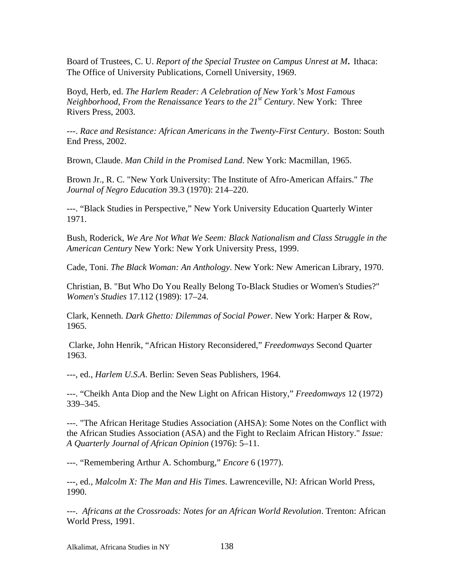Board of Trustees, C. U. *Report of the Special Trustee on Campus Unrest at M.* Ithaca: The Office of University Publications, Cornell University, 1969.

Boyd, Herb, ed. *The Harlem Reader: A Celebration of New York's Most Famous Neighborhood, From the Renaissance Years to the 21st Century*. New York: Three Rivers Press, 2003.

---. *Race and Resistance: African Americans in the Twenty-First Century*. Boston: South End Press, 2002.

Brown, Claude. *Man Child in the Promised Land*. New York: Macmillan, 1965.

Brown Jr., R. C. "New York University: The Institute of Afro-American Affairs." *The Journal of Negro Education* 39.3 (1970): 214–220.

---. "Black Studies in Perspective," New York University Education Quarterly Winter 1971.

Bush, Roderick, *We Are Not What We Seem: Black Nationalism and Class Struggle in the American Century* New York: New York University Press, 1999.

Cade, Toni. *The Black Woman: An Anthology*. New York: New American Library, 1970.

Christian, B. "But Who Do You Really Belong To-Black Studies or Women's Studies?" *Women's Studies* 17.112 (1989): 17–24.

Clark, Kenneth. *Dark Ghetto: Dilemmas of Social Power*. New York: Harper & Row, 1965.

 Clarke, John Henrik, "African History Reconsidered," *Freedomways* Second Quarter 1963.

---, ed., *Harlem U.S.A*. Berlin: Seven Seas Publishers, 1964.

---. "Cheikh Anta Diop and the New Light on African History," *Freedomways* 12 (1972) 339–345.

---. "The African Heritage Studies Association (AHSA): Some Notes on the Conflict with the African Studies Association (ASA) and the Fight to Reclaim African History." *Issue: A Quarterly Journal of African Opinion* (1976): 5–11.

---. "Remembering Arthur A. Schomburg," *Encore* 6 (1977).

---, ed., *Malcolm X: The Man and His Times*. Lawrenceville, NJ: African World Press, 1990.

---. *Africans at the Crossroads: Notes for an African World Revolution*. Trenton: African World Press, 1991.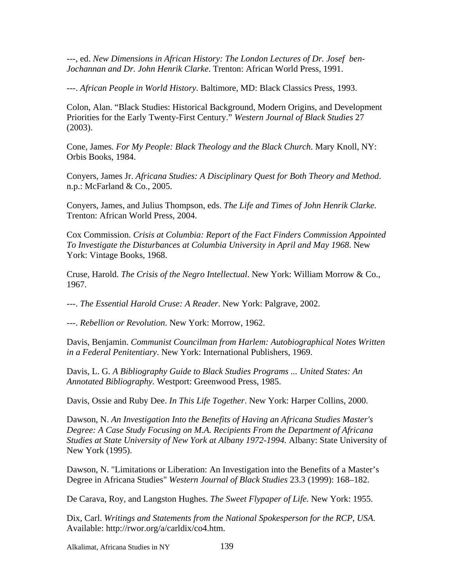---, ed. *New Dimensions in African History: The London Lectures of Dr. Josef ben-Jochannan and Dr. John Henrik Clarke*. Trenton: African World Press, 1991.

---. *African People in World History*. Baltimore, MD: Black Classics Press, 1993.

Colon, Alan. "Black Studies: Historical Background, Modern Origins, and Development Priorities for the Early Twenty-First Century." *Western Journal of Black Studies* 27 (2003).

Cone, James*. For My People: Black Theology and the Black Church*. Mary Knoll, NY: Orbis Books, 1984.

Conyers, James Jr. *Africana Studies: A Disciplinary Quest for Both Theory and Method*. n.p.: McFarland & Co., 2005.

Conyers, James, and Julius Thompson, eds. *The Life and Times of John Henrik Clarke*. Trenton: African World Press, 2004.

Cox Commission. *Crisis at Columbia: Report of the Fact Finders Commission Appointed To Investigate the Disturbances at Columbia University in April and May 1968*. New York: Vintage Books, 1968.

Cruse, Harold. *The Crisis of the Negro Intellectual*. New York: William Morrow & Co., 1967.

---. *The Essential Harold Cruse: A Reader*. New York: Palgrave, 2002.

---. *Rebellion or Revolution*. New York: Morrow, 1962.

Davis, Benjamin. *Communist Councilman from Harlem: Autobiographical Notes Written in a Federal Penitentiary*. New York: International Publishers, 1969.

Davis, L. G. *A Bibliography Guide to Black Studies Programs ... United States: An Annotated Bibliography.* Westport: Greenwood Press, 1985.

Davis, Ossie and Ruby Dee. *In This Life Together*. New York: Harper Collins, 2000.

Dawson, N. *An Investigation Into the Benefits of Having an Africana Studies Master's Degree: A Case Study Focusing on M.A. Recipients From the Department of Africana Studies at State University of New York at Albany 1972-1994.* Albany: State University of New York (1995).

Dawson, N. "Limitations or Liberation: An Investigation into the Benefits of a Master's Degree in Africana Studies" *Western Journal of Black Studies* 23.3 (1999): 168–182.

De Carava, Roy, and Langston Hughes. *The Sweet Flypaper of Life.* New York: 1955.

Dix, Carl. *Writings and Statements from the National Spokesperson for the RCP*, *USA.*  Available: http://rwor.org/a/carldix/co4.htm.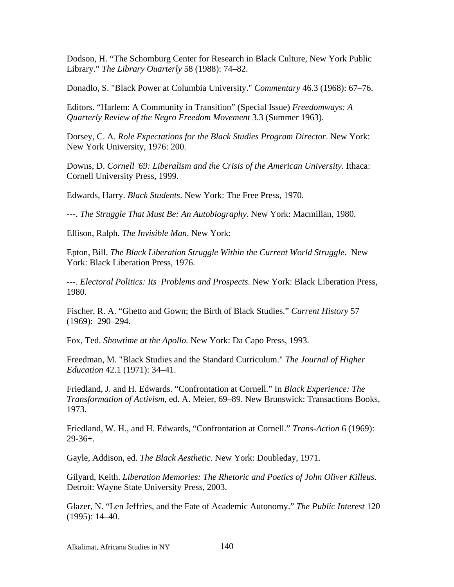Dodson, H. "The Schomburg Center for Research in Black Culture, New York Public Library." *The Library Ouarterly* 58 (1988): 74–82.

Donadlo, S. "Black Power at Columbia University." *Commentary* 46.3 (1968): 67–76.

Editors. "Harlem: A Community in Transition" (Special Issue) *Freedomways: A Quarterly Review of the Negro Freedom Movement* 3.3 (Summer 1963).

Dorsey, C. A. *Role Expectations for the Black Studies Program Director*. New York: New York University, 1976: 200.

Downs, D. *Cornell '69: Liberalism and the Crisis of the American University*. Ithaca: Cornell University Press, 1999.

Edwards, Harry. *Black Students*. New York: The Free Press, 1970.

---. *The Struggle That Must Be: An Autobiography*. New York: Macmillan, 1980.

Ellison, Ralph. *The Invisible Man*. New York:

Epton, Bill. *The Black Liberation Struggle Within the Current World Struggle*. New York: Black Liberation Press, 1976.

---. *Electoral Politics: Its Problems and Prospects*. New York: Black Liberation Press, 1980.

Fischer, R. A. "Ghetto and Gown; the Birth of Black Studies." *Current History* 57 (1969): 290–294.

Fox, Ted. *Showtime at the Apollo.* New York: Da Capo Press, 1993.

Freedman, M. "Black Studies and the Standard Curriculum." *The Journal of Higher Education* 42.1 (1971): 34–41.

Friedland, J. and H. Edwards. "Confrontation at Cornell." In *Black Experience: The Transformation of Activism*, ed. A. Meier, 69–89. New Brunswick: Transactions Books, 1973.

Friedland, W. H., and H. Edwards*,* "Confrontation at Cornell." *Trans-Action* 6 (1969): 29-36+.

Gayle, Addison, ed. *The Black Aesthetic*. New York: Doubleday, 1971.

Gilyard, Keith. *Liberation Memories: The Rhetoric and Poetics of John Oliver Killeus*. Detroit: Wayne State University Press, 2003.

Glazer, N. "Len Jeffries, and the Fate of Academic Autonomy." *The Public Interest* 120 (1995): 14–40.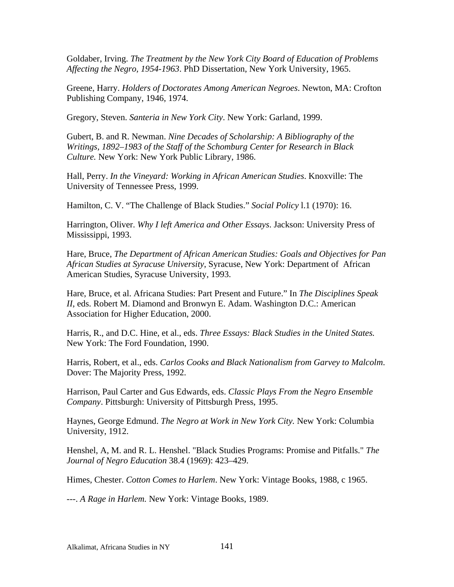Goldaber, Irving. *The Treatment by the New York City Board of Education of Problems Affecting the Negro, 1954-1963*. PhD Dissertation, New York University, 1965.

Greene, Harry. *Holders of Doctorates Among American Negroes*. Newton, MA: Crofton Publishing Company, 1946, 1974.

Gregory, Steven. *Santeria in New York City*. New York: Garland, 1999.

Gubert, B. and R. Newman. *Nine Decades of Scholarship: A Bibliography of the Writings, 1892–1983 of the Staff of the Schomburg Center for Research in Black Culture.* New York: New York Public Library, 1986.

Hall, Perry. *In the Vineyard: Working in African American Studies*. Knoxville: The University of Tennessee Press, 1999.

Hamilton, C. V. "The Challenge of Black Studies." *Social Policy* l.1 (1970): 16.

Harrington, Oliver. *Why I left America and Other Essays*. Jackson: University Press of Mississippi, 1993.

Hare, Bruce, *The Department of African American Studies: Goals and Objectives for Pan African Studies at Syracuse University*, Syracuse, New York: Department of African American Studies, Syracuse University, 1993.

Hare, Bruce, et al. Africana Studies: Part Present and Future." In *The Disciplines Speak II*, eds. Robert M. Diamond and Bronwyn E. Adam. Washington D.C.: American Association for Higher Education, 2000.

Harris, R., and D.C. Hine, et al., eds. *Three Essays: Black Studies in the United States.*  New York: The Ford Foundation, 1990.

Harris, Robert, et al., eds. *Carlos Cooks and Black Nationalism from Garvey to Malcolm*. Dover: The Majority Press, 1992.

Harrison, Paul Carter and Gus Edwards, eds. *Classic Plays From the Negro Ensemble Company*. Pittsburgh: University of Pittsburgh Press, 1995.

Haynes, George Edmund. *The Negro at Work in New York City.* New York: Columbia University, 1912.

Henshel, A, M. and R. L. Henshel. "Black Studies Programs: Promise and Pitfalls." *The Journal of Negro Education* 38.4 (1969): 423–429.

Himes, Chester. *Cotton Comes to Harlem*. New York: Vintage Books, 1988, c 1965.

---. *A Rage in Harlem.* New York: Vintage Books, 1989.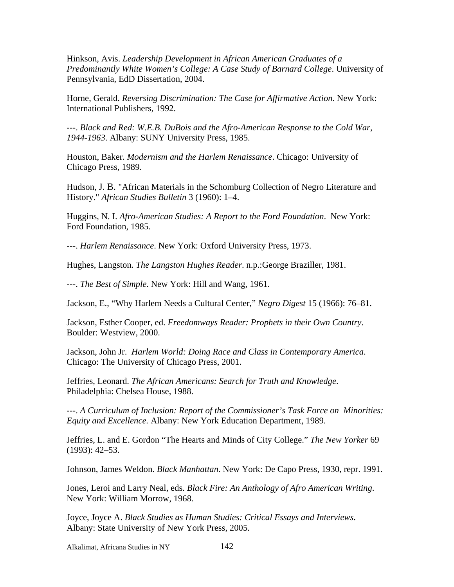Hinkson, Avis. *Leadership Development in African American Graduates of a Predominantly White Women's College: A Case Study of Barnard College*. University of Pennsylvania, EdD Dissertation, 2004.

Horne, Gerald. *Reversing Discrimination: The Case for Affirmative Action*. New York: International Publishers, 1992.

---. *Black and Red: W.E.B. DuBois and the Afro-American Response to the Cold War, 1944-1963*. Albany: SUNY University Press, 1985.

Houston, Baker. *Modernism and the Harlem Renaissance*. Chicago: University of Chicago Press, 1989.

Hudson, J. B. "African Materials in the Schomburg Collection of Negro Literature and History." *African Studies Bulletin* 3 (1960): 1–4.

Huggins, N. I. *Afro-American Studies: A Report to the Ford Foundation*. New York: Ford Foundation, 1985.

---. *Harlem Renaissance*. New York: Oxford University Press, 1973.

Hughes, Langston. *The Langston Hughes Reader*. n.p.:George Braziller, 1981.

---. *The Best of Simple*. New York: Hill and Wang, 1961.

Jackson, E., "Why Harlem Needs a Cultural Center," *Negro Digest* 15 (1966): 76–81.

Jackson, Esther Cooper, ed. *Freedomways Reader: Prophets in their Own Country*. Boulder: Westview, 2000.

Jackson, John Jr. *Harlem World: Doing Race and Class in Contemporary America*. Chicago: The University of Chicago Press, 2001.

Jeffries, Leonard. *The African Americans: Search for Truth and Knowledge*. Philadelphia: Chelsea House, 1988.

---. *A Curriculum of Inclusion: Report of the Commissioner's Task Force on Minorities: Equity and Excellence.* Albany: New York Education Department, 1989.

Jeffries, L. and E. Gordon "The Hearts and Minds of City College." *The New Yorker* 69 (1993): 42–53.

Johnson, James Weldon. *Black Manhattan*. New York: De Capo Press, 1930, repr. 1991.

Jones, Leroi and Larry Neal, eds. *Black Fire: An Anthology of Afro American Writing*. New York: William Morrow, 1968.

Joyce, Joyce A. *Black Studies as Human Studies: Critical Essays and Interviews*. Albany: State University of New York Press, 2005.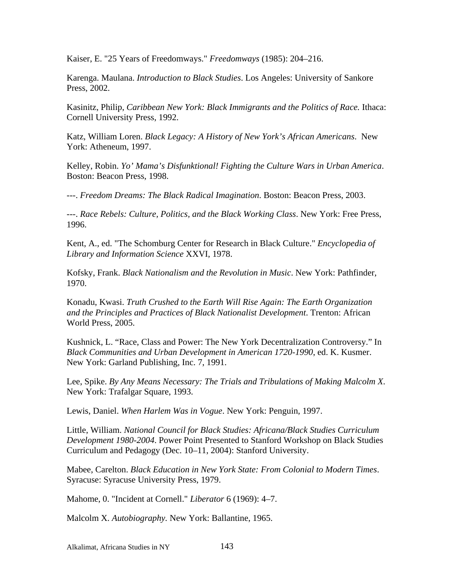Kaiser, E. "25 Years of Freedomways." *Freedomways* (1985): 204–216.

Karenga. Maulana. *Introduction to Black Studies*. Los Angeles: University of Sankore Press, 2002.

Kasinitz, Philip, *Caribbean New York: Black Immigrants and the Politics of Race.* Ithaca: Cornell University Press, 1992.

Katz, William Loren. *Black Legacy: A History of New York's African Americans*. New York: Atheneum, 1997.

Kelley, Robin. *Yo' Mama's Disfunktional! Fighting the Culture Wars in Urban America*. Boston: Beacon Press, 1998.

---. *Freedom Dreams: The Black Radical Imagination*. Boston: Beacon Press, 2003.

---. *Race Rebels: Culture, Politics, and the Black Working Class*. New York: Free Press, 1996.

Kent, A., ed. "The Schomburg Center for Research in Black Culture." *Encyclopedia of Library and Information Science* XXVI, 1978.

Kofsky, Frank. *Black Nationalism and the Revolution in Music*. New York: Pathfinder, 1970.

Konadu, Kwasi. *Truth Crushed to the Earth Will Rise Again: The Earth Organization and the Principles and Practices of Black Nationalist Development*. Trenton: African World Press, 2005.

Kushnick, L. "Race, Class and Power: The New York Decentralization Controversy." In *Black Communities and Urban Development in American 1720-1990*, ed. K. Kusmer. New York: Garland Publishing, Inc. 7, 1991.

Lee, Spike. *By Any Means Necessary: The Trials and Tribulations of Making Malcolm X*. New York: Trafalgar Square, 1993.

Lewis, Daniel. *When Harlem Was in Vogue*. New York: Penguin, 1997.

Little, William. *National Council for Black Studies: Africana/Black Studies Curriculum Development 1980-2004*. Power Point Presented to Stanford Workshop on Black Studies Curriculum and Pedagogy (Dec. 10–11, 2004): Stanford University.

Mabee, Carelton. *Black Education in New York State: From Colonial to Modern Times*. Syracuse: Syracuse University Press, 1979.

Mahome, 0. "Incident at Cornell." *Liberator* 6 (1969): 4–7.

Malcolm X. *Autobiography.* New York: Ballantine, 1965.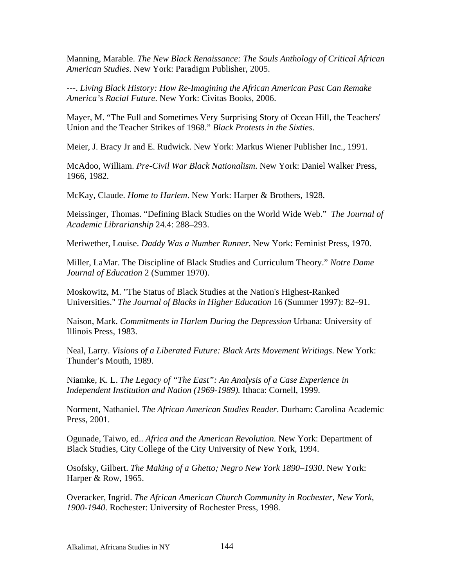Manning, Marable. *The New Black Renaissance: The Souls Anthology of Critical African American Studies*. New York: Paradigm Publisher, 2005.

---. *Living Black History: How Re-Imagining the African American Past Can Remake America's Racial Future*. New York: Civitas Books, 2006.

Mayer, M. "The Full and Sometimes Very Surprising Story of Ocean Hill, the Teachers' Union and the Teacher Strikes of 1968." *Black Protests in the Sixties*.

Meier, J. Bracy Jr and E. Rudwick. New York: Markus Wiener Publisher Inc., 1991.

McAdoo, William. *Pre-Civil War Black Nationalism*. New York: Daniel Walker Press, 1966, 1982.

McKay, Claude. *Home to Harlem*. New York: Harper & Brothers, 1928.

Meissinger, Thomas. "Defining Black Studies on the World Wide Web." *The Journal of Academic Librarianship* 24.4: 288–293.

Meriwether, Louise. *Daddy Was a Number Runner*. New York: Feminist Press, 1970.

Miller, LaMar. The Discipline of Black Studies and Curriculum Theory." *Notre Dame Journal of Education* 2 (Summer 1970).

Moskowitz, M. "The Status of Black Studies at the Nation's Highest-Ranked Universities." *The Journal of Blacks in Higher Education* 16 (Summer 1997): 82–91.

Naison, Mark. *Commitments in Harlem During the Depression* Urbana: University of Illinois Press, 1983.

Neal, Larry. *Visions of a Liberated Future: Black Arts Movement Writings*. New York: Thunder's Mouth, 1989.

Niamke, K. L. *The Legacy of "The East": An Analysis of a Case Experience in Independent Institution and Nation (1969-1989).* Ithaca: Cornell, 1999.

Norment, Nathaniel. *The African American Studies Reader*. Durham: Carolina Academic Press, 2001.

Ogunade, Taiwo, ed.. *Africa and the American Revolution.* New York: Department of Black Studies, City College of the City University of New York, 1994.

Osofsky, Gilbert. *The Making of a Ghetto; Negro New York 1890–1930*. New York: Harper & Row, 1965.

Overacker, Ingrid. *The African American Church Community in Rochester, New York, 1900-1940*. Rochester: University of Rochester Press, 1998.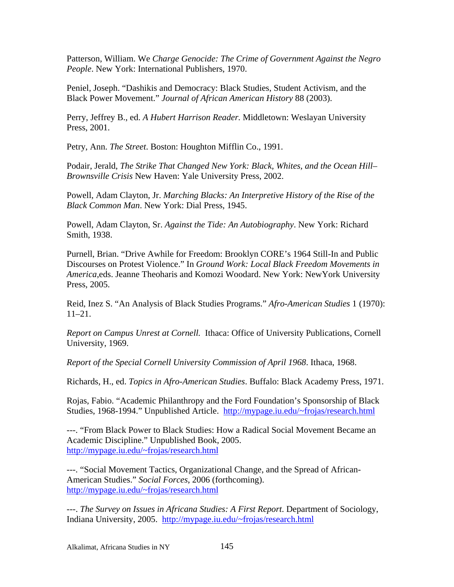Patterson, William. We *Charge Genocide: The Crime of Government Against the Negro People*. New York: International Publishers, 1970.

Peniel, Joseph. "Dashikis and Democracy: Black Studies, Student Activism, and the Black Power Movement." *Journal of African American History* 88 (2003).

Perry, Jeffrey B., ed. *A Hubert Harrison Reader.* Middletown: Weslayan University Press, 2001.

Petry, Ann. *The Street*. Boston: Houghton Mifflin Co., 1991.

Podair, Jerald, *The Strike That Changed New York: Black, Whites, and the Ocean Hill– Brownsville Crisis* New Haven: Yale University Press, 2002.

Powell, Adam Clayton, Jr. *Marching Blacks: An Interpretive History of the Rise of the Black Common Man*. New York: Dial Press, 1945.

Powell, Adam Clayton, Sr. *Against the Tide: An Autobiography*. New York: Richard Smith, 1938.

Purnell, Brian. "Drive Awhile for Freedom: Brooklyn CORE's 1964 Still-In and Public Discourses on Protest Violence." In *Ground Work: Local Black Freedom Movements in America*,eds. Jeanne Theoharis and Komozi Woodard. New York: NewYork University Press, 2005.

Reid, Inez S. "An Analysis of Black Studies Programs." *Afro-American Studies* 1 (1970): 11–21.

*Report on Campus Unrest at Cornell.* Ithaca: Office of University Publications, Cornell University, 1969.

*Report of the Special Cornell University Commission of April 1968*. Ithaca, 1968.

Richards, H., ed. *Topics in Afro-American Studies*. Buffalo: Black Academy Press, 1971.

Rojas, Fabio. "Academic Philanthropy and the Ford Foundation's Sponsorship of Black Studies, 1968-1994." Unpublished Article. http://mypage.iu.edu/~frojas/research.html

---. "From Black Power to Black Studies: How a Radical Social Movement Became an Academic Discipline." Unpublished Book, 2005. http://mypage.iu.edu/~frojas/research.html

---. "Social Movement Tactics, Organizational Change, and the Spread of African-American Studies." *Social Forces*, 2006 (forthcoming). http://mypage.iu.edu/~frojas/research.html

---. *The Survey on Issues in Africana Studies: A First Report*. Department of Sociology, Indiana University, 2005. http://mypage.iu.edu/~frojas/research.html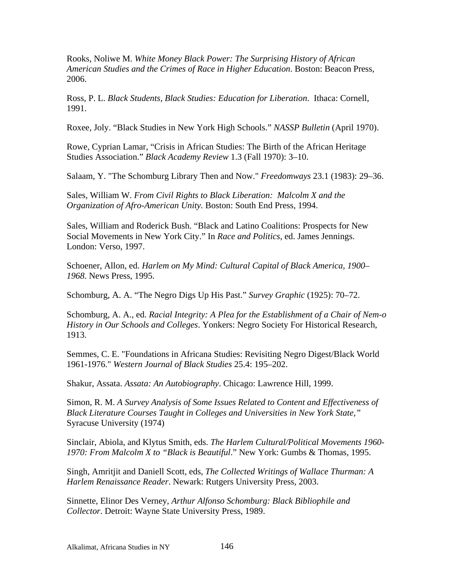Rooks, Noliwe M. *White Money Black Power: The Surprising History of African American Studies and the Crimes of Race in Higher Education*. Boston: Beacon Press, 2006.

Ross, P. L. *Black Students, Black Studies: Education for Liberation*. Ithaca: Cornell, 1991.

Roxee, Joly. "Black Studies in New York High Schools." *NASSP Bulletin* (April 1970).

Rowe, Cyprian Lamar, "Crisis in African Studies: The Birth of the African Heritage Studies Association." *Black Academy Review* 1.3 (Fall 1970): 3–10.

Salaam, Y. "The Schomburg Library Then and Now." *Freedomways* 23.1 (1983): 29–36.

Sales, William W. *From Civil Rights to Black Liberation: Malcolm X and the Organization of Afro-American Unity.* Boston: South End Press, 1994.

Sales, William and Roderick Bush. "Black and Latino Coalitions: Prospects for New Social Movements in New York City." In *Race and Politics*, ed. James Jennings. London: Verso, 1997.

Schoener, Allon, ed. *Harlem on My Mind: Cultural Capital of Black America, 1900– 1968*. News Press, 1995.

Schomburg, A. A. "The Negro Digs Up His Past." *Survey Graphic* (1925): 70–72.

Schomburg, A. A., ed. *Racial Integrity: A Plea for the Establishment of a Chair of Nem-o History in Our Schools and Colleges*. Yonkers: Negro Society For Historical Research, 1913.

Semmes, C. E. "Foundations in Africana Studies: Revisiting Negro Digest/Black World 1961-1976." *Western Journal of Black Studies* 25.4: 195–202.

Shakur, Assata. *Assata: An Autobiography*. Chicago: Lawrence Hill, 1999.

Simon, R. M. *A Survey Analysis of Some Issues Related to Content and Effectiveness of Black Literature Courses Taught in Colleges and Universities in New York State,"*  Syracuse University (1974)

Sinclair, Abiola, and Klytus Smith, eds. *The Harlem Cultural/Political Movements 1960- 1970: From Malcolm X to "Black is Beautiful*." New York: Gumbs & Thomas, 1995.

Singh, Amritjit and Daniell Scott, eds, *The Collected Writings of Wallace Thurman: A Harlem Renaissance Reader*. Newark: Rutgers University Press, 2003.

Sinnette, Elinor Des Verney, *Arthur Alfonso Schomburg: Black Bibliophile and Collector*. Detroit: Wayne State University Press, 1989.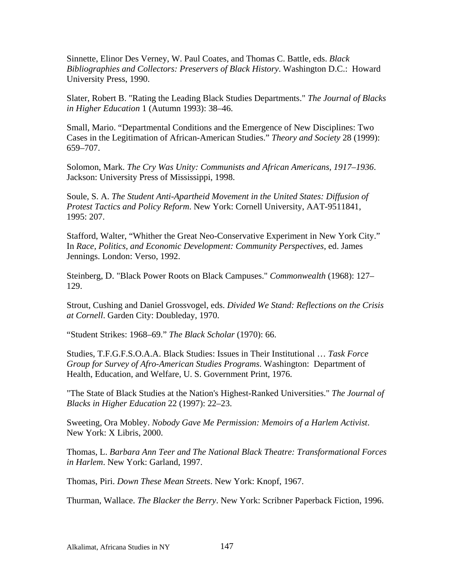Sinnette, Elinor Des Verney, W. Paul Coates, and Thomas C. Battle, eds. *Black Bibliographies and Collectors: Preservers of Black History*. Washington D.C.: Howard University Press, 1990.

Slater, Robert B. "Rating the Leading Black Studies Departments." *The Journal of Blacks in Higher Education* 1 (Autumn 1993): 38–46.

Small, Mario. "Departmental Conditions and the Emergence of New Disciplines: Two Cases in the Legitimation of African-American Studies." *Theory and Society* 28 (1999): 659–707.

Solomon, Mark. *The Cry Was Unity: Communists and African Americans, 1917–1936*. Jackson: University Press of Mississippi, 1998.

Soule, S. A. *The Student Anti-Apartheid Movement in the United States: Diffusion of Protest Tactics and Policy Reform*. New York: Cornell University, AAT-9511841, 1995: 207.

Stafford, Walter, "Whither the Great Neo-Conservative Experiment in New York City." In *Race, Politics, and Economic Development: Community Perspectives*, ed. James Jennings. London: Verso, 1992.

Steinberg, D. "Black Power Roots on Black Campuses." *Commonwealth* (1968): 127– 129.

Strout, Cushing and Daniel Grossvogel, eds. *Divided We Stand: Reflections on the Crisis at Cornell*. Garden City: Doubleday, 1970.

"Student Strikes: 1968–69." *The Black Scholar* (1970): 66.

Studies, T.F.G.F.S.O.A.A. Black Studies: Issues in Their Institutional … *Task Force Group for Survey of Afro-American Studies Programs*. Washington: Department of Health, Education, and Welfare, U. S. Government Print, 1976.

"The State of Black Studies at the Nation's Highest-Ranked Universities." *The Journal of Blacks in Higher Education* 22 (1997): 22–23.

Sweeting, Ora Mobley. *Nobody Gave Me Permission: Memoirs of a Harlem Activist*. New York: X Libris, 2000.

Thomas, L. *Barbara Ann Teer and The National Black Theatre: Transformational Forces in Harlem*. New York: Garland, 1997.

Thomas, Piri. *Down These Mean Streets*. New York: Knopf, 1967.

Thurman, Wallace. *The Blacker the Berry*. New York: Scribner Paperback Fiction, 1996.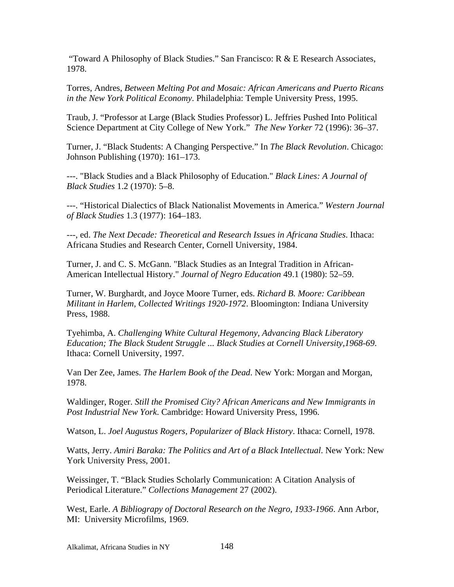"Toward A Philosophy of Black Studies." San Francisco: R & E Research Associates, 1978.

Torres, Andres, *Between Melting Pot and Mosaic: African Americans and Puerto Ricans in the New York Political Economy*. Philadelphia: Temple University Press, 1995.

Traub, J. "Professor at Large (Black Studies Professor) L. Jeffries Pushed Into Political Science Department at City College of New York." *The New Yorker* 72 (1996): 36–37.

Turner, J. "Black Students: A Changing Perspective." In *The Black Revolution*. Chicago: Johnson Publishing (1970): 161–173.

---. "Black Studies and a Black Philosophy of Education." *Black Lines: A Journal of Black Studies* 1.2 (1970): 5–8.

---. "Historical Dialectics of Black Nationalist Movements in America." *Western Journal of Black Studies* 1.3 (1977): 164–183.

---, ed. *The Next Decade: Theoretical and Research Issues in Africana Studies*. Ithaca: Africana Studies and Research Center, Cornell University, 1984.

Turner, J. and C. S. McGann. "Black Studies as an Integral Tradition in African-American Intellectual History." *Journal of Negro Education* 49.1 (1980): 52–59.

Turner, W. Burghardt, and Joyce Moore Turner, eds. *Richard B. Moore: Caribbean Militant in Harlem, Collected Writings 1920-1972*. Bloomington: Indiana University Press, 1988.

Tyehimba, A. *Challenging White Cultural Hegemony, Advancing Black Liberatory Education; The Black Student Struggle ... Black Studies at Cornell University,1968-69*. Ithaca: Cornell University, 1997.

Van Der Zee, James. *The Harlem Book of the Dead*. New York: Morgan and Morgan, 1978.

Waldinger, Roger. *Still the Promised City? African Americans and New Immigrants in Post Industrial New York*. Cambridge: Howard University Press, 1996.

Watson, L. *Joel Augustus Rogers, Popularizer of Black History*. Ithaca: Cornell, 1978.

Watts, Jerry. *Amiri Baraka: The Politics and Art of a Black Intellectual*. New York: New York University Press, 2001.

Weissinger, T. "Black Studies Scholarly Communication: A Citation Analysis of Periodical Literature." *Collections Management* 27 (2002).

West, Earle. *A Bibliograpy of Doctoral Research on the Negro, 1933-1966*. Ann Arbor, MI: University Microfilms, 1969.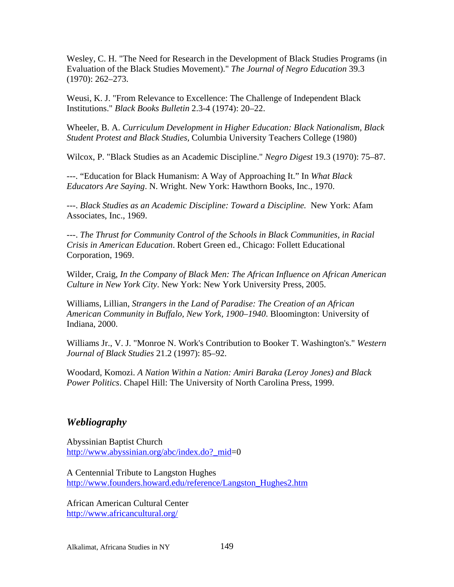Wesley, C. H. "The Need for Research in the Development of Black Studies Programs (in Evaluation of the Black Studies Movement)." *The Journal of Negro Education* 39.3 (1970): 262–273.

Weusi, K. J. "From Relevance to Excellence: The Challenge of Independent Black Institutions." *Black Books Bulletin* 2.3-4 (1974): 20–22.

Wheeler, B. A. *Curriculum Development in Higher Education: Black Nationalism, Black Student Protest and Black Studies,* Columbia University Teachers College (1980)

Wilcox, P. "Black Studies as an Academic Discipline." *Negro Digest* 19.3 (1970): 75–87.

---. "Education for Black Humanism: A Way of Approaching It." In *What Black Educators Are Saying*. N. Wright. New York: Hawthorn Books, Inc., 1970.

---. *Black Studies as an Academic Discipline: Toward a Discipline.* New York: Afam Associates, Inc., 1969.

---. *The Thrust for Community Control of the Schools in Black Communities, in Racial Crisis in American Education*. Robert Green ed., Chicago: Follett Educational Corporation, 1969.

Wilder, Craig, *In the Company of Black Men: The African Influence on African American Culture in New York City*. New York: New York University Press, 2005.

Williams, Lillian, *Strangers in the Land of Paradise: The Creation of an African American Community in Buffalo, New York, 1900–1940*. Bloomington: University of Indiana, 2000.

Williams Jr., V. J. "Monroe N. Work's Contribution to Booker T. Washington's." *Western Journal of Black Studies* 21.2 (1997): 85–92.

Woodard, Komozi. *A Nation Within a Nation: Amiri Baraka (Leroy Jones) and Black Power Politics*. Chapel Hill: The University of North Carolina Press, 1999.

## *Webliography*

Abyssinian Baptist Church http://www.abyssinian.org/abc/index.do?\_mid=0

A Centennial Tribute to Langston Hughes http://www.founders.howard.edu/reference/Langston\_Hughes2.htm

African American Cultural Center http://www.africancultural.org/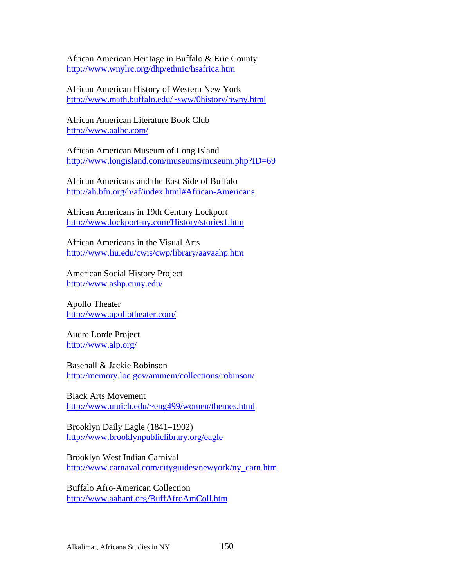African American Heritage in Buffalo & Erie County http://www.wnylrc.org/dhp/ethnic/hsafrica.htm

African American History of Western New York http://www.math.buffalo.edu/~sww/0history/hwny.html

African American Literature Book Club http://www.aalbc.com/

African American Museum of Long Island http://www.longisland.com/museums/museum.php?ID=69

African Americans and the East Side of Buffalo http://ah.bfn.org/h/af/index.html#African-Americans

African Americans in 19th Century Lockport http://www.lockport-ny.com/History/stories1.htm

African Americans in the Visual Arts http://www.liu.edu/cwis/cwp/library/aavaahp.htm

American Social History Project http://www.ashp.cuny.edu/

Apollo Theater http://www.apollotheater.com/

Audre Lorde Project http://www.alp.org/

Baseball & Jackie Robinson http://memory.loc.gov/ammem/collections/robinson/

Black Arts Movement http://www.umich.edu/~eng499/women/themes.html

Brooklyn Daily Eagle (1841–1902) http://www.brooklynpubliclibrary.org/eagle

Brooklyn West Indian Carnival http://www.carnaval.com/cityguides/newyork/ny\_carn.htm

Buffalo Afro-American Collection http://www.aahanf.org/BuffAfroAmColl.htm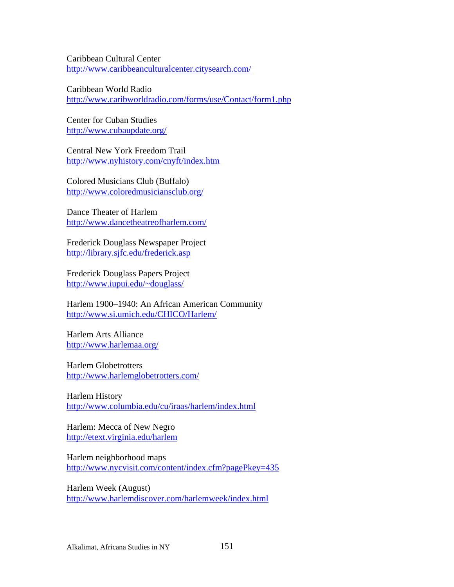Caribbean Cultural Center http://www.caribbeanculturalcenter.citysearch.com/

Caribbean World Radio http://www.caribworldradio.com/forms/use/Contact/form1.php

Center for Cuban Studies http://www.cubaupdate.org/

Central New York Freedom Trail http://www.nyhistory.com/cnyft/index.htm

Colored Musicians Club (Buffalo) http://www.coloredmusiciansclub.org/

Dance Theater of Harlem http://www.dancetheatreofharlem.com/

Frederick Douglass Newspaper Project http://library.sjfc.edu/frederick.asp

Frederick Douglass Papers Project http://www.iupui.edu/~douglass/

Harlem 1900–1940: An African American Community http://www.si.umich.edu/CHICO/Harlem/

Harlem Arts Alliance http://www.harlemaa.org/

Harlem Globetrotters http://www.harlemglobetrotters.com/

Harlem History http://www.columbia.edu/cu/iraas/harlem/index.html

Harlem: Mecca of New Negro http://etext.virginia.edu/harlem

Harlem neighborhood maps http://www.nycvisit.com/content/index.cfm?pagePkey=435

Harlem Week (August) http://www.harlemdiscover.com/harlemweek/index.html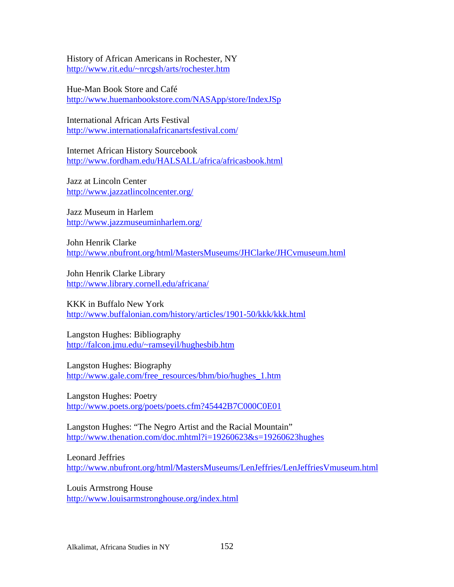History of African Americans in Rochester, NY http://www.rit.edu/~nrcgsh/arts/rochester.htm

Hue-Man Book Store and Café http://www.huemanbookstore.com/NASApp/store/IndexJSp

International African Arts Festival http://www.internationalafricanartsfestival.com/

Internet African History Sourcebook http://www.fordham.edu/HALSALL/africa/africasbook.html

Jazz at Lincoln Center http://www.jazzatlincolncenter.org/

Jazz Museum in Harlem http://www.jazzmuseuminharlem.org/

John Henrik Clarke http://www.nbufront.org/html/MastersMuseums/JHClarke/JHCvmuseum.html

John Henrik Clarke Library http://www.library.cornell.edu/africana/

KKK in Buffalo New York http://www.buffalonian.com/history/articles/1901-50/kkk/kkk.html

Langston Hughes: Bibliography http://falcon.jmu.edu/~ramseyil/hughesbib.htm

Langston Hughes: Biography http://www.gale.com/free\_resources/bhm/bio/hughes\_1.htm

Langston Hughes: Poetry http://www.poets.org/poets/poets.cfm?45442B7C000C0E01

Langston Hughes: "The Negro Artist and the Racial Mountain" http://www.thenation.com/doc.mhtml?i=19260623&s=19260623hughes

Leonard Jeffries http://www.nbufront.org/html/MastersMuseums/LenJeffries/LenJeffriesVmuseum.html

Louis Armstrong House http://www.louisarmstronghouse.org/index.html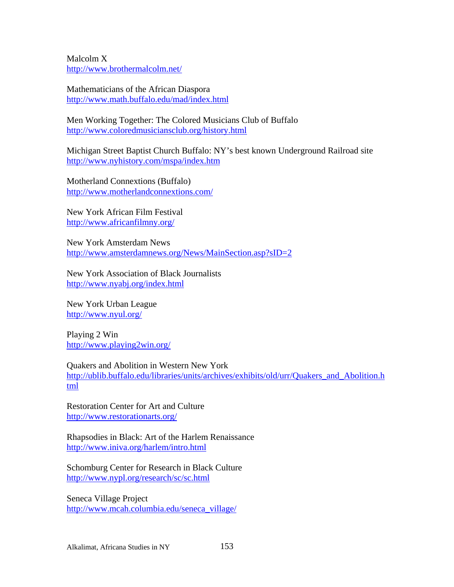Malcolm X http://www.brothermalcolm.net/

Mathematicians of the African Diaspora http://www.math.buffalo.edu/mad/index.html

Men Working Together: The Colored Musicians Club of Buffalo http://www.coloredmusiciansclub.org/history.html

Michigan Street Baptist Church Buffalo: NY's best known Underground Railroad site http://www.nyhistory.com/mspa/index.htm

Motherland Connextions (Buffalo) http://www.motherlandconnextions.com/

New York African Film Festival http://www.africanfilmny.org/

New York Amsterdam News http://www.amsterdamnews.org/News/MainSection.asp?sID=2

New York Association of Black Journalists http://www.nyabj.org/index.html

New York Urban League http://www.nyul.org/

Playing 2 Win http://www.playing2win.org/

Quakers and Abolition in Western New York http://ublib.buffalo.edu/libraries/units/archives/exhibits/old/urr/Quakers\_and\_Abolition.h tml

Restoration Center for Art and Culture http://www.restorationarts.org/

Rhapsodies in Black: Art of the Harlem Renaissance http://www.iniva.org/harlem/intro.html

Schomburg Center for Research in Black Culture http://www.nypl.org/research/sc/sc.html

Seneca Village Project http://www.mcah.columbia.edu/seneca\_village/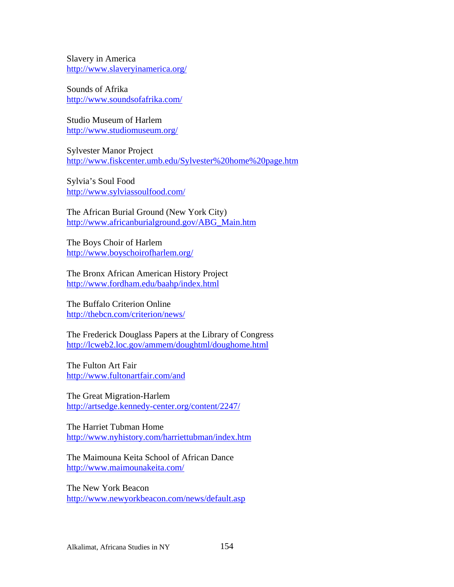Slavery in America http://www.slaveryinamerica.org/

Sounds of Afrika http://www.soundsofafrika.com/

Studio Museum of Harlem http://www.studiomuseum.org/

Sylvester Manor Project http://www.fiskcenter.umb.edu/Sylvester%20home%20page.htm

Sylvia's Soul Food http://www.sylviassoulfood.com/

The African Burial Ground (New York City) http://www.africanburialground.gov/ABG\_Main.htm

The Boys Choir of Harlem http://www.boyschoirofharlem.org/

The Bronx African American History Project http://www.fordham.edu/baahp/index.html

The Buffalo Criterion Online http://thebcn.com/criterion/news/

The Frederick Douglass Papers at the Library of Congress http://lcweb2.loc.gov/ammem/doughtml/doughome.html

The Fulton Art Fair http://www.fultonartfair.com/and

The Great Migration-Harlem http://artsedge.kennedy-center.org/content/2247/

The Harriet Tubman Home http://www.nyhistory.com/harriettubman/index.htm

The Maimouna Keita School of African Dance http://www.maimounakeita.com/

The New York Beacon http://www.newyorkbeacon.com/news/default.asp